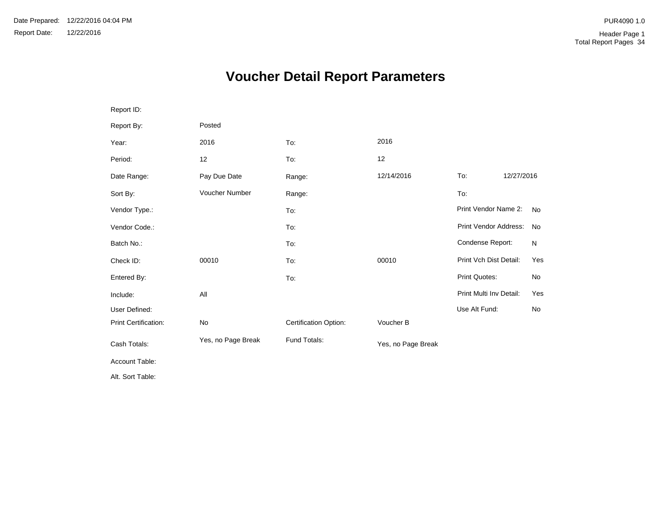# **Voucher Detail Report Parameters**

| Report ID:           |                       |                       |                    |                         |            |           |
|----------------------|-----------------------|-----------------------|--------------------|-------------------------|------------|-----------|
| Report By:           | Posted                |                       |                    |                         |            |           |
| Year:                | 2016                  | To:                   | 2016               |                         |            |           |
| Period:              | 12                    | To:                   | 12                 |                         |            |           |
| Date Range:          | Pay Due Date          | Range:                | 12/14/2016         | To:                     | 12/27/2016 |           |
| Sort By:             | <b>Voucher Number</b> | Range:                |                    | To:                     |            |           |
| Vendor Type.:        |                       | To:                   |                    | Print Vendor Name 2:    |            | <b>No</b> |
| Vendor Code.:        |                       | To:                   |                    | Print Vendor Address:   |            | <b>No</b> |
| Batch No.:           |                       | To:                   |                    | Condense Report:        |            | N         |
| Check ID:            | 00010                 | To:                   | 00010              | Print Vch Dist Detail:  |            | Yes       |
| Entered By:          |                       | To:                   |                    | <b>Print Quotes:</b>    |            | No        |
| Include:             | All                   |                       |                    | Print Multi Inv Detail: |            | Yes       |
| User Defined:        |                       |                       |                    | Use Alt Fund:           |            | <b>No</b> |
| Print Certification: | No                    | Certification Option: | Voucher B          |                         |            |           |
| Cash Totals:         | Yes, no Page Break    | Fund Totals:          | Yes, no Page Break |                         |            |           |
| Account Table:       |                       |                       |                    |                         |            |           |
| Alt. Sort Table:     |                       |                       |                    |                         |            |           |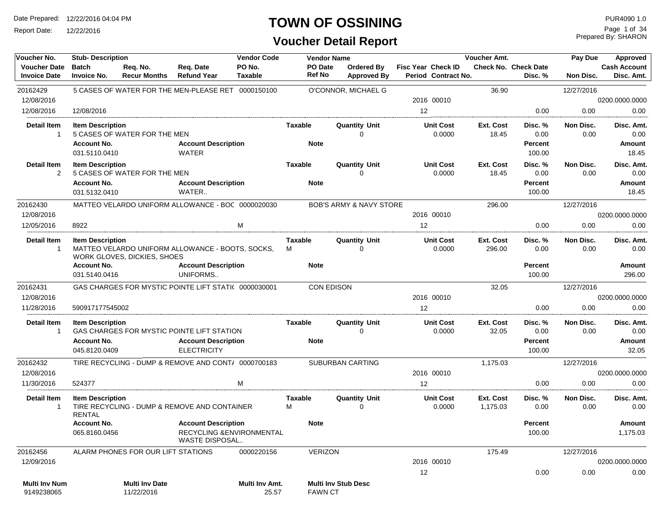Report Date: 12/22/2016

### **TOWN OF OSSINING**

**Voucher Detail Report**

Prepared By: SHARON Page 1 of 34

| Voucher No.                          | <b>Stub-Description</b>                  |                                     |                                                                                  | <b>Vendor Code</b>             |                     | <b>Vendor Name</b> |                                    |                            | Voucher Amt.          |                          | Pay Due           | Approved                |
|--------------------------------------|------------------------------------------|-------------------------------------|----------------------------------------------------------------------------------|--------------------------------|---------------------|--------------------|------------------------------------|----------------------------|-----------------------|--------------------------|-------------------|-------------------------|
| <b>Voucher Date</b>                  | <b>Batch</b>                             | Req. No.                            | Req. Date                                                                        | PO No.                         |                     | PO Date            | Ordered By                         | <b>Fisc Year Check ID</b>  |                       | Check No. Check Date     |                   | <b>Cash Account</b>     |
| <b>Invoice Date</b>                  | <b>Invoice No.</b>                       | <b>Recur Months</b>                 | <b>Refund Year</b>                                                               | <b>Taxable</b>                 |                     | <b>Ref No</b>      | <b>Approved By</b>                 | Period Contract No.        |                       | Disc. %                  | Non Disc.         | Disc. Amt.              |
| 20162429                             |                                          |                                     | 5 CASES OF WATER FOR THE MEN-PLEASE RET 0000150100                               |                                |                     |                    | O'CONNOR, MICHAEL G                |                            | 36.90                 |                          | 12/27/2016        |                         |
| 12/08/2016                           |                                          |                                     |                                                                                  |                                |                     |                    |                                    | 2016 00010                 |                       |                          |                   | 0200.0000.0000          |
| 12/08/2016                           | 12/08/2016                               |                                     |                                                                                  |                                |                     |                    |                                    | 12                         |                       | 0.00                     | 0.00              | 0.00                    |
| <b>Detail Item</b><br>$\mathbf{1}$   | <b>Item Description</b>                  | 5 CASES OF WATER FOR THE MEN        |                                                                                  |                                | <b>Taxable</b>      |                    | <b>Quantity Unit</b><br>$\Omega$   | <b>Unit Cost</b><br>0.0000 | Ext. Cost<br>18.45    | Disc. %<br>0.00          | Non Disc.<br>0.00 | Disc. Amt.<br>0.00      |
|                                      | <b>Account No.</b><br>031.5110.0410      |                                     | <b>Account Description</b><br><b>WATER</b>                                       |                                |                     | <b>Note</b>        |                                    |                            |                       | <b>Percent</b><br>100.00 |                   | Amount<br>18.45         |
| <b>Detail Item</b><br>$\overline{2}$ | <b>Item Description</b>                  | 5 CASES OF WATER FOR THE MEN        |                                                                                  |                                | <b>Taxable</b>      |                    | <b>Quantity Unit</b><br>$\Omega$   | <b>Unit Cost</b><br>0.0000 | Ext. Cost<br>18.45    | Disc. %<br>0.00          | Non Disc.<br>0.00 | Disc. Amt.<br>0.00      |
|                                      | <b>Account No.</b><br>031.5132.0410      |                                     | <b>Account Description</b><br>WATER                                              |                                |                     | <b>Note</b>        |                                    |                            |                       | <b>Percent</b><br>100.00 |                   | Amount<br>18.45         |
| 20162430                             |                                          |                                     | MATTEO VELARDO UNIFORM ALLOWANCE - BOC 0000020030                                |                                |                     |                    | <b>BOB'S ARMY &amp; NAVY STORE</b> |                            | 296.00                |                          | 12/27/2016        |                         |
| 12/08/2016                           |                                          |                                     |                                                                                  |                                |                     |                    |                                    | 2016 00010                 |                       |                          |                   | 0200.0000.0000          |
| 12/05/2016                           | 8922                                     |                                     |                                                                                  | M                              |                     |                    |                                    | 12                         |                       | 0.00                     | 0.00              | 0.00                    |
| <b>Detail Item</b><br>$\mathbf{1}$   | <b>Item Description</b>                  | WORK GLOVES, DICKIES, SHOES         | MATTEO VELARDO UNIFORM ALLOWANCE - BOOTS, SOCKS,                                 |                                | <b>Taxable</b><br>M |                    | <b>Quantity Unit</b><br>$\Omega$   | <b>Unit Cost</b><br>0.0000 | Ext. Cost<br>296.00   | Disc. %<br>0.00          | Non Disc.<br>0.00 | Disc. Amt.<br>0.00      |
|                                      | <b>Account No.</b><br>031.5140.0416      |                                     | <b>Account Description</b><br>UNIFORMS                                           |                                |                     | <b>Note</b>        |                                    |                            |                       | <b>Percent</b><br>100.00 |                   | <b>Amount</b><br>296.00 |
| 20162431                             |                                          |                                     | GAS CHARGES FOR MYSTIC POINTE LIFT STATI( 0000030001                             |                                |                     | CON EDISON         |                                    |                            | 32.05                 |                          | 12/27/2016        |                         |
| 12/08/2016                           |                                          |                                     |                                                                                  |                                |                     |                    |                                    | 2016 00010                 |                       |                          |                   | 0200.0000.0000          |
| 11/28/2016                           | 590917177545002                          |                                     |                                                                                  |                                |                     |                    |                                    | 12                         |                       | 0.00                     | 0.00              | 0.00                    |
| <b>Detail Item</b><br>$\mathbf{1}$   | <b>Item Description</b>                  |                                     | GAS CHARGES FOR MYSTIC POINTE LIFT STATION                                       |                                | <b>Taxable</b>      |                    | <b>Quantity Unit</b><br>$\Omega$   | <b>Unit Cost</b><br>0.0000 | Ext. Cost<br>32.05    | Disc. %<br>0.00          | Non Disc.<br>0.00 | Disc. Amt.<br>0.00      |
|                                      | <b>Account No.</b><br>045.8120.0409      |                                     | <b>Account Description</b><br><b>ELECTRICITY</b>                                 |                                |                     | <b>Note</b>        |                                    |                            |                       | <b>Percent</b><br>100.00 |                   | Amount<br>32.05         |
| 20162432                             |                                          |                                     | TIRE RECYCLING - DUMP & REMOVE AND CONT/ 0000700183                              |                                |                     |                    | <b>SUBURBAN CARTING</b>            |                            | 1,175.03              |                          | 12/27/2016        |                         |
| 12/08/2016                           |                                          |                                     |                                                                                  |                                |                     |                    |                                    | 2016 00010                 |                       |                          |                   | 0200.0000.0000          |
| 11/30/2016                           | 524377                                   |                                     |                                                                                  | M                              |                     |                    |                                    | 12                         |                       | 0.00                     | 0.00              | 0.00                    |
| <b>Detail Item</b><br>$\mathbf{1}$   | <b>Item Description</b><br><b>RENTAL</b> |                                     | TIRE RECYCLING - DUMP & REMOVE AND CONTAINER                                     |                                | <b>Taxable</b><br>М |                    | <b>Quantity Unit</b><br>$\Omega$   | <b>Unit Cost</b><br>0.0000 | Ext. Cost<br>1,175.03 | Disc. %<br>0.00          | Non Disc.<br>0.00 | Disc. Amt.<br>0.00      |
|                                      | <b>Account No.</b><br>065.8160.0456      |                                     | <b>Account Description</b><br>RECYCLING & ENVIRONMENTAL<br><b>WASTE DISPOSAL</b> |                                |                     | <b>Note</b>        |                                    |                            |                       | <b>Percent</b><br>100.00 |                   | Amount<br>1,175.03      |
| 20162456                             |                                          | ALARM PHONES FOR OUR LIFT STATIONS  |                                                                                  | 0000220156                     |                     | <b>VERIZON</b>     |                                    |                            | 175.49                |                          | 12/27/2016        |                         |
| 12/09/2016                           |                                          |                                     |                                                                                  |                                |                     |                    |                                    | 2016 00010                 |                       |                          |                   | 0200.0000.0000          |
|                                      |                                          |                                     |                                                                                  |                                |                     |                    |                                    | 12                         |                       | 0.00                     | 0.00              | 0.00                    |
| <b>Multi Inv Num</b><br>9149238065   |                                          | <b>Multi Inv Date</b><br>11/22/2016 |                                                                                  | <b>Multi Inv Amt.</b><br>25.57 |                     | <b>FAWN CT</b>     | <b>Multi Inv Stub Desc</b>         |                            |                       |                          |                   |                         |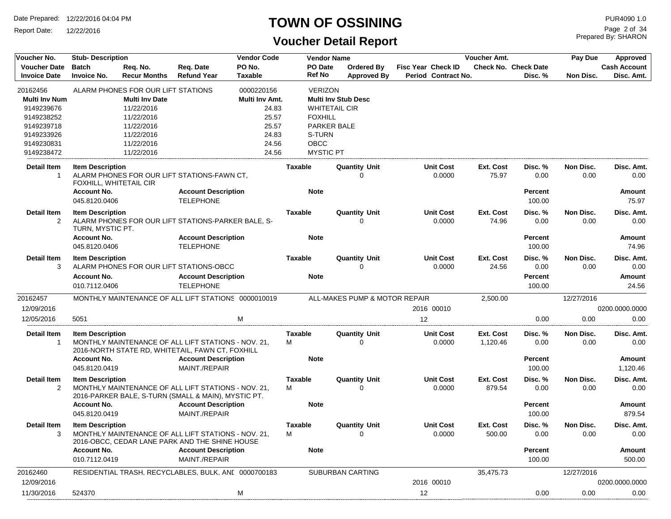Report Date: 12/22/2016

#### **TOWN OF OSSINING**

## **Voucher Detail Report**

Prepared By: SHARON Page 2 of 34

| Voucher No.                                                                                                          | <b>Stub-Description</b>                           |                                                                                                                                                 |                                                                                                                                       | <b>Vendor Code</b>                                                                 |                                                                        | <b>Vendor Name</b>                                                       |                                                         | Voucher Amt.          |                                        | Pay Due           | Approved                          |
|----------------------------------------------------------------------------------------------------------------------|---------------------------------------------------|-------------------------------------------------------------------------------------------------------------------------------------------------|---------------------------------------------------------------------------------------------------------------------------------------|------------------------------------------------------------------------------------|------------------------------------------------------------------------|--------------------------------------------------------------------------|---------------------------------------------------------|-----------------------|----------------------------------------|-------------------|-----------------------------------|
| <b>Voucher Date</b><br><b>Invoice Date</b>                                                                           | <b>Batch</b><br><b>Invoice No.</b>                | Req. No.<br><b>Recur Months</b>                                                                                                                 | Req. Date<br><b>Refund Year</b>                                                                                                       | PO No.<br>Taxable                                                                  | <b>PO Date</b><br>Ref No                                               | <b>Ordered Bv</b><br><b>Approved By</b>                                  | <b>Fisc Year Check ID</b><br><b>Period Contract No.</b> |                       | <b>Check No. Check Date</b><br>Disc. % | Non Disc.         | <b>Cash Account</b><br>Disc. Amt. |
| 20162456<br><b>Multi Inv Num</b><br>9149239676<br>9149238252<br>9149239718<br>9149233926<br>9149230831<br>9149238472 |                                                   | ALARM PHONES FOR OUR LIFT STATIONS<br><b>Multi Inv Date</b><br>11/22/2016<br>11/22/2016<br>11/22/2016<br>11/22/2016<br>11/22/2016<br>11/22/2016 |                                                                                                                                       | 0000220156<br>Multi Inv Amt.<br>24.83<br>25.57<br>25.57<br>24.83<br>24.56<br>24.56 | <b>VERIZON</b><br><b>FOXHILL</b><br>S-TURN<br>OBCC<br><b>MYSTIC PT</b> | <b>Multi Inv Stub Desc</b><br><b>WHITETAIL CIR</b><br><b>PARKER BALE</b> |                                                         |                       |                                        |                   |                                   |
| Detail Item<br>$\mathbf{1}$                                                                                          | <b>Item Description</b><br>FOXHILL, WHITETAIL CIR |                                                                                                                                                 | ALARM PHONES FOR OUR LIFT STATIONS-FAWN CT,                                                                                           |                                                                                    | Taxable                                                                | <b>Quantity Unit</b><br>0                                                | Unit Cost<br>0.0000                                     | Ext. Cost<br>75.97    | Disc. %<br>0.00                        | Non Disc.<br>0.00 | Disc. Amt.<br>0.00                |
|                                                                                                                      | <b>Account No.</b><br>045.8120.0406               |                                                                                                                                                 | <b>Account Description</b><br><b>TELEPHONE</b>                                                                                        |                                                                                    | <b>Note</b>                                                            |                                                                          |                                                         |                       | Percent<br>100.00                      |                   | Amount<br>75.97                   |
| <b>Detail Item</b><br>$\overline{2}$                                                                                 | <b>Item Description</b><br>TURN, MYSTIC PT.       |                                                                                                                                                 | ALARM PHONES FOR OUR LIFT STATIONS-PARKER BALE, S-                                                                                    |                                                                                    | Taxable                                                                | <b>Quantity Unit</b><br>$\Omega$                                         | <b>Unit Cost</b><br>0.0000                              | Ext. Cost<br>74.96    | Disc. %<br>0.00                        | Non Disc.<br>0.00 | Disc. Amt.<br>0.00                |
|                                                                                                                      | <b>Account No.</b><br>045.8120.0406               |                                                                                                                                                 | <b>Account Description</b><br><b>TELEPHONE</b>                                                                                        |                                                                                    | <b>Note</b>                                                            |                                                                          |                                                         |                       | <b>Percent</b><br>100.00               |                   | Amount<br>74.96                   |
| <b>Detail Item</b><br>3                                                                                              | <b>Item Description</b>                           |                                                                                                                                                 | ALARM PHONES FOR OUR LIFT STATIONS-OBCC                                                                                               |                                                                                    | <b>Taxable</b>                                                         | <b>Quantity Unit</b><br>$\Omega$                                         | <b>Unit Cost</b><br>0.0000                              | Ext. Cost<br>24.56    | Disc. %<br>0.00                        | Non Disc.<br>0.00 | Disc. Amt.<br>0.00                |
|                                                                                                                      | <b>Account No.</b><br>010.7112.0406               |                                                                                                                                                 | <b>Account Description</b><br><b>TELEPHONE</b>                                                                                        |                                                                                    | <b>Note</b>                                                            |                                                                          |                                                         |                       | <b>Percent</b><br>100.00               |                   | Amount<br>24.56                   |
| 20162457<br>12/09/2016                                                                                               |                                                   |                                                                                                                                                 | MONTHLY MAINTENANCE OF ALL LIFT STATIONS 0000010019                                                                                   |                                                                                    |                                                                        | ALL-MAKES PUMP & MOTOR REPAIR                                            | 2016 00010                                              | 2,500.00              |                                        | 12/27/2016        | 0200.0000.0000                    |
| 12/05/2016                                                                                                           | 5051                                              |                                                                                                                                                 |                                                                                                                                       | M                                                                                  |                                                                        |                                                                          | 12                                                      |                       | 0.00                                   | 0.00              | 0.00                              |
| <b>Detail Item</b><br>$\mathbf{1}$                                                                                   | <b>Item Description</b><br><b>Account No.</b>     |                                                                                                                                                 | MONTHLY MAINTENANCE OF ALL LIFT STATIONS - NOV. 21,<br>2016-NORTH STATE RD, WHITETAIL, FAWN CT, FOXHILL<br><b>Account Description</b> |                                                                                    | Taxable<br>м<br><b>Note</b>                                            | <b>Quantity Unit</b><br>$\Omega$                                         | <b>Unit Cost</b><br>0.0000                              | Ext. Cost<br>1,120.46 | Disc. %<br>0.00<br><b>Percent</b>      | Non Disc.<br>0.00 | Disc. Amt.<br>0.00<br>Amount      |
| <b>Detail Item</b><br>2                                                                                              | 045.8120.0419<br><b>Item Description</b>          |                                                                                                                                                 | MAINT./REPAIR<br>MONTHLY MAINTENANCE OF ALL LIFT STATIONS - NOV. 21.<br>2016-PARKER BALE, S-TURN (SMALL & MAIN), MYSTIC PT.           |                                                                                    | <b>Taxable</b><br>м                                                    | <b>Quantity Unit</b><br>$\Omega$                                         | <b>Unit Cost</b><br>0.0000                              | Ext. Cost<br>879.54   | 100.00<br>Disc. %<br>0.00              | Non Disc.<br>0.00 | 1,120.46<br>Disc. Amt.<br>0.00    |
|                                                                                                                      | <b>Account No.</b><br>045.8120.0419               |                                                                                                                                                 | <b>Account Description</b><br>MAINT./REPAIR                                                                                           |                                                                                    | <b>Note</b>                                                            |                                                                          |                                                         |                       | <b>Percent</b><br>100.00               |                   | Amount<br>879.54                  |
| <b>Detail Item</b><br>3                                                                                              | <b>Item Description</b>                           |                                                                                                                                                 | MONTHLY MAINTENANCE OF ALL LIFT STATIONS - NOV. 21,<br>2016-OBCC, CEDAR LANE PARK AND THE SHINE HOUSE                                 |                                                                                    | <b>Taxable</b><br>M                                                    | <b>Quantity Unit</b><br>0                                                | <b>Unit Cost</b><br>0.0000                              | Ext. Cost<br>500.00   | Disc. %<br>0.00                        | Non Disc.<br>0.00 | Disc. Amt.<br>0.00                |
|                                                                                                                      | <b>Account No.</b><br>010.7112.0419               |                                                                                                                                                 | <b>Account Description</b><br>MAINT./REPAIR                                                                                           |                                                                                    | <b>Note</b>                                                            |                                                                          |                                                         |                       | Percent<br>100.00                      |                   | Amount<br>500.00                  |
| 20162460                                                                                                             |                                                   |                                                                                                                                                 | RESIDENTIAL TRASH, RECYCLABLES, BULK, ANI 0000700183                                                                                  |                                                                                    |                                                                        | SUBURBAN CARTING                                                         |                                                         | 35,475.73             |                                        | 12/27/2016        |                                   |
| 12/09/2016                                                                                                           |                                                   |                                                                                                                                                 |                                                                                                                                       |                                                                                    |                                                                        |                                                                          | 2016 00010                                              |                       |                                        |                   | 0200.0000.0000                    |
| 11/30/2016                                                                                                           | 524370                                            |                                                                                                                                                 |                                                                                                                                       | M                                                                                  |                                                                        |                                                                          | 12<br>.                                                 |                       | 0.00                                   | 0.00              | 0.00                              |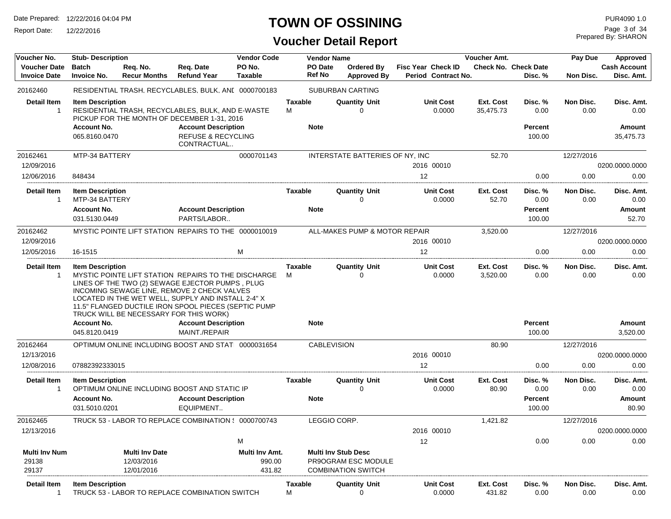Report Date: 12/22/2016

## **TOWN OF OSSINING**

## **Voucher Detail Report**

Prepared By: SHARON Page 3 of 34

| Voucher No.                                | <b>Stub-Description</b>              |                                     |                                                                                                                                                                                                                                                                                                               | <b>Vendor Code</b>       |                     | <b>Vendor Name</b>       |                                                   |                                                  | Voucher Amt.           |                                        |                   | Approved                          |
|--------------------------------------------|--------------------------------------|-------------------------------------|---------------------------------------------------------------------------------------------------------------------------------------------------------------------------------------------------------------------------------------------------------------------------------------------------------------|--------------------------|---------------------|--------------------------|---------------------------------------------------|--------------------------------------------------|------------------------|----------------------------------------|-------------------|-----------------------------------|
| <b>Voucher Date</b><br><b>Invoice Date</b> | <b>Batch</b><br><b>Invoice No.</b>   | Req. No.<br><b>Recur Months</b>     | Reg. Date<br><b>Refund Year</b>                                                                                                                                                                                                                                                                               | PO No.<br><b>Taxable</b> |                     | PO Date<br><b>Ref No</b> | Ordered By<br><b>Approved By</b>                  | <b>Fisc Year Check ID</b><br>Period Contract No. |                        | <b>Check No. Check Date</b><br>Disc. % | Non Disc.         | <b>Cash Account</b><br>Disc. Amt. |
| 20162460                                   |                                      |                                     | RESIDENTIAL TRASH, RECYCLABLES, BULK, ANI 0000700183                                                                                                                                                                                                                                                          |                          |                     |                          | <b>SUBURBAN CARTING</b>                           |                                                  |                        |                                        |                   |                                   |
| <b>Detail Item</b><br>$\mathbf{1}$         | <b>Item Description</b>              |                                     | RESIDENTIAL TRASH, RECYCLABLES, BULK, AND E-WASTE<br>PICKUP FOR THE MONTH OF DECEMBER 1-31, 2016                                                                                                                                                                                                              |                          | <b>Taxable</b><br>м |                          | <b>Quantity Unit</b><br>∩                         | <b>Unit Cost</b><br>0.0000                       | Ext. Cost<br>35,475.73 | Disc. %<br>0.00                        | Non Disc.<br>0.00 | Disc. Amt.<br>0.00                |
|                                            | <b>Account No.</b><br>065.8160.0470  |                                     | <b>Account Description</b><br><b>REFUSE &amp; RECYCLING</b><br>CONTRACTUAL                                                                                                                                                                                                                                    |                          |                     | <b>Note</b>              |                                                   |                                                  |                        | <b>Percent</b><br>100.00               |                   | Amount<br>35,475.73               |
| 20162461                                   | MTP-34 BATTERY                       |                                     |                                                                                                                                                                                                                                                                                                               | 0000701143               |                     |                          | INTERSTATE BATTERIES OF NY, INC                   |                                                  | 52.70                  |                                        | 12/27/2016        |                                   |
| 12/09/2016                                 |                                      |                                     |                                                                                                                                                                                                                                                                                                               |                          |                     |                          |                                                   | 2016 00010                                       |                        |                                        |                   | 0200.0000.0000                    |
| 12/06/2016                                 | 848434                               |                                     |                                                                                                                                                                                                                                                                                                               |                          |                     |                          |                                                   | 12                                               |                        | 0.00                                   | 0.00              | 0.00                              |
| <b>Detail Item</b>                         | <b>Item Description</b>              |                                     |                                                                                                                                                                                                                                                                                                               |                          | <b>Taxable</b>      |                          | <b>Quantity Unit</b>                              | <b>Unit Cost</b>                                 | Ext. Cost              | Disc. %                                | Non Disc.         | Disc. Amt.                        |
| $\mathbf{1}$                               | MTP-34 BATTERY<br><b>Account No.</b> |                                     | <b>Account Description</b>                                                                                                                                                                                                                                                                                    |                          |                     | <b>Note</b>              | 0                                                 | 0.0000                                           | 52.70                  | 0.00<br><b>Percent</b>                 | 0.00              | 0.00<br>Amount                    |
|                                            | 031.5130.0449                        |                                     | PARTS/LABOR                                                                                                                                                                                                                                                                                                   |                          |                     |                          |                                                   |                                                  |                        | 100.00                                 |                   | 52.70                             |
| 20162462                                   |                                      |                                     | MYSTIC POINTE LIFT STATION REPAIRS TO THE 0000010019                                                                                                                                                                                                                                                          |                          |                     |                          | ALL-MAKES PUMP & MOTOR REPAIR                     |                                                  | 3,520.00               |                                        | 12/27/2016        |                                   |
| 12/09/2016                                 |                                      |                                     |                                                                                                                                                                                                                                                                                                               |                          |                     |                          |                                                   | 2016 00010                                       |                        |                                        |                   | 0200.0000.0000                    |
| 12/05/2016                                 | 16-1515                              |                                     |                                                                                                                                                                                                                                                                                                               | M                        |                     |                          |                                                   | 12                                               |                        | 0.00                                   | 0.00              | 0.00                              |
| <b>Detail Item</b><br>$\overline{1}$       | <b>Item Description</b>              |                                     | MYSTIC POINTE LIFT STATION REPAIRS TO THE DISCHARGE<br>LINES OF THE TWO (2) SEWAGE EJECTOR PUMPS, PLUG<br>INCOMING SEWAGE LINE, REMOVE 2 CHECK VALVES<br>LOCATED IN THE WET WELL, SUPPLY AND INSTALL 2-4" X<br>11.5" FLANGED DUCTILE IRON SPOOL PIECES (SEPTIC PUMP<br>TRUCK WILL BE NECESSARY FOR THIS WORK) |                          | Taxable<br>м        |                          | <b>Quantity Unit</b><br>$\Omega$                  | <b>Unit Cost</b><br>0.0000                       | Ext. Cost<br>3,520.00  | Disc. %<br>0.00                        | Non Disc.<br>0.00 | Disc. Amt.<br>0.00                |
|                                            | <b>Account No.</b>                   |                                     | <b>Account Description</b>                                                                                                                                                                                                                                                                                    |                          |                     | <b>Note</b>              |                                                   |                                                  |                        | <b>Percent</b>                         |                   | Amount                            |
|                                            | 045.8120.0419                        |                                     | MAINT./REPAIR                                                                                                                                                                                                                                                                                                 |                          |                     |                          |                                                   |                                                  |                        | 100.00                                 |                   | 3,520.00                          |
| 20162464                                   |                                      |                                     | OPTIMUM ONLINE INCLUDING BOOST AND STATI 0000031654                                                                                                                                                                                                                                                           |                          |                     | <b>CABLEVISION</b>       |                                                   |                                                  | 80.90                  |                                        | 12/27/2016        |                                   |
| 12/13/2016                                 |                                      |                                     |                                                                                                                                                                                                                                                                                                               |                          |                     |                          |                                                   | 2016 00010                                       |                        |                                        |                   | 0200.0000.0000                    |
| 12/08/2016                                 | 07882392333015                       |                                     |                                                                                                                                                                                                                                                                                                               |                          |                     |                          |                                                   | 12                                               |                        | 0.00                                   | 0.00              | 0.00                              |
| <b>Detail Item</b><br>$\overline{1}$       | <b>Item Description</b>              |                                     | OPTIMUM ONLINE INCLUDING BOOST AND STATIC IP                                                                                                                                                                                                                                                                  |                          | Taxable             |                          | <b>Quantity Unit</b><br>0                         | <b>Unit Cost</b><br>0.0000                       | Ext. Cost<br>80.90     | Disc. %<br>0.00                        | Non Disc.<br>0.00 | Disc. Amt.<br>0.00                |
|                                            | <b>Account No.</b><br>031.5010.0201  |                                     | <b>Account Description</b><br>EQUIPMENT                                                                                                                                                                                                                                                                       |                          |                     | <b>Note</b>              |                                                   |                                                  |                        | Percent<br>100.00                      |                   | Amount<br>80.90                   |
| 20162465                                   |                                      |                                     | TRUCK 53 - LABOR TO REPLACE COMBINATION { 0000700743                                                                                                                                                                                                                                                          |                          |                     | LEGGIO CORP.             |                                                   |                                                  | 1,421.82               |                                        | 12/27/2016        |                                   |
| 12/13/2016                                 |                                      |                                     |                                                                                                                                                                                                                                                                                                               |                          |                     |                          |                                                   | 2016 00010                                       |                        |                                        |                   | 0200.0000.0000                    |
|                                            |                                      |                                     |                                                                                                                                                                                                                                                                                                               | M                        |                     |                          |                                                   | 12                                               |                        | 0.00                                   | 0.00              | 0.00                              |
| <b>Multi Inv Num</b><br>29138              |                                      | <b>Multi Inv Date</b><br>12/03/2016 |                                                                                                                                                                                                                                                                                                               | Multi Inv Amt.<br>990.00 |                     |                          | <b>Multi Inv Stub Desc</b><br>PR9OGRAM ESC MODULE |                                                  |                        |                                        |                   |                                   |
| 29137                                      |                                      | 12/01/2016                          |                                                                                                                                                                                                                                                                                                               | 431.82                   |                     |                          | <b>COMBINATION SWITCH</b>                         |                                                  |                        |                                        |                   |                                   |
| Detail Item<br>$\mathbf{1}$                | <b>Item Description</b>              |                                     | TRUCK 53 - LABOR TO REPLACE COMBINATION SWITCH                                                                                                                                                                                                                                                                |                          | Taxable<br>M        |                          | <b>Quantity Unit</b><br>0                         | <b>Unit Cost</b><br>0.0000                       | Ext. Cost<br>431.82    | Disc. %<br>0.00                        | Non Disc.<br>0.00 | Disc. Amt.<br>0.00                |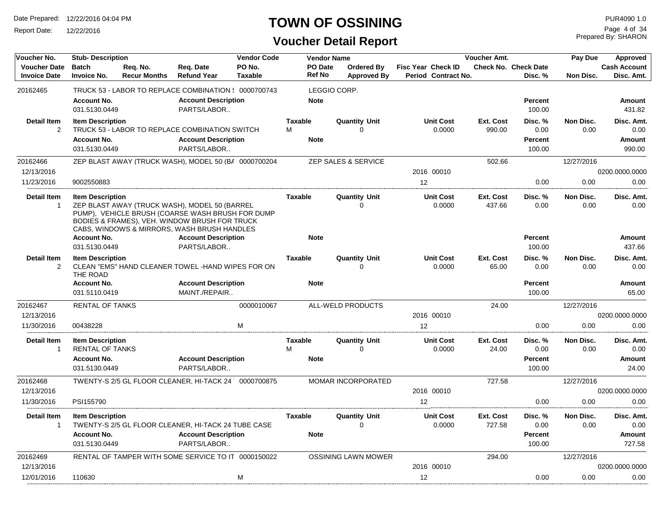Report Date: 12/22/2016

## **TOWN OF OSSINING**

Prepared By: SHARON Page 4 of 34

| Voucher No.                                | <b>Stub-Description</b>             |                                 |                                                                                                                                                                                                   | <b>Vendor Code</b>       |                          | <b>Vendor Name</b>                      |                                                  | Voucher Amt.        |                                        | Pay Due           | Approved                          |
|--------------------------------------------|-------------------------------------|---------------------------------|---------------------------------------------------------------------------------------------------------------------------------------------------------------------------------------------------|--------------------------|--------------------------|-----------------------------------------|--------------------------------------------------|---------------------|----------------------------------------|-------------------|-----------------------------------|
| <b>Voucher Date</b><br><b>Invoice Date</b> | <b>Batch</b><br><b>Invoice No.</b>  | Reg. No.<br><b>Recur Months</b> | Reg. Date<br><b>Refund Year</b>                                                                                                                                                                   | PO No.<br><b>Taxable</b> | PO Date<br><b>Ref No</b> | <b>Ordered Bv</b><br><b>Approved By</b> | <b>Fisc Year Check ID</b><br>Period Contract No. |                     | <b>Check No. Check Date</b><br>Disc. % | Non Disc.         | <b>Cash Account</b><br>Disc. Amt. |
| 20162465                                   |                                     |                                 | TRUCK 53 - LABOR TO REPLACE COMBINATION ( 0000700743                                                                                                                                              |                          |                          | LEGGIO CORP.                            |                                                  |                     |                                        |                   |                                   |
|                                            | Account No.<br>031.5130.0449        |                                 | <b>Account Description</b><br>PARTS/LABOR                                                                                                                                                         |                          | <b>Note</b>              |                                         |                                                  |                     | <b>Percent</b><br>100.00               |                   | Amount<br>431.82                  |
| <b>Detail Item</b>                         | <b>Item Description</b>             |                                 |                                                                                                                                                                                                   |                          | <b>Taxable</b>           | <b>Quantity Unit</b>                    | <b>Unit Cost</b>                                 | Ext. Cost           | Disc. %                                | Non Disc.         | Disc. Amt.                        |
| 2                                          |                                     |                                 | TRUCK 53 - LABOR TO REPLACE COMBINATION SWITCH                                                                                                                                                    |                          | M                        | $\Omega$                                | 0.0000                                           | 990.00              | 0.00                                   | 0.00              | 0.00                              |
|                                            | <b>Account No.</b>                  |                                 | <b>Account Description</b>                                                                                                                                                                        |                          | <b>Note</b>              |                                         |                                                  |                     | <b>Percent</b>                         |                   | Amount                            |
|                                            | 031.5130.0449                       |                                 | PARTS/LABOR                                                                                                                                                                                       |                          |                          |                                         |                                                  |                     | 100.00                                 |                   | 990.00                            |
| 20162466                                   |                                     |                                 | ZEP BLAST AWAY (TRUCK WASH), MODEL 50 (BA 0000700204                                                                                                                                              |                          |                          | ZEP SALES & SERVICE                     |                                                  | 502.66              |                                        | 12/27/2016        |                                   |
| 12/13/2016                                 |                                     |                                 |                                                                                                                                                                                                   |                          |                          |                                         | 2016 00010                                       |                     |                                        |                   | 0200.0000.0000                    |
| 11/23/2016                                 | 9002550883                          |                                 |                                                                                                                                                                                                   |                          |                          |                                         | 12                                               |                     | 0.00                                   | 0.00              | 0.00                              |
| Detail Item<br>$\mathbf{1}$                | <b>Item Description</b>             |                                 | ZEP BLAST AWAY (TRUCK WASH), MODEL 50 (BARREL<br>PUMP), VEHICLE BRUSH (COARSE WASH BRUSH FOR DUMP<br>BODIES & FRAMES), VEH. WINDOW BRUSH FOR TRUCK<br>CABS, WINDOWS & MIRRORS, WASH BRUSH HANDLES |                          | <b>Taxable</b>           | <b>Quantity Unit</b><br>$\Omega$        | <b>Unit Cost</b><br>0.0000                       | Ext. Cost<br>437.66 | Disc. %<br>0.00                        | Non Disc.<br>0.00 | Disc. Amt.<br>0.00                |
|                                            | <b>Account No.</b>                  |                                 | <b>Account Description</b>                                                                                                                                                                        |                          | <b>Note</b>              |                                         |                                                  |                     | <b>Percent</b>                         |                   | <b>Amount</b>                     |
|                                            | 031.5130.0449                       |                                 | PARTS/LABOR                                                                                                                                                                                       |                          |                          |                                         |                                                  |                     | 100.00                                 |                   | 437.66                            |
| <b>Detail Item</b><br>2                    | <b>Item Description</b><br>THE ROAD |                                 | CLEAN "EMS" HAND CLEANER TOWEL -HAND WIPES FOR ON                                                                                                                                                 |                          | <b>Taxable</b>           | <b>Quantity Unit</b><br>$\Omega$        | <b>Unit Cost</b><br>0.0000                       | Ext. Cost<br>65.00  | Disc. %<br>0.00                        | Non Disc.<br>0.00 | Disc. Amt.<br>0.00                |
|                                            | <b>Account No.</b>                  |                                 | <b>Account Description</b>                                                                                                                                                                        |                          | <b>Note</b>              |                                         |                                                  |                     | <b>Percent</b>                         |                   | <b>Amount</b>                     |
|                                            | 031.5110.0419                       |                                 | MAINT./REPAIR                                                                                                                                                                                     |                          |                          |                                         |                                                  |                     | 100.00                                 |                   | 65.00                             |
| 20162467                                   | <b>RENTAL OF TANKS</b>              |                                 |                                                                                                                                                                                                   | 0000010067               |                          | <b>ALL-WELD PRODUCTS</b>                |                                                  | 24.00               |                                        | 12/27/2016        |                                   |
| 12/13/2016                                 |                                     |                                 |                                                                                                                                                                                                   |                          |                          |                                         | 2016 00010                                       |                     |                                        |                   | 0200.0000.0000                    |
| 11/30/2016                                 | 00438228                            |                                 |                                                                                                                                                                                                   | M                        |                          |                                         | 12                                               |                     | 0.00                                   | 0.00              | 0.00                              |
| <b>Detail Item</b>                         | <b>Item Description</b>             |                                 |                                                                                                                                                                                                   |                          | <b>Taxable</b>           | <b>Quantity Unit</b>                    | <b>Unit Cost</b>                                 | Ext. Cost           | Disc. %                                | Non Disc.         | Disc. Amt.                        |
| $\mathbf{1}$                               | <b>RENTAL OF TANKS</b>              |                                 |                                                                                                                                                                                                   |                          | M                        | $\Omega$                                | 0.0000                                           | 24.00               | 0.00                                   | 0.00              | 0.00                              |
|                                            | <b>Account No.</b>                  |                                 | <b>Account Description</b>                                                                                                                                                                        |                          | <b>Note</b>              |                                         |                                                  |                     | <b>Percent</b>                         |                   | <b>Amount</b>                     |
|                                            | 031.5130.0449                       |                                 | PARTS/LABOR                                                                                                                                                                                       |                          |                          |                                         |                                                  |                     | 100.00                                 |                   | 24.00                             |
| 20162468                                   |                                     |                                 | TWENTY-S 2/5 GL FLOOR CLEANER, HI-TACK 24 0000700875                                                                                                                                              |                          |                          | <b>MOMAR INCORPORATED</b>               |                                                  | 727.58              |                                        | 12/27/2016        |                                   |
| 12/13/2016                                 |                                     |                                 |                                                                                                                                                                                                   |                          |                          |                                         | 2016 00010                                       |                     |                                        |                   | 0200.0000.0000                    |
| 11/30/2016                                 | PSI155790                           |                                 |                                                                                                                                                                                                   |                          |                          |                                         | 12                                               |                     | 0.00                                   | 0.00              | 0.00                              |
| <b>Detail Item</b><br>$\mathbf{1}$         | <b>Item Description</b>             |                                 | TWENTY-S 2/5 GL FLOOR CLEANER, HI-TACK 24 TUBE CASE                                                                                                                                               |                          | <b>Taxable</b>           | <b>Quantity Unit</b><br>$\Omega$        | <b>Unit Cost</b><br>0.0000                       | Ext. Cost<br>727.58 | Disc. %<br>0.00                        | Non Disc.<br>0.00 | Disc. Amt.<br>0.00                |
|                                            | <b>Account No.</b><br>031.5130.0449 |                                 | <b>Account Description</b><br>PARTS/LABOR                                                                                                                                                         |                          | <b>Note</b>              |                                         |                                                  |                     | <b>Percent</b><br>100.00               |                   | Amount<br>727.58                  |
| 20162469                                   |                                     |                                 | RENTAL OF TAMPER WITH SOME SERVICE TO IT 0000150022                                                                                                                                               |                          |                          | <b>OSSINING LAWN MOWER</b>              |                                                  | 294.00              |                                        | 12/27/2016        |                                   |
| 12/13/2016                                 |                                     |                                 |                                                                                                                                                                                                   |                          |                          |                                         | 2016 00010                                       |                     |                                        |                   | 0200.0000.0000                    |
| 12/01/2016                                 | 110630                              |                                 |                                                                                                                                                                                                   | M                        |                          |                                         | 12                                               |                     | 0.00                                   | 0.00              | 0.00                              |
|                                            |                                     |                                 |                                                                                                                                                                                                   |                          |                          |                                         |                                                  |                     |                                        |                   |                                   |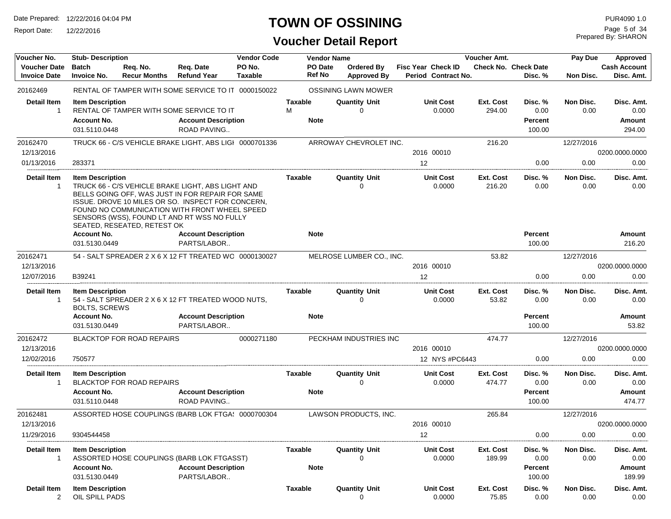Report Date: 12/22/2016

## **TOWN OF OSSINING**

Prepared By: SHARON Page 5 of 34

| Voucher No.                                | <b>Stub-Description</b>                         |                                  |                                                                                                                                                                                                                                                            | <b>Vendor Code</b>       |                             | <b>Vendor Name</b>       |                                  |                                           | <b>Voucher Amt.</b> |                                        | Pay Due           | Approved                          |
|--------------------------------------------|-------------------------------------------------|----------------------------------|------------------------------------------------------------------------------------------------------------------------------------------------------------------------------------------------------------------------------------------------------------|--------------------------|-----------------------------|--------------------------|----------------------------------|-------------------------------------------|---------------------|----------------------------------------|-------------------|-----------------------------------|
| <b>Voucher Date</b><br><b>Invoice Date</b> | <b>Batch</b><br><b>Invoice No.</b>              | Req. No.<br><b>Recur Months</b>  | Req. Date<br><b>Refund Year</b>                                                                                                                                                                                                                            | PO No.<br><b>Taxable</b> |                             | PO Date<br><b>Ref No</b> | Ordered By<br><b>Approved By</b> | Fisc Year Check ID<br>Period Contract No. |                     | <b>Check No. Check Date</b><br>Disc. % | Non Disc.         | <b>Cash Account</b><br>Disc. Amt. |
| 20162469                                   |                                                 |                                  | RENTAL OF TAMPER WITH SOME SERVICE TO IT 0000150022                                                                                                                                                                                                        |                          |                             |                          | <b>OSSINING LAWN MOWER</b>       |                                           |                     |                                        |                   |                                   |
| Detail Item<br>-1                          | <b>Item Description</b><br><b>Account No.</b>   |                                  | RENTAL OF TAMPER WITH SOME SERVICE TO IT<br><b>Account Description</b>                                                                                                                                                                                     |                          | Taxable<br>м<br><b>Note</b> |                          | <b>Quantity Unit</b><br>$\Omega$ | <b>Unit Cost</b><br>0.0000                | Ext. Cost<br>294.00 | Disc. %<br>0.00<br>Percent             | Non Disc.<br>0.00 | Disc. Amt.<br>0.00<br>Amount      |
|                                            | 031.5110.0448                                   |                                  | ROAD PAVING                                                                                                                                                                                                                                                |                          |                             |                          |                                  |                                           |                     | 100.00                                 |                   | 294.00                            |
| 20162470                                   |                                                 |                                  | TRUCK 66 - C/S VEHICLE BRAKE LIGHT, ABS LIGI 0000701336                                                                                                                                                                                                    |                          |                             |                          | ARROWAY CHEVROLET INC.           |                                           | 216.20              |                                        | 12/27/2016        |                                   |
| 12/13/2016                                 |                                                 |                                  |                                                                                                                                                                                                                                                            |                          |                             |                          |                                  | 2016 00010                                |                     |                                        |                   | 0200.0000.0000                    |
| 01/13/2016                                 | 283371                                          |                                  |                                                                                                                                                                                                                                                            |                          |                             |                          |                                  | $12 \overline{ }$                         |                     | 0.00                                   | 0.00              | 0.00                              |
| <b>Detail Item</b><br>$\overline{1}$       | <b>Item Description</b>                         | SEATED, RESEATED, RETEST OK      | TRUCK 66 - C/S VEHICLE BRAKE LIGHT, ABS LIGHT AND<br>BELLS GOING OFF, WAS JUST IN FOR REPAIR FOR SAME<br>ISSUE. DROVE 10 MILES OR SO. INSPECT FOR CONCERN,<br>FOUND NO COMMUNICATION WITH FRONT WHEEL SPEED<br>SENSORS (WSS), FOUND LT AND RT WSS NO FULLY |                          | Taxable                     |                          | <b>Quantity Unit</b><br>0        | <b>Unit Cost</b><br>0.0000                | Ext. Cost<br>216.20 | Disc. %<br>0.00                        | Non Disc.<br>0.00 | Disc. Amt.<br>0.00                |
|                                            | <b>Account No.</b><br>031.5130.0449             |                                  | <b>Account Description</b><br>PARTS/LABOR                                                                                                                                                                                                                  |                          | <b>Note</b>                 |                          |                                  |                                           |                     | Percent<br>100.00                      |                   | Amount<br>216.20                  |
| 20162471                                   |                                                 |                                  | 54 - SALT SPREADER 2 X 6 X 12 FT TREATED WC 0000130027                                                                                                                                                                                                     |                          |                             |                          | MELROSE LUMBER CO., INC.         |                                           | 53.82               |                                        | 12/27/2016        |                                   |
| 12/13/2016                                 |                                                 |                                  |                                                                                                                                                                                                                                                            |                          |                             |                          |                                  | 2016 00010                                |                     |                                        |                   | 0200.0000.0000                    |
| 12/07/2016                                 | B39241                                          |                                  |                                                                                                                                                                                                                                                            |                          |                             |                          |                                  | 12                                        |                     | 0.00                                   | 0.00              | 0.00                              |
| <b>Detail Item</b><br>-1                   | <b>Item Description</b><br><b>BOLTS, SCREWS</b> |                                  | 54 - SALT SPREADER 2 X 6 X 12 FT TREATED WOOD NUTS.                                                                                                                                                                                                        |                          | Taxable                     |                          | <b>Quantity Unit</b><br>$\Omega$ | <b>Unit Cost</b><br>0.0000                | Ext. Cost<br>53.82  | Disc. %<br>0.00                        | Non Disc.<br>0.00 | Disc. Amt.<br>0.00                |
|                                            | <b>Account No.</b><br>031.5130.0449             |                                  | <b>Account Description</b><br>PARTS/LABOR                                                                                                                                                                                                                  |                          | <b>Note</b>                 |                          |                                  |                                           |                     | Percent<br>100.00                      |                   | Amount<br>53.82                   |
| 20162472<br>12/13/2016                     |                                                 | <b>BLACKTOP FOR ROAD REPAIRS</b> |                                                                                                                                                                                                                                                            | 0000271180               |                             |                          | PECKHAM INDUSTRIES INC           | 2016 00010                                | 474.77              |                                        | 12/27/2016        | 0200.0000.0000                    |
| 12/02/2016                                 | 750577                                          |                                  |                                                                                                                                                                                                                                                            |                          |                             |                          |                                  | 12 NYS #PC6443                            |                     | 0.00                                   | 0.00              | 0.00                              |
| Detail Item<br>-1                          | <b>Item Description</b>                         | <b>BLACKTOP FOR ROAD REPAIRS</b> |                                                                                                                                                                                                                                                            |                          | Taxable                     |                          | <b>Quantity Unit</b><br>$\Omega$ | <b>Unit Cost</b><br>0.0000                | Ext. Cost<br>474.77 | Disc. %<br>0.00                        | Non Disc.<br>0.00 | Disc. Amt.<br>0.00                |
|                                            | <b>Account No.</b><br>031.5110.0448             |                                  | <b>Account Description</b><br><b>ROAD PAVING</b>                                                                                                                                                                                                           |                          | <b>Note</b>                 |                          |                                  |                                           |                     | Percent<br>100.00                      |                   | Amount<br>474.77                  |
| 20162481                                   |                                                 |                                  | ASSORTED HOSE COUPLINGS (BARB LOK FTGA: 0000700304                                                                                                                                                                                                         |                          |                             |                          | LAWSON PRODUCTS, INC.            |                                           | 265.84              |                                        | 12/27/2016        |                                   |
| 12/13/2016                                 |                                                 |                                  |                                                                                                                                                                                                                                                            |                          |                             |                          |                                  | 2016 00010                                |                     |                                        |                   | 0200.0000.0000                    |
| 11/29/2016                                 | 9304544458                                      |                                  |                                                                                                                                                                                                                                                            |                          |                             |                          |                                  | 12                                        |                     | 0.00                                   | 0.00              | 0.00                              |
| Detail Item<br>-1                          | <b>Item Description</b>                         |                                  | ASSORTED HOSE COUPLINGS (BARB LOK FTGASST)                                                                                                                                                                                                                 |                          | Taxable                     |                          | <b>Quantity Unit</b><br>$\Omega$ | <b>Unit Cost</b><br>0.0000                | Ext. Cost<br>189.99 | Disc. %<br>0.00                        | Non Disc.<br>0.00 | Disc. Amt.<br>0.00                |
|                                            | <b>Account No.</b><br>031.5130.0449             |                                  | <b>Account Description</b><br>PARTS/LABOR                                                                                                                                                                                                                  |                          | <b>Note</b>                 |                          |                                  |                                           |                     | Percent<br>100.00                      |                   | Amount<br>189.99                  |
| Detail Item<br>$\overline{2}$              | <b>Item Description</b><br>OIL SPILL PADS       |                                  |                                                                                                                                                                                                                                                            |                          | <b>Taxable</b>              |                          | <b>Quantity Unit</b><br>0        | <b>Unit Cost</b><br>0.0000                | Ext. Cost<br>75.85  | Disc. %<br>0.00                        | Non Disc.<br>0.00 | Disc. Amt.<br>0.00                |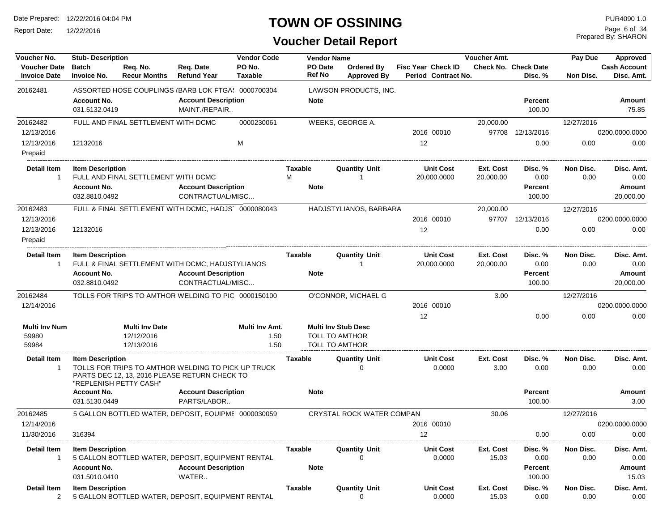Report Date: 12/22/2016

## **TOWN OF OSSINING**

Prepared By: SHARON Page 6 of 34

| Voucher No.                                | <b>Stub-Description</b>                       |                                                                                                                               |                                                | <b>Vendor Code</b>             |                          | <b>Vendor Name</b>                                                           |                                                  | Voucher Amt.           |                                        | Pay Due           | Approved                          |
|--------------------------------------------|-----------------------------------------------|-------------------------------------------------------------------------------------------------------------------------------|------------------------------------------------|--------------------------------|--------------------------|------------------------------------------------------------------------------|--------------------------------------------------|------------------------|----------------------------------------|-------------------|-----------------------------------|
| <b>Voucher Date</b><br><b>Invoice Date</b> | <b>Batch</b><br><b>Invoice No.</b>            | Req. No.<br><b>Recur Months</b>                                                                                               | Req. Date<br><b>Refund Year</b>                | PO No.<br><b>Taxable</b>       | PO Date<br><b>Ref No</b> | Ordered By<br><b>Approved By</b>                                             | <b>Fisc Year Check ID</b><br>Period Contract No. |                        | <b>Check No. Check Date</b><br>Disc. % | Non Disc.         | <b>Cash Account</b><br>Disc. Amt. |
| 20162481                                   |                                               | ASSORTED HOSE COUPLINGS (BARB LOK FTGA: 0000700304                                                                            |                                                |                                |                          | LAWSON PRODUCTS, INC.                                                        |                                                  |                        |                                        |                   |                                   |
|                                            | <b>Account No.</b><br>031.5132.0419           |                                                                                                                               | <b>Account Description</b><br>MAINT./REPAIR    |                                | <b>Note</b>              |                                                                              |                                                  |                        | <b>Percent</b><br>100.00               |                   | Amount<br>75.85                   |
| 20162482                                   |                                               | FULL AND FINAL SETTLEMENT WITH DCMC                                                                                           |                                                | 0000230061                     |                          | WEEKS, GEORGE A.                                                             |                                                  | 20,000.00              |                                        | 12/27/2016        |                                   |
| 12/13/2016                                 |                                               |                                                                                                                               |                                                |                                |                          |                                                                              | 2016 00010                                       | 97708                  | 12/13/2016                             |                   | 0200.0000.0000                    |
| 12/13/2016<br>Prepaid                      | 12132016                                      |                                                                                                                               |                                                | M                              |                          |                                                                              | 12                                               |                        | 0.00                                   | 0.00              | 0.00                              |
| Detail Item<br>-1                          | <b>Item Description</b>                       | FULL AND FINAL SETTLEMENT WITH DCMC                                                                                           |                                                |                                | Taxable<br>M             | <b>Quantity Unit</b><br>-1                                                   | <b>Unit Cost</b><br>20,000.0000                  | Ext. Cost<br>20,000.00 | Disc. %<br>0.00                        | Non Disc.<br>0.00 | Disc. Amt.<br>0.00                |
|                                            | <b>Account No.</b><br>032.8810.0492           |                                                                                                                               | <b>Account Description</b><br>CONTRACTUAL/MISC |                                | <b>Note</b>              |                                                                              |                                                  |                        | <b>Percent</b><br>100.00               |                   | Amount<br>20,000.00               |
| 20162483                                   |                                               | FULL & FINAL SETTLEMENT WITH DCMC, HADJS' 0000080043                                                                          |                                                |                                |                          | HADJSTYLIANOS, BARBARA                                                       |                                                  | 20,000.00              |                                        | 12/27/2016        |                                   |
| 12/13/2016                                 |                                               |                                                                                                                               |                                                |                                |                          |                                                                              | 2016 00010                                       |                        | 97707 12/13/2016                       |                   | 0200.0000.0000                    |
| 12/13/2016<br>Prepaid                      | 12132016                                      |                                                                                                                               |                                                |                                |                          |                                                                              | 12                                               |                        | 0.00                                   | 0.00              | 0.00                              |
| <b>Detail Item</b><br>$\overline{1}$       | <b>Item Description</b><br><b>Account No.</b> | FULL & FINAL SETTLEMENT WITH DCMC, HADJSTYLIANOS                                                                              | <b>Account Description</b><br>CONTRACTUAL/MISC |                                | Taxable<br><b>Note</b>   | <b>Quantity Unit</b><br>-1                                                   | <b>Unit Cost</b><br>20,000.0000                  | Ext. Cost<br>20,000.00 | Disc. %<br>0.00<br><b>Percent</b>      | Non Disc.<br>0.00 | Disc. Amt.<br>0.00<br>Amount      |
|                                            | 032.8810.0492                                 |                                                                                                                               |                                                |                                |                          |                                                                              |                                                  |                        | 100.00                                 |                   | 20,000.00                         |
| 20162484<br>12/14/2016                     |                                               | TOLLS FOR TRIPS TO AMTHOR WELDING TO PIC 0000150100                                                                           |                                                |                                |                          | O'CONNOR, MICHAEL G                                                          | 2016 00010                                       | 3.00                   |                                        | 12/27/2016        | 0200.0000.0000                    |
|                                            |                                               |                                                                                                                               |                                                |                                |                          |                                                                              | 12                                               |                        | 0.00                                   | 0.00              | 0.00                              |
| <b>Multi Inv Num</b><br>59980<br>59984     |                                               | <b>Multi Inv Date</b><br>12/12/2016<br>12/13/2016                                                                             |                                                | Multi Inv Amt.<br>1.50<br>1.50 |                          | <b>Multi Inv Stub Desc</b><br><b>TOLL TO AMTHOR</b><br><b>TOLL TO AMTHOR</b> |                                                  |                        |                                        |                   |                                   |
| <b>Detail Item</b><br>-1                   | <b>Item Description</b>                       | TOLLS FOR TRIPS TO AMTHOR WELDING TO PICK UP TRUCK<br>PARTS DEC 12, 13, 2016 PLEASE RETURN CHECK TO<br>"REPLENISH PETTY CASH" |                                                |                                | Taxable                  | <b>Quantity Unit</b><br>$\Omega$                                             | <b>Unit Cost</b><br>0.0000                       | Ext. Cost<br>3.00      | Disc. %<br>0.00                        | Non Disc.<br>0.00 | Disc. Amt.<br>0.00                |
|                                            | <b>Account No.</b><br>031.5130.0449           |                                                                                                                               | <b>Account Description</b><br>PARTS/LABOR      |                                | <b>Note</b>              |                                                                              |                                                  |                        | <b>Percent</b><br>100.00               |                   | Amount<br>3.00                    |
| 20162485<br>12/14/2016                     |                                               | 5 GALLON BOTTLED WATER, DEPOSIT, EQUIPME 0000030059                                                                           |                                                |                                |                          | CRYSTAL ROCK WATER COMPAN                                                    | 2016 00010                                       | 30.06                  |                                        | 12/27/2016        | 0200.0000.0000                    |
| 11/30/2016                                 | 316394                                        |                                                                                                                               |                                                |                                |                          |                                                                              | 12 <sub>1</sub>                                  |                        | 0.00                                   | 0.00              | 0.00                              |
| Detail Item<br>-1                          | <b>Item Description</b>                       | 5 GALLON BOTTLED WATER, DEPOSIT, EQUIPMENT RENTAL                                                                             |                                                |                                | Taxable                  | <b>Quantity Unit</b><br>$\Omega$                                             | <b>Unit Cost</b><br>0.0000                       | Ext. Cost<br>15.03     | Disc. %<br>0.00                        | Non Disc.<br>0.00 | Disc. Amt.<br>0.00                |
|                                            | <b>Account No.</b><br>031.5010.0410           |                                                                                                                               | <b>Account Description</b><br>WATER            |                                | <b>Note</b>              |                                                                              |                                                  |                        | Percent<br>100.00                      |                   | Amount<br>15.03                   |
| Detail Item<br>2                           | <b>Item Description</b>                       | 5 GALLON BOTTLED WATER, DEPOSIT, EQUIPMENT RENTAL                                                                             |                                                |                                | Taxable                  | <b>Quantity Unit</b><br>$\mathbf{0}$                                         | <b>Unit Cost</b><br>0.0000                       | Ext. Cost<br>15.03     | Disc.%<br>0.00                         | Non Disc.<br>0.00 | Disc. Amt.<br>0.00                |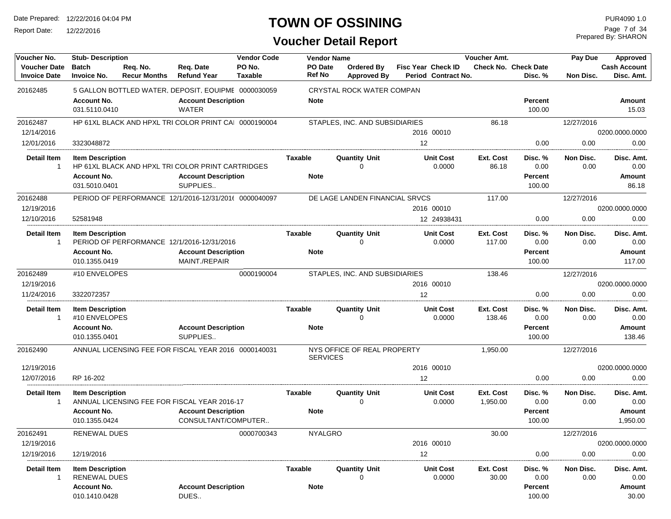Report Date: 12/22/2016

## **TOWN OF OSSINING**

Prepared By: SHARON Page 7 of 34

| Voucher No.                                | <b>Stub- Description</b>                       |                                 |                                                       | <b>Vendor Code</b>       | <b>Vendor Name</b>              |                                  |                           |                            | Voucher Amt.          |                                        | Pay Due           | Approved                          |
|--------------------------------------------|------------------------------------------------|---------------------------------|-------------------------------------------------------|--------------------------|---------------------------------|----------------------------------|---------------------------|----------------------------|-----------------------|----------------------------------------|-------------------|-----------------------------------|
| <b>Voucher Date</b><br><b>Invoice Date</b> | <b>Batch</b><br><b>Invoice No.</b>             | Req. No.<br><b>Recur Months</b> | Req. Date<br><b>Refund Year</b>                       | PO No.<br><b>Taxable</b> | <b>PO</b> Date<br><b>Ref No</b> | Ordered By<br><b>Approved By</b> | <b>Fisc Year Check ID</b> | Period Contract No.        |                       | <b>Check No. Check Date</b><br>Disc. % | Non Disc.         | <b>Cash Account</b><br>Disc. Amt. |
| 20162485                                   |                                                |                                 | 5 GALLON BOTTLED WATER, DEPOSIT, EQUIPME 0000030059   |                          |                                 | CRYSTAL ROCK WATER COMPAN        |                           |                            |                       |                                        |                   |                                   |
|                                            | <b>Account No.</b><br>031.5110.0410            |                                 | <b>Account Description</b><br>WATER                   |                          | <b>Note</b>                     |                                  |                           |                            |                       | <b>Percent</b><br>100.00               |                   | Amount<br>15.03                   |
| 20162487                                   |                                                |                                 | HP 61XL BLACK AND HPXL TRI COLOR PRINT CAI 0000190004 |                          |                                 | STAPLES, INC. AND SUBSIDIARIES   |                           |                            | 86.18                 |                                        | 12/27/2016        |                                   |
| 12/14/2016                                 |                                                |                                 |                                                       |                          |                                 |                                  |                           | 2016 00010                 |                       |                                        |                   | 0200.0000.0000                    |
| 12/01/2016                                 | 3323048872                                     |                                 |                                                       |                          |                                 |                                  | 12                        |                            |                       | 0.00                                   | 0.00              | 0.00                              |
| <b>Detail Item</b><br>$\overline{1}$       | <b>Item Description</b>                        |                                 | HP 61XL BLACK AND HPXL TRI COLOR PRINT CARTRIDGES     |                          | Taxable                         | <b>Quantity Unit</b><br>0        |                           | <b>Unit Cost</b><br>0.0000 | Ext. Cost<br>86.18    | Disc. %<br>0.00                        | Non Disc.<br>0.00 | Disc. Amt.<br>0.00                |
|                                            | <b>Account No.</b><br>031.5010.0401            |                                 | <b>Account Description</b><br>SUPPLIES                |                          | <b>Note</b>                     |                                  |                           |                            |                       | <b>Percent</b><br>100.00               |                   | Amount<br>86.18                   |
| 20162488                                   |                                                |                                 | PERIOD OF PERFORMANCE 12/1/2016-12/31/2016 0000040097 |                          |                                 | DE LAGE LANDEN FINANCIAL SRVCS   |                           |                            | 117.00                |                                        | 12/27/2016        |                                   |
| 12/19/2016                                 |                                                |                                 |                                                       |                          |                                 |                                  |                           | 2016 00010                 |                       |                                        |                   | 0200.0000.0000                    |
| 12/10/2016                                 | 52581948                                       |                                 |                                                       |                          |                                 |                                  |                           | 12 24938431                |                       | 0.00                                   | 0.00              | 0.00                              |
| <b>Detail Item</b><br>$\mathbf{1}$         | <b>Item Description</b>                        |                                 | PERIOD OF PERFORMANCE 12/1/2016-12/31/2016            |                          | <b>Taxable</b>                  | <b>Quantity Unit</b><br>0        |                           | <b>Unit Cost</b><br>0.0000 | Ext. Cost<br>117.00   | Disc. %<br>0.00                        | Non Disc.<br>0.00 | Disc. Amt.<br>0.00                |
|                                            | <b>Account No.</b><br>010.1355.0419            |                                 | <b>Account Description</b><br>MAINT./REPAIR           |                          | <b>Note</b>                     |                                  |                           |                            |                       | <b>Percent</b><br>100.00               |                   | Amount<br>117.00                  |
| 20162489                                   | #10 ENVELOPES                                  |                                 |                                                       | 0000190004               |                                 | STAPLES, INC. AND SUBSIDIARIES   |                           |                            | 138.46                |                                        | 12/27/2016        |                                   |
| 12/19/2016                                 |                                                |                                 |                                                       |                          |                                 |                                  |                           | 2016 00010                 |                       |                                        |                   | 0200.0000.0000                    |
| 11/24/2016                                 | 3322072357                                     |                                 |                                                       |                          |                                 |                                  | 12                        |                            |                       | 0.00                                   | 0.00              | 0.00                              |
| <b>Detail Item</b><br>-1                   | <b>Item Description</b><br>#10 ENVELOPES       |                                 |                                                       |                          | Taxable                         | <b>Quantity Unit</b><br>$\Omega$ |                           | <b>Unit Cost</b><br>0.0000 | Ext. Cost<br>138.46   | Disc. %<br>0.00                        | Non Disc.<br>0.00 | Disc. Amt.<br>0.00                |
|                                            | <b>Account No.</b><br>010.1355.0401            |                                 | <b>Account Description</b><br>SUPPLIES                |                          | <b>Note</b>                     |                                  |                           |                            |                       | <b>Percent</b><br>100.00               |                   | Amount<br>138.46                  |
| 20162490                                   |                                                |                                 | ANNUAL LICENSING FEE FOR FISCAL YEAR 2016 0000140031  |                          | <b>SERVICES</b>                 | NYS OFFICE OF REAL PROPERTY      |                           |                            | 1,950.00              |                                        | 12/27/2016        |                                   |
| 12/19/2016                                 |                                                |                                 |                                                       |                          |                                 |                                  |                           | 2016 00010                 |                       |                                        |                   | 0200.0000.0000                    |
| 12/07/2016                                 | RP 16-202                                      |                                 |                                                       |                          |                                 |                                  | 12                        |                            |                       | 0.00                                   | 0.00              | 0.00                              |
| <b>Detail Item</b><br>-1                   | <b>Item Description</b>                        |                                 | ANNUAL LICENSING FEE FOR FISCAL YEAR 2016-17          |                          | <b>Taxable</b>                  | <b>Quantity Unit</b><br>0        |                           | <b>Unit Cost</b><br>0.0000 | Ext. Cost<br>1,950.00 | Disc. %<br>0.00                        | Non Disc.<br>0.00 | Disc. Amt.<br>0.00                |
|                                            | <b>Account No.</b><br>010.1355.0424            |                                 | <b>Account Description</b><br>CONSULTANT/COMPUTER     |                          | <b>Note</b>                     |                                  |                           |                            |                       | <b>Percent</b><br>100.00               |                   | Amount<br>1,950.00                |
| 20162491<br>12/19/2016                     | RENEWAL DUES                                   |                                 |                                                       | 0000700343               | <b>NYALGRO</b>                  |                                  |                           |                            | 30.00                 |                                        | 12/27/2016        | 0200.0000.0000                    |
| 12/19/2016                                 | 12/19/2016                                     |                                 |                                                       |                          |                                 |                                  | 12                        | 2016 00010                 |                       | 0.00                                   | 0.00              | 0.00                              |
|                                            |                                                |                                 |                                                       |                          |                                 |                                  |                           |                            |                       |                                        |                   |                                   |
| Detail Item<br>-1                          | <b>Item Description</b><br><b>RENEWAL DUES</b> |                                 |                                                       |                          | Taxable                         | <b>Quantity Unit</b><br>O        |                           | <b>Unit Cost</b><br>0.0000 | Ext. Cost<br>30.00    | Disc. %<br>0.00                        | Non Disc.<br>0.00 | Disc. Amt.<br>0.00                |
|                                            | <b>Account No.</b><br>010.1410.0428            |                                 | <b>Account Description</b><br>DUES                    |                          | <b>Note</b>                     |                                  |                           |                            |                       | <b>Percent</b><br>100.00               |                   | Amount<br>30.00                   |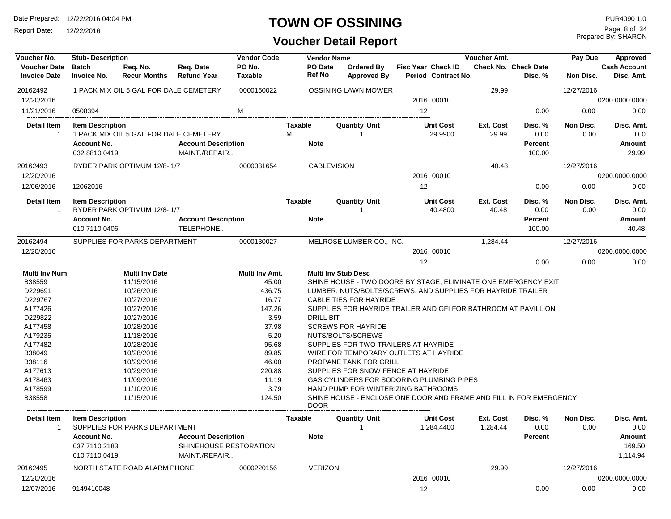Report Date: 12/22/2016

### **TOWN OF OSSINING**

| Voucher No.                                | <b>Stub-Description</b>             |                                        |                                             | <b>Vendor Code</b>       |              | Vendor Name        |                                                                    |    |                                                  | Voucher Amt.       |                                        | Pay Due           | <b>Approved</b>                   |
|--------------------------------------------|-------------------------------------|----------------------------------------|---------------------------------------------|--------------------------|--------------|--------------------|--------------------------------------------------------------------|----|--------------------------------------------------|--------------------|----------------------------------------|-------------------|-----------------------------------|
| <b>Voucher Date</b><br><b>Invoice Date</b> | <b>Batch</b><br><b>Invoice No.</b>  | Req. No.<br><b>Recur Months</b>        | Req. Date<br><b>Refund Year</b>             | PO No.<br><b>Taxable</b> |              | PO Date<br>Ref No  | Ordered By<br><b>Approved By</b>                                   |    | <b>Fisc Year Check ID</b><br>Period Contract No. |                    | <b>Check No. Check Date</b><br>Disc. % | Non Disc.         | <b>Cash Account</b><br>Disc. Amt. |
| 20162492                                   |                                     | 1 PACK MIX OIL 5 GAL FOR DALE CEMETERY |                                             | 0000150022               |              |                    | <b>OSSINING LAWN MOWER</b>                                         |    |                                                  | 29.99              |                                        | 12/27/2016        |                                   |
| 12/20/2016                                 |                                     |                                        |                                             |                          |              |                    |                                                                    |    | 2016 00010                                       |                    |                                        |                   | 0200.0000.0000                    |
| 11/21/2016                                 | 0508394                             |                                        |                                             | M                        |              |                    |                                                                    | 12 |                                                  |                    | 0.00                                   | 0.00              | 0.00                              |
| <b>Detail Item</b><br>$\mathbf{1}$         | <b>Item Description</b>             | 1 PACK MIX OIL 5 GAL FOR DALE CEMETERY |                                             |                          | Taxable<br>M |                    | <b>Quantity Unit</b><br>-1                                         |    | <b>Unit Cost</b><br>29.9900                      | Ext. Cost<br>29.99 | Disc. %<br>0.00                        | Non Disc.<br>0.00 | Disc. Amt.<br>0.00                |
|                                            | <b>Account No.</b><br>032.8810.0419 |                                        | <b>Account Description</b><br>MAINT./REPAIR |                          |              | <b>Note</b>        |                                                                    |    |                                                  |                    | Percent<br>100.00                      |                   | Amount<br>29.99                   |
| 20162493                                   |                                     | RYDER PARK OPTIMUM 12/8-1/7            |                                             | 0000031654               |              | <b>CABLEVISION</b> |                                                                    |    |                                                  | 40.48              |                                        | 12/27/2016        |                                   |
| 12/20/2016                                 |                                     |                                        |                                             |                          |              |                    |                                                                    |    | 2016 00010                                       |                    |                                        |                   | 0200.0000.0000                    |
| 12/06/2016                                 | 12062016                            |                                        |                                             |                          |              |                    |                                                                    | 12 |                                                  |                    | 0.00                                   | 0.00              | 0.00                              |
| <b>Detail Item</b><br>1                    | <b>Item Description</b>             | RYDER PARK OPTIMUM 12/8-1/7            |                                             |                          | Taxable      |                    | Quantity Unit                                                      |    | <b>Unit Cost</b><br>40.4800                      | Ext. Cost<br>40.48 | Disc. %<br>0.00                        | Non Disc.<br>0.00 | Disc. Amt.<br>0.00                |
|                                            | <b>Account No.</b>                  |                                        | <b>Account Description</b>                  |                          |              | <b>Note</b>        |                                                                    |    |                                                  |                    | Percent                                |                   | Amount                            |
|                                            | 010.7110.0406                       |                                        | TELEPHONE                                   |                          |              |                    |                                                                    |    |                                                  |                    | 100.00                                 |                   | 40.48                             |
| 20162494                                   |                                     | SUPPLIES FOR PARKS DEPARTMENT          |                                             | 0000130027               |              |                    | MELROSE LUMBER CO., INC.                                           |    |                                                  | 1,284.44           |                                        | 12/27/2016        |                                   |
| 12/20/2016                                 |                                     |                                        |                                             |                          |              |                    |                                                                    |    | 2016 00010                                       |                    |                                        |                   | 0200.0000.0000                    |
|                                            |                                     |                                        |                                             |                          |              |                    |                                                                    | 12 |                                                  |                    | 0.00                                   | 0.00              | 0.00                              |
| <b>Multi Inv Num</b>                       |                                     | <b>Multi Inv Date</b>                  |                                             | Multi Inv Amt.           |              |                    | <b>Multi Inv Stub Desc</b>                                         |    |                                                  |                    |                                        |                   |                                   |
| B38559                                     |                                     | 11/15/2016                             |                                             | 45.00                    |              |                    | SHINE HOUSE - TWO DOORS BY STAGE, ELIMINATE ONE EMERGENCY EXIT     |    |                                                  |                    |                                        |                   |                                   |
| D229691                                    |                                     | 10/26/2016                             |                                             | 436.75                   |              |                    | LUMBER, NUTS/BOLTS/SCREWS, AND SUPPLIES FOR HAYRIDE TRAILER        |    |                                                  |                    |                                        |                   |                                   |
| D229767                                    |                                     | 10/27/2016                             |                                             | 16.77                    |              |                    | CABLE TIES FOR HAYRIDE                                             |    |                                                  |                    |                                        |                   |                                   |
| A177426                                    |                                     | 10/27/2016                             |                                             | 147.26                   |              |                    | SUPPLIES FOR HAYRIDE TRAILER AND GFI FOR BATHROOM AT PAVILLION     |    |                                                  |                    |                                        |                   |                                   |
| D229822                                    |                                     | 10/27/2016                             |                                             | 3.59                     |              | <b>DRILL BIT</b>   |                                                                    |    |                                                  |                    |                                        |                   |                                   |
| A177458                                    |                                     | 10/28/2016                             |                                             | 37.98                    |              |                    | <b>SCREWS FOR HAYRIDE</b>                                          |    |                                                  |                    |                                        |                   |                                   |
| A179235                                    |                                     | 11/18/2016                             |                                             | 5.20                     |              |                    | NUTS/BOLTS/SCREWS                                                  |    |                                                  |                    |                                        |                   |                                   |
| A177482                                    |                                     | 10/28/2016                             |                                             | 95.68                    |              |                    | SUPPLIES FOR TWO TRAILERS AT HAYRIDE                               |    |                                                  |                    |                                        |                   |                                   |
| B38049                                     |                                     | 10/28/2016                             |                                             | 89.85                    |              |                    | WIRE FOR TEMPORARY OUTLETS AT HAYRIDE                              |    |                                                  |                    |                                        |                   |                                   |
| B38116                                     |                                     | 10/29/2016                             |                                             | 46.00                    |              |                    | PROPANE TANK FOR GRILL                                             |    |                                                  |                    |                                        |                   |                                   |
| A177613                                    |                                     | 10/29/2016                             |                                             | 220.88                   |              |                    | SUPPLIES FOR SNOW FENCE AT HAYRIDE                                 |    |                                                  |                    |                                        |                   |                                   |
| A178463                                    |                                     | 11/09/2016                             |                                             | 11.19                    |              |                    | GAS CYLINDERS FOR SODORING PLUMBING PIPES                          |    |                                                  |                    |                                        |                   |                                   |
| A178599                                    |                                     | 11/10/2016                             |                                             | 3.79                     |              |                    | HAND PUMP FOR WINTERIZING BATHROOMS                                |    |                                                  |                    |                                        |                   |                                   |
| B38558                                     |                                     | 11/15/2016                             |                                             | 124.50                   |              | <b>DOOR</b>        | SHINE HOUSE - ENCLOSE ONE DOOR AND FRAME AND FILL IN FOR EMERGENCY |    |                                                  |                    |                                        |                   |                                   |
| Detail Item                                | <b>Item Description</b>             |                                        |                                             |                          | Taxable      |                    | Quantity Unit                                                      |    | <b>Unit Cost</b>                                 | Ext. Cost          | Disc. %                                | Non Disc.         | Disc. Amt.                        |
| 1                                          |                                     | SUPPLIES FOR PARKS DEPARTMENT          |                                             |                          |              |                    | -1                                                                 |    | 1,284.4400                                       | 1,284.44           | 0.00                                   | 0.00              | 0.00                              |
|                                            | <b>Account No.</b>                  |                                        | <b>Account Description</b>                  |                          |              | <b>Note</b>        |                                                                    |    |                                                  |                    | <b>Percent</b>                         |                   | Amount                            |
|                                            | 037.7110.2183                       |                                        | SHINEHOUSE RESTORATION                      |                          |              |                    |                                                                    |    |                                                  |                    |                                        |                   | 169.50                            |
|                                            | 010.7110.0419                       |                                        | MAINT./REPAIR                               |                          |              |                    |                                                                    |    |                                                  |                    |                                        |                   | 1,114.94                          |
| 20162495                                   |                                     | NORTH STATE ROAD ALARM PHONE           |                                             | 0000220156               |              | <b>VERIZON</b>     |                                                                    |    |                                                  | 29.99              |                                        | 12/27/2016        |                                   |
| 12/20/2016                                 |                                     |                                        |                                             |                          |              |                    |                                                                    |    | 2016 00010                                       |                    |                                        |                   | 0200.0000.0000                    |
| 12/07/2016                                 | 9149410048                          |                                        |                                             |                          |              |                    |                                                                    | 12 |                                                  |                    | 0.00                                   | 0.00              | 0.00                              |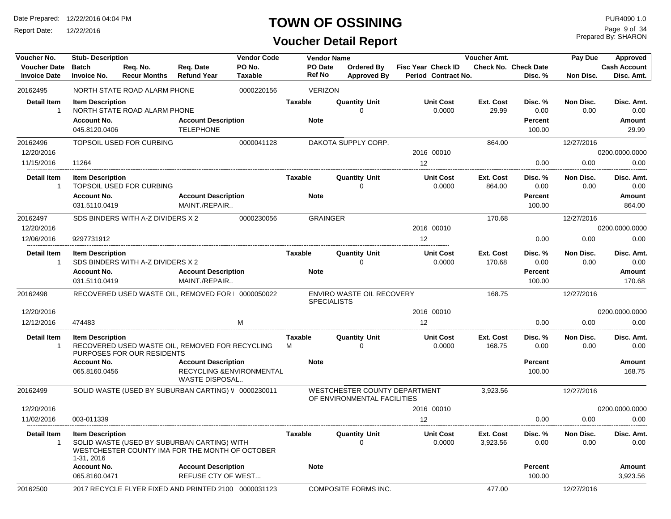Report Date: 12/22/2016

## **TOWN OF OSSINING**

## **Voucher Detail Report**

Prepared By: SHARON Page 9 of 34

| Voucher No.                                | <b>Stub-Description</b>                           |                                   |                                                                                                | <b>Vendor Code</b>       |                                 | <b>Vendor Name</b>                                           |                                           | Voucher Amt.               |                                 | Pay Due                  | Approved                          |
|--------------------------------------------|---------------------------------------------------|-----------------------------------|------------------------------------------------------------------------------------------------|--------------------------|---------------------------------|--------------------------------------------------------------|-------------------------------------------|----------------------------|---------------------------------|--------------------------|-----------------------------------|
| <b>Voucher Date</b><br><b>Invoice Date</b> | <b>Batch</b><br><b>Invoice No.</b>                | Req. No.<br><b>Recur Months</b>   | Req. Date<br><b>Refund Year</b>                                                                | PO No.<br><b>Taxable</b> | <b>PO</b> Date<br><b>Ref No</b> | Ordered By<br><b>Approved By</b>                             | Fisc Year Check ID<br>Period Contract No. |                            | Check No. Check Date<br>Disc. % | <b>Non Disc.</b>         | <b>Cash Account</b><br>Disc. Amt. |
| 20162495                                   |                                                   | NORTH STATE ROAD ALARM PHONE      |                                                                                                | 0000220156               | <b>VERIZON</b>                  |                                                              |                                           |                            |                                 |                          |                                   |
| <b>Detail Item</b>                         | <b>Item Description</b>                           |                                   |                                                                                                |                          | <b>Taxable</b>                  | <b>Quantity Unit</b>                                         | <b>Unit Cost</b>                          | <b>Ext. Cost</b>           | Disc. %                         | <b>Non Disc.</b>         | Disc. Amt.                        |
| -1                                         |                                                   | NORTH STATE ROAD ALARM PHONE      |                                                                                                |                          |                                 | $\Omega$                                                     | 0.0000                                    | 29.99                      | 0.00                            | 0.00                     | 0.00                              |
|                                            | <b>Account No.</b>                                |                                   | <b>Account Description</b>                                                                     |                          | <b>Note</b>                     |                                                              |                                           |                            | Percent                         |                          | <b>Amount</b>                     |
|                                            | 045.8120.0406                                     |                                   | <b>TELEPHONE</b>                                                                               |                          |                                 |                                                              |                                           |                            | 100.00                          |                          | 29.99                             |
| 20162496                                   |                                                   | TOPSOIL USED FOR CURBING          |                                                                                                | 0000041128               |                                 | DAKOTA SUPPLY CORP.                                          |                                           | 864.00                     |                                 | 12/27/2016               |                                   |
| 12/20/2016                                 |                                                   |                                   |                                                                                                |                          |                                 |                                                              | 2016 00010                                |                            |                                 |                          | 0200.0000.0000                    |
| 11/15/2016                                 | 11264                                             |                                   |                                                                                                |                          |                                 |                                                              | 12                                        |                            | 0.00                            | 0.00                     | 0.00                              |
| <b>Detail Item</b><br>$\mathbf{1}$         | <b>Item Description</b>                           | TOPSOIL USED FOR CURBING          |                                                                                                |                          | Taxable                         | <b>Quantity Unit</b><br>$\mathbf 0$                          | <b>Unit Cost</b><br>0.0000                | Ext. Cost<br>864.00        | Disc. %<br>0.00                 | <b>Non Disc.</b><br>0.00 | Disc. Amt.<br>0.00                |
|                                            | <b>Account No.</b>                                |                                   | <b>Account Description</b>                                                                     |                          | <b>Note</b>                     |                                                              |                                           |                            | <b>Percent</b>                  |                          | <b>Amount</b>                     |
|                                            | 031.5110.0419                                     |                                   | MAINT./REPAIR                                                                                  |                          |                                 |                                                              |                                           |                            | 100.00                          |                          | 864.00                            |
| 20162497                                   |                                                   | SDS BINDERS WITH A-Z DIVIDERS X 2 |                                                                                                | 0000230056               | <b>GRAINGER</b>                 |                                                              |                                           | 170.68                     |                                 | 12/27/2016               |                                   |
| 12/20/2016                                 |                                                   |                                   |                                                                                                |                          |                                 |                                                              | 2016 00010                                |                            |                                 |                          | 0200.0000.0000                    |
| 12/06/2016                                 | 9297731912                                        |                                   |                                                                                                |                          |                                 |                                                              | 12                                        |                            | 0.00                            | 0.00                     | 0.00                              |
| <b>Detail Item</b><br>-1                   | <b>Item Description</b>                           | SDS BINDERS WITH A-Z DIVIDERS X 2 |                                                                                                |                          | <b>Taxable</b>                  | <b>Quantity Unit</b><br>$\Omega$                             | <b>Unit Cost</b><br>0.0000                | Ext. Cost<br>170.68        | Disc. %<br>0.00                 | Non Disc.<br>0.00        | Disc. Amt.<br>0.00                |
|                                            | Account No.<br>031.5110.0419                      |                                   | <b>Account Description</b><br>MAINT./REPAIR                                                    |                          | <b>Note</b>                     |                                                              |                                           |                            | Percent<br>100.00               |                          | Amount<br>170.68                  |
| 20162498                                   |                                                   |                                   | RECOVERED USED WASTE OIL, REMOVED FOR   0000050022                                             |                          |                                 | ENVIRO WASTE OIL RECOVERY<br><b>SPECIALISTS</b>              |                                           | 168.75                     |                                 | 12/27/2016               |                                   |
| 12/20/2016                                 |                                                   |                                   |                                                                                                |                          |                                 |                                                              | 2016 00010                                |                            |                                 |                          | 0200.0000.0000                    |
| 12/12/2016                                 | 474483                                            |                                   |                                                                                                | M                        |                                 |                                                              | 12                                        |                            | 0.00                            | 0.00                     | 0.00                              |
| <b>Detail Item</b><br>1                    | <b>Item Description</b>                           | PURPOSES FOR OUR RESIDENTS        | RECOVERED USED WASTE OIL, REMOVED FOR RECYCLING                                                |                          | <b>Taxable</b><br>M             | <b>Quantity Unit</b><br>$\Omega$                             | <b>Unit Cost</b><br>0.0000                | <b>Ext. Cost</b><br>168.75 | Disc. %<br>0.00                 | Non Disc.<br>0.00        | Disc. Amt.<br>0.00                |
|                                            | <b>Account No.</b>                                |                                   | <b>Account Description</b>                                                                     |                          | <b>Note</b>                     |                                                              |                                           |                            | <b>Percent</b>                  |                          | <b>Amount</b>                     |
|                                            | 065.8160.0456                                     |                                   | RECYCLING & ENVIRONMENTAL<br>WASTE DISPOSAL                                                    |                          |                                 |                                                              |                                           |                            | 100.00                          |                          | 168.75                            |
| 20162499                                   |                                                   |                                   | SOLID WASTE (USED BY SUBURBAN CARTING) V 0000230011                                            |                          |                                 | WESTCHESTER COUNTY DEPARTMENT<br>OF ENVIRONMENTAL FACILITIES |                                           | 3,923.56                   |                                 | 12/27/2016               |                                   |
| 12/20/2016                                 |                                                   |                                   |                                                                                                |                          |                                 |                                                              | 2016 00010                                |                            |                                 |                          | 0200.0000.0000                    |
| 11/02/2016                                 | 003-011339                                        |                                   |                                                                                                |                          |                                 |                                                              | 12                                        |                            | 0.00                            | 0.00                     | 0.00                              |
| <b>Detail Item</b><br>-1                   | <b>Item Description</b>                           |                                   | SOLID WASTE (USED BY SUBURBAN CARTING) WITH<br>WESTCHESTER COUNTY IMA FOR THE MONTH OF OCTOBER |                          | Taxable                         | <b>Quantity Unit</b><br>$\Omega$                             | <b>Unit Cost</b><br>0.0000                | Ext. Cost<br>3,923.56      | Disc. %<br>0.00                 | Non Disc.<br>0.00        | Disc. Amt.<br>0.00                |
|                                            | 1-31, 2016<br><b>Account No.</b><br>065.8160.0471 |                                   | <b>Account Description</b><br>REFUSE CTY OF WEST                                               |                          | <b>Note</b>                     |                                                              |                                           |                            | Percent<br>100.00               |                          | <b>Amount</b><br>3,923.56         |
| 20162500                                   |                                                   |                                   | 2017 RECYCLE FLYER FIXED AND PRINTED 2100 0000031123                                           |                          |                                 | <b>COMPOSITE FORMS INC.</b>                                  |                                           | 477.00                     |                                 | 12/27/2016               |                                   |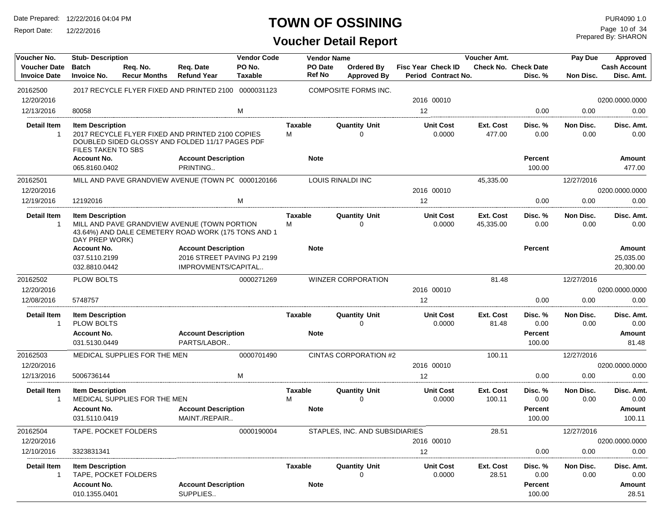Report Date: 12/22/2016

## **TOWN OF OSSINING**

Prepared By: SHARON Page 10 of 34

| Voucher No.                                | <b>Stub-Description</b>                         |                                 |                                                                                                     | <b>Vendor Code</b>       |                     | <b>Vendor Name</b>               |                                                  | <b>Voucher Amt.</b>    |                                        | Pay Due           | Approved                          |
|--------------------------------------------|-------------------------------------------------|---------------------------------|-----------------------------------------------------------------------------------------------------|--------------------------|---------------------|----------------------------------|--------------------------------------------------|------------------------|----------------------------------------|-------------------|-----------------------------------|
| <b>Voucher Date</b><br><b>Invoice Date</b> | <b>Batch</b><br><b>Invoice No.</b>              | Req. No.<br><b>Recur Months</b> | Reg. Date<br><b>Refund Year</b>                                                                     | PO No.<br><b>Taxable</b> | PO Date<br>Ref No   | Ordered By<br><b>Approved By</b> | <b>Fisc Year Check ID</b><br>Period Contract No. |                        | <b>Check No. Check Date</b><br>Disc. % | Non Disc.         | <b>Cash Account</b><br>Disc. Amt. |
| 20162500                                   |                                                 |                                 | 2017 RECYCLE FLYER FIXED AND PRINTED 2100 0000031123                                                |                          |                     | <b>COMPOSITE FORMS INC.</b>      |                                                  |                        |                                        |                   |                                   |
| 12/20/2016                                 |                                                 |                                 |                                                                                                     |                          |                     |                                  | 2016 00010                                       |                        |                                        |                   | 0200.0000.0000                    |
| 12/13/2016                                 | 80058                                           |                                 |                                                                                                     | M                        |                     |                                  | 12                                               |                        | 0.00                                   | 0.00              | 0.00                              |
| <b>Detail Item</b>                         | <b>Item Description</b>                         |                                 |                                                                                                     |                          | Taxable             | <b>Quantity Unit</b>             | <b>Unit Cost</b>                                 | Ext. Cost              | Disc. %                                | Non Disc.         | Disc. Amt.                        |
| $\mathbf{1}$                               | FILES TAKEN TO SBS                              |                                 | 2017 RECYCLE FLYER FIXED AND PRINTED 2100 COPIES<br>DOUBLED SIDED GLOSSY AND FOLDED 11/17 PAGES PDF |                          | м                   | O                                | 0.0000                                           | 477.00                 | 0.00                                   | 0.00              | 0.00                              |
|                                            | <b>Account No.</b><br>065.8160.0402             |                                 | <b>Account Description</b><br>PRINTING                                                              |                          | <b>Note</b>         |                                  |                                                  |                        | Percent<br>100.00                      |                   | <b>Amount</b><br>477.00           |
| 20162501                                   |                                                 |                                 | MILL AND PAVE GRANDVIEW AVENUE (TOWN PC 0000120166                                                  |                          |                     | LOUIS RINALDI INC                |                                                  | 45,335.00              |                                        | 12/27/2016        |                                   |
| 12/20/2016                                 |                                                 |                                 |                                                                                                     |                          |                     |                                  | 2016 00010                                       |                        |                                        |                   | 0200.0000.0000                    |
| 12/19/2016                                 | 12192016                                        |                                 |                                                                                                     | м                        |                     |                                  | 12                                               |                        | 0.00                                   | 0.00              | 0.00                              |
| <b>Detail Item</b><br>$\overline{1}$       | <b>Item Description</b><br>DAY PREP WORK)       |                                 | MILL AND PAVE GRANDVIEW AVENUE (TOWN PORTION<br>43.64%) AND DALE CEMETERY ROAD WORK (175 TONS AND 1 |                          | <b>Taxable</b><br>м | <b>Quantity Unit</b><br>$\Omega$ | <b>Unit Cost</b><br>0.0000                       | Ext. Cost<br>45,335.00 | Disc. %<br>0.00                        | Non Disc.<br>0.00 | Disc. Amt.<br>0.00                |
|                                            | <b>Account No.</b>                              |                                 | <b>Account Description</b>                                                                          |                          | <b>Note</b>         |                                  |                                                  |                        | Percent                                |                   | Amount                            |
|                                            | 037.5110.2199                                   |                                 | 2016 STREET PAVING PJ 2199                                                                          |                          |                     |                                  |                                                  |                        |                                        |                   | 25,035.00                         |
|                                            | 032.8810.0442                                   |                                 | IMPROVMENTS/CAPITAL                                                                                 |                          |                     |                                  |                                                  |                        |                                        |                   | 20,300.00                         |
| 20162502                                   | PLOW BOLTS                                      |                                 |                                                                                                     | 0000271269               |                     | <b>WINZER CORPORATION</b>        |                                                  | 81.48                  |                                        | 12/27/2016        |                                   |
| 12/20/2016                                 |                                                 |                                 |                                                                                                     |                          |                     |                                  | 2016 00010                                       |                        |                                        |                   | 0200.0000.0000                    |
| 12/08/2016                                 | 5748757                                         |                                 |                                                                                                     |                          |                     |                                  | 12                                               |                        | 0.00                                   | 0.00              | 0.00                              |
| <b>Detail Item</b><br>$\overline{1}$       | <b>Item Description</b><br><b>PLOW BOLTS</b>    |                                 |                                                                                                     |                          | Taxable             | <b>Quantity Unit</b><br>$\Omega$ | <b>Unit Cost</b><br>0.0000                       | Ext. Cost<br>81.48     | Disc. %<br>0.00                        | Non Disc.<br>0.00 | Disc. Amt.<br>0.00                |
|                                            | <b>Account No.</b>                              |                                 | <b>Account Description</b>                                                                          |                          | <b>Note</b>         |                                  |                                                  |                        | Percent                                |                   | Amount                            |
|                                            | 031.5130.0449                                   |                                 | PARTS/LABOR                                                                                         |                          |                     |                                  |                                                  |                        | 100.00                                 |                   | 81.48                             |
| 20162503                                   |                                                 | MEDICAL SUPPLIES FOR THE MEN    |                                                                                                     | 0000701490               |                     | CINTAS CORPORATION #2            |                                                  | 100.11                 |                                        | 12/27/2016        |                                   |
| 12/20/2016                                 |                                                 |                                 |                                                                                                     |                          |                     |                                  | 2016 00010                                       |                        |                                        |                   | 0200.0000.0000                    |
| 12/13/2016                                 | 5006736144                                      |                                 |                                                                                                     | M                        |                     |                                  | 12                                               |                        | 0.00                                   | 0.00              | 0.00                              |
| <b>Detail Item</b><br>$\overline{1}$       | <b>Item Description</b>                         | MEDICAL SUPPLIES FOR THE MEN    |                                                                                                     |                          | Taxable<br>М        | <b>Quantity Unit</b><br>0        | <b>Unit Cost</b><br>0.0000                       | Ext. Cost<br>100.11    | Disc. %<br>0.00                        | Non Disc.<br>0.00 | Disc. Amt.<br>0.00                |
|                                            | <b>Account No.</b><br>031.5110.0419             |                                 | <b>Account Description</b><br>MAINT./REPAIR                                                         |                          | <b>Note</b>         |                                  |                                                  |                        | Percent<br>100.00                      |                   | Amount<br>100.11                  |
| 20162504<br>12/20/2016                     | TAPE, POCKET FOLDERS                            |                                 |                                                                                                     | 0000190004               |                     | STAPLES. INC. AND SUBSIDIARIES   | 2016 00010                                       | 28.51                  |                                        | 12/27/2016        | 0200.0000.0000                    |
| 12/10/2016                                 | 3323831341                                      |                                 |                                                                                                     |                          |                     |                                  | 12                                               |                        | 0.00                                   | 0.00              | 0.00                              |
| <b>Detail Item</b>                         | <b>Item Description</b><br>TAPE, POCKET FOLDERS |                                 |                                                                                                     |                          | Taxable             | <b>Quantity Unit</b>             | <b>Unit Cost</b><br>0.0000                       | Ext. Cost<br>28.51     | Disc. %<br>0.00                        | Non Disc.<br>0.00 | Disc. Amt.<br>0.00                |
|                                            | <b>Account No.</b><br>010.1355.0401             |                                 | <b>Account Description</b><br>SUPPLIES                                                              |                          | <b>Note</b>         |                                  |                                                  |                        | <b>Percent</b><br>100.00               |                   | Amount<br>28.51                   |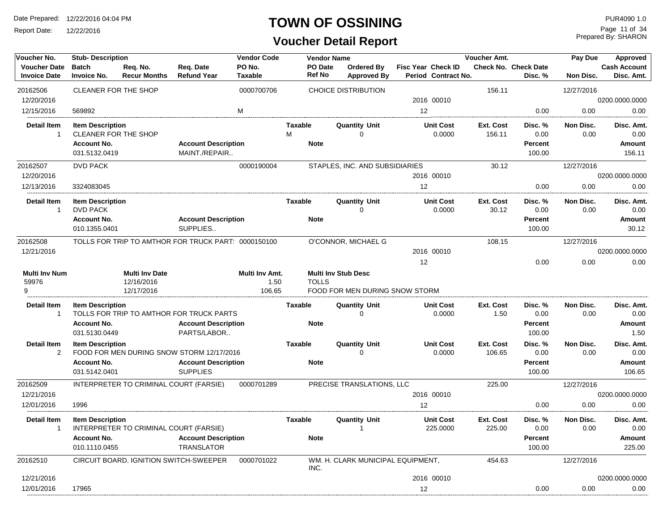Report Date: 12/22/2016

#### **TOWN OF OSSINING**

## **Voucher Detail Report**

Prepared By: SHARON Page 11 of 34

| Voucher No.                                | <b>Stub-Description</b>                                               |                                                   |                                                     | <b>Vendor Code</b>               |                     | <b>Vendor Name</b>       |                                                              |                                                  | Voucher Amt.              |                                        | Pay Due           | Approved                          |
|--------------------------------------------|-----------------------------------------------------------------------|---------------------------------------------------|-----------------------------------------------------|----------------------------------|---------------------|--------------------------|--------------------------------------------------------------|--------------------------------------------------|---------------------------|----------------------------------------|-------------------|-----------------------------------|
| <b>Voucher Date</b><br><b>Invoice Date</b> | <b>Batch</b><br>Invoice No.                                           | Reg. No.<br><b>Recur Months</b>                   | Req. Date<br><b>Refund Year</b>                     | PO No.<br>Taxable                |                     | PO Date<br><b>Ref No</b> | Ordered By<br><b>Approved By</b>                             | <b>Fisc Year Check ID</b><br>Period Contract No. |                           | <b>Check No. Check Date</b><br>Disc. % | Non Disc.         | <b>Cash Account</b><br>Disc. Amt. |
| 20162506                                   | CLEANER FOR THE SHOP                                                  |                                                   |                                                     | 0000700706                       |                     |                          | <b>CHOICE DISTRIBUTION</b>                                   |                                                  | 156.11                    |                                        | 12/27/2016        |                                   |
| 12/20/2016                                 |                                                                       |                                                   |                                                     |                                  |                     |                          |                                                              | 2016 00010                                       |                           |                                        |                   | 0200.0000.0000                    |
| 12/15/2016                                 | 569892                                                                |                                                   |                                                     | M                                |                     |                          |                                                              | 12                                               |                           | 0.00                                   | 0.00              | 0.00                              |
| <b>Detail Item</b><br>$\mathbf{1}$         | <b>Item Description</b><br>CLEANER FOR THE SHOP<br><b>Account No.</b> |                                                   | <b>Account Description</b>                          |                                  | <b>Taxable</b><br>M | <b>Note</b>              | <b>Quantity Unit</b><br>$\mathbf 0$                          | <b>Unit Cost</b><br>0.0000                       | Ext. Cost<br>156.11       | Disc. %<br>0.00<br><b>Percent</b>      | Non Disc.<br>0.00 | Disc. Amt.<br>0.00<br>Amount      |
|                                            | 031.5132.0419                                                         |                                                   | MAINT./REPAIR                                       |                                  |                     |                          |                                                              |                                                  |                           | 100.00                                 |                   | 156.11                            |
| 20162507                                   | <b>DVD PACK</b>                                                       |                                                   |                                                     | 0000190004                       |                     |                          | STAPLES, INC. AND SUBSIDIARIES                               |                                                  | 30.12                     |                                        | 12/27/2016        |                                   |
| 12/20/2016                                 |                                                                       |                                                   |                                                     |                                  |                     |                          |                                                              | 2016 00010                                       |                           |                                        |                   | 0200.0000.0000                    |
| 12/13/2016                                 | 3324083045                                                            |                                                   |                                                     |                                  |                     |                          |                                                              | 12                                               |                           | 0.00                                   | 0.00              | 0.00                              |
| <b>Detail Item</b><br>$\mathbf{1}$         | <b>Item Description</b><br><b>DVD PACK</b>                            |                                                   |                                                     |                                  | <b>Taxable</b>      |                          | <b>Quantity Unit</b><br>$\Omega$                             | <b>Unit Cost</b><br>0.0000                       | <b>Ext. Cost</b><br>30.12 | Disc. %<br>0.00                        | Non Disc.<br>0.00 | Disc. Amt.<br>0.00                |
|                                            | <b>Account No.</b><br>010.1355.0401                                   |                                                   | <b>Account Description</b><br>SUPPLIES              |                                  |                     | <b>Note</b>              |                                                              |                                                  |                           | <b>Percent</b><br>100.00               |                   | Amount<br>30.12                   |
| 20162508                                   |                                                                       |                                                   | TOLLS FOR TRIP TO AMTHOR FOR TRUCK PART: 0000150100 |                                  |                     |                          | O'CONNOR, MICHAEL G                                          |                                                  | 108.15                    |                                        | 12/27/2016        |                                   |
| 12/21/2016                                 |                                                                       |                                                   |                                                     |                                  |                     |                          |                                                              | 2016 00010                                       |                           |                                        |                   | 0200.0000.0000                    |
|                                            |                                                                       |                                                   |                                                     |                                  |                     |                          |                                                              | 12                                               |                           | 0.00                                   | 0.00              | 0.00                              |
| <b>Multi Inv Num</b><br>59976<br>9         |                                                                       | <b>Multi Inv Date</b><br>12/16/2016<br>12/17/2016 |                                                     | Multi Inv Amt.<br>1.50<br>106.65 |                     | <b>TOLLS</b>             | <b>Multi Inv Stub Desc</b><br>FOOD FOR MEN DURING SNOW STORM |                                                  |                           |                                        |                   |                                   |
| <b>Detail Item</b>                         | <b>Item Description</b>                                               |                                                   |                                                     |                                  | <b>Taxable</b>      |                          | <b>Quantity Unit</b>                                         | <b>Unit Cost</b>                                 | <b>Ext. Cost</b>          | Disc. %                                | Non Disc.         | Disc. Amt.                        |
| $\mathbf{1}$                               |                                                                       |                                                   | TOLLS FOR TRIP TO AMTHOR FOR TRUCK PARTS            |                                  |                     |                          | $\mathbf 0$                                                  | 0.0000                                           | 1.50                      | 0.00                                   | 0.00              | 0.00                              |
|                                            | <b>Account No.</b>                                                    |                                                   | <b>Account Description</b>                          |                                  |                     | <b>Note</b>              |                                                              |                                                  |                           | <b>Percent</b>                         |                   | Amount                            |
|                                            | 031.5130.0449                                                         |                                                   | PARTS/LABOR                                         |                                  |                     |                          |                                                              |                                                  |                           | 100.00                                 |                   | 1.50                              |
| <b>Detail Item</b><br>$\overline{2}$       | <b>Item Description</b>                                               |                                                   | FOOD FOR MEN DURING SNOW STORM 12/17/2016           |                                  | <b>Taxable</b>      |                          | <b>Quantity Unit</b><br>$\Omega$                             | <b>Unit Cost</b><br>0.0000                       | Ext. Cost<br>106.65       | Disc. %<br>0.00                        | Non Disc.<br>0.00 | Disc. Amt.<br>0.00                |
|                                            | <b>Account No.</b><br>031.5142.0401                                   |                                                   | <b>Account Description</b><br><b>SUPPLIES</b>       |                                  |                     | <b>Note</b>              |                                                              |                                                  |                           | <b>Percent</b><br>100.00               |                   | Amount<br>106.65                  |
| 20162509                                   |                                                                       | INTERPRETER TO CRIMINAL COURT (FARSIE)            |                                                     | 0000701289                       |                     |                          | PRECISE TRANSLATIONS, LLC                                    |                                                  | 225.00                    |                                        | 12/27/2016        |                                   |
| 12/21/2016                                 |                                                                       |                                                   |                                                     |                                  |                     |                          |                                                              | 2016 00010                                       |                           |                                        |                   | 0200.0000.0000                    |
| 12/01/2016                                 | 1996                                                                  |                                                   |                                                     |                                  |                     |                          |                                                              | 12 <sup>2</sup>                                  |                           | 0.00                                   | 0.00              | 0.00                              |
| <b>Detail Item</b><br>$\mathbf{1}$         | <b>Item Description</b>                                               | INTERPRETER TO CRIMINAL COURT (FARSIE)            |                                                     |                                  | <b>Taxable</b>      |                          | <b>Quantity Unit</b><br>1                                    | <b>Unit Cost</b><br>225.0000                     | Ext. Cost<br>225.00       | Disc. %<br>0.00                        | Non Disc.<br>0.00 | Disc. Amt.<br>0.00                |
|                                            | <b>Account No.</b>                                                    |                                                   | <b>Account Description</b>                          |                                  |                     | <b>Note</b>              |                                                              |                                                  |                           | Percent                                |                   | Amount                            |
|                                            | 010.1110.0455                                                         |                                                   | <b>TRANSLATOR</b>                                   |                                  |                     |                          |                                                              |                                                  |                           | 100.00                                 |                   | 225.00                            |
| 20162510                                   |                                                                       |                                                   | CIRCUIT BOARD, IGNITION SWITCH-SWEEPER              | 0000701022                       | INC.                |                          | WM. H. CLARK MUNICIPAL EQUIPMENT,                            |                                                  | 454.63                    |                                        | 12/27/2016        |                                   |
| 12/21/2016                                 |                                                                       |                                                   |                                                     |                                  |                     |                          |                                                              | 2016 00010                                       |                           |                                        |                   | 0200.0000.0000                    |
| 12/01/2016                                 | 17965                                                                 |                                                   |                                                     |                                  |                     |                          |                                                              | 12                                               |                           | 0.00                                   | 0.00              | 0.00                              |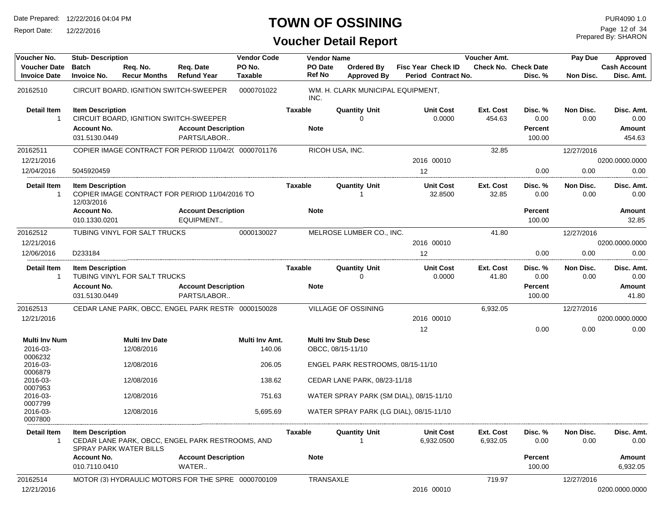Report Date: 12/22/2016

## **TOWN OF OSSINING**

Prepared By: SHARON Page 12 of 34

| Voucher No.                                | <b>Stub-Description</b>               |                                     |                                                      | <b>Vendor Code</b>       |                          | <b>Vendor Name</b>                              |                                           | Voucher Amt.          |                                        | Pay Due           | Approved                          |
|--------------------------------------------|---------------------------------------|-------------------------------------|------------------------------------------------------|--------------------------|--------------------------|-------------------------------------------------|-------------------------------------------|-----------------------|----------------------------------------|-------------------|-----------------------------------|
| <b>Voucher Date</b><br><b>Invoice Date</b> | <b>Batch</b><br><b>Invoice No.</b>    | Reg. No.<br><b>Recur Months</b>     | Reg. Date<br><b>Refund Year</b>                      | PO No.<br><b>Taxable</b> | PO Date<br><b>Ref No</b> | Ordered By<br><b>Approved By</b>                | Fisc Year Check ID<br>Period Contract No. |                       | <b>Check No. Check Date</b><br>Disc. % | Non Disc.         | <b>Cash Account</b><br>Disc. Amt. |
| 20162510                                   |                                       |                                     | CIRCUIT BOARD, IGNITION SWITCH-SWEEPER               | 0000701022               | INC.                     | WM. H. CLARK MUNICIPAL EQUIPMENT,               |                                           |                       |                                        |                   |                                   |
| <b>Detail Item</b><br>-1                   | <b>Item Description</b>               |                                     | CIRCUIT BOARD, IGNITION SWITCH-SWEEPER               |                          | <b>Taxable</b>           | <b>Quantity Unit</b><br>U                       | <b>Unit Cost</b><br>0.0000                | Ext. Cost<br>454.63   | Disc. %<br>0.00                        | Non Disc.<br>0.00 | Disc. Amt.<br>0.00                |
|                                            | <b>Account No.</b><br>031.5130.0449   |                                     | <b>Account Description</b><br>PARTS/LABOR            |                          | <b>Note</b>              |                                                 |                                           |                       | Percent<br>100.00                      |                   | Amount<br>454.63                  |
| 20162511<br>12/21/2016                     |                                       |                                     | COPIER IMAGE CONTRACT FOR PERIOD 11/04/2( 0000701176 |                          |                          | RICOH USA, INC.                                 | 2016 00010                                | 32.85                 |                                        | 12/27/2016        | 0200.0000.0000                    |
| 12/04/2016                                 | 5045920459                            |                                     |                                                      |                          |                          |                                                 | 12                                        |                       | 0.00                                   | 0.00              | 0.00                              |
| <b>Detail Item</b><br>$\overline{1}$       | <b>Item Description</b><br>12/03/2016 |                                     | COPIER IMAGE CONTRACT FOR PERIOD 11/04/2016 TO       |                          | Taxable                  | <b>Quantity Unit</b>                            | <b>Unit Cost</b><br>32.8500               | Ext. Cost<br>32.85    | Disc. %<br>0.00                        | Non Disc.<br>0.00 | Disc. Amt.<br>0.00                |
|                                            | <b>Account No.</b><br>010.1330.0201   |                                     | <b>Account Description</b><br>EQUIPMENT              |                          | <b>Note</b>              |                                                 |                                           |                       | Percent<br>100.00                      |                   | Amount<br>32.85                   |
| 20162512<br>12/21/2016                     |                                       | TUBING VINYL FOR SALT TRUCKS        |                                                      | 0000130027               |                          | MELROSE LUMBER CO., INC.                        | 2016 00010                                | 41.80                 |                                        | 12/27/2016        | 0200.0000.0000                    |
| 12/06/2016                                 | D233184                               |                                     |                                                      |                          |                          |                                                 | 12                                        |                       | 0.00                                   | 0.00              | 0.00                              |
| <b>Detail Item</b><br>$\mathbf{1}$         | <b>Item Description</b>               | TUBING VINYL FOR SALT TRUCKS        |                                                      |                          | Taxable                  | <b>Quantity Unit</b><br>0                       | <b>Unit Cost</b><br>0.0000                | Ext. Cost<br>41.80    | Disc. %<br>0.00                        | Non Disc.<br>0.00 | Disc. Amt.<br>0.00                |
|                                            | <b>Account No.</b><br>031.5130.0449   |                                     | <b>Account Description</b><br>PARTS/LABOR            |                          | Note                     |                                                 |                                           |                       | Percent<br>100.00                      |                   | Amount<br>41.80                   |
| 20162513                                   |                                       |                                     | CEDAR LANE PARK, OBCC, ENGEL PARK RESTRI 0000150028  |                          |                          | VILLAGE OF OSSINING                             |                                           | 6,932.05              |                                        | 12/27/2016        |                                   |
| 12/21/2016                                 |                                       |                                     |                                                      |                          |                          |                                                 | 2016 00010                                |                       |                                        |                   | 0200.0000.0000                    |
| <b>Multi Inv Num</b><br>2016-03-           |                                       | <b>Multi Inv Date</b><br>12/08/2016 |                                                      | Multi Inv Amt.<br>140.06 |                          | <b>Multi Inv Stub Desc</b><br>OBCC, 08/15-11/10 | 12                                        |                       | 0.00                                   | 0.00              | 0.00                              |
| 0006232<br>2016-03-                        |                                       | 12/08/2016                          |                                                      | 206.05                   |                          | ENGEL PARK RESTROOMS, 08/15-11/10               |                                           |                       |                                        |                   |                                   |
| 0006879<br>2016-03-<br>0007953             |                                       | 12/08/2016                          |                                                      | 138.62                   |                          | CEDAR LANE PARK, 08/23-11/18                    |                                           |                       |                                        |                   |                                   |
| 2016-03-<br>0007799                        |                                       | 12/08/2016                          |                                                      | 751.63                   |                          | WATER SPRAY PARK (SM DIAL), 08/15-11/10         |                                           |                       |                                        |                   |                                   |
| 2016-03-<br>0007800                        |                                       | 12/08/2016                          |                                                      | 5,695.69                 |                          | WATER SPRAY PARK (LG DIAL), 08/15-11/10         |                                           |                       |                                        |                   |                                   |
| <b>Detail Item</b><br>-1                   | <b>Item Description</b>               | SPRAY PARK WATER BILLS              | CEDAR LANE PARK, OBCC, ENGEL PARK RESTROOMS, AND     |                          | Taxable                  | <b>Quantity Unit</b><br>$\overline{1}$          | <b>Unit Cost</b><br>6,932.0500            | Ext. Cost<br>6,932.05 | Disc. %<br>0.00                        | Non Disc.<br>0.00 | Disc. Amt.<br>0.00                |
|                                            | <b>Account No.</b><br>010.7110.0410   |                                     | <b>Account Description</b><br>WATER                  |                          | <b>Note</b>              |                                                 |                                           |                       | Percent<br>100.00                      |                   | Amount<br>6,932.05                |
| 20162514<br>12/21/2016                     |                                       |                                     | MOTOR (3) HYDRAULIC MOTORS FOR THE SPRE 0000700109   |                          |                          | TRANSAXLE                                       | 2016 00010                                | 719.97                |                                        | 12/27/2016        | 0200.0000.0000                    |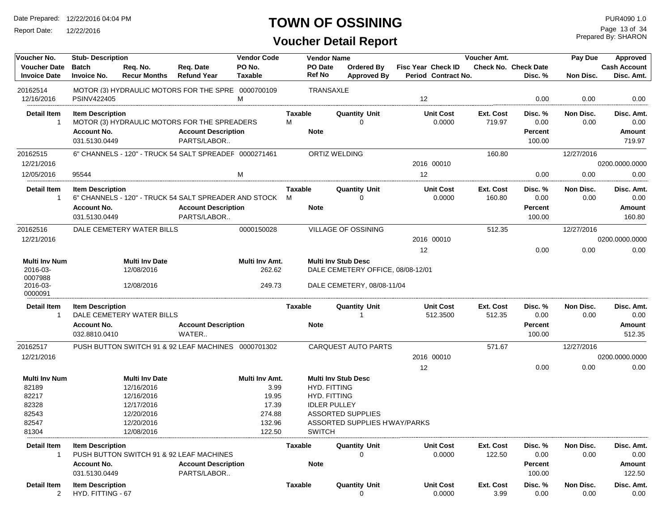Report Date: 12/22/2016

## **TOWN OF OSSINING**

Prepared By: SHARON Page 13 of 34

| Voucher No.                                | <b>Stub-Description</b>                              |                                 |                                                        | <b>Vendor Code</b> |                | <b>Vendor Name</b>   |                                   |                                           | Voucher Amt.        |                                 | Pay Due           | Approved                          |
|--------------------------------------------|------------------------------------------------------|---------------------------------|--------------------------------------------------------|--------------------|----------------|----------------------|-----------------------------------|-------------------------------------------|---------------------|---------------------------------|-------------------|-----------------------------------|
| <b>Voucher Date</b><br><b>Invoice Date</b> | <b>Batch</b><br><b>Invoice No.</b>                   | Reg. No.<br><b>Recur Months</b> | Req. Date<br><b>Refund Year</b>                        | PO No.<br>Taxable  | Ref No         | PO Date              | Ordered By<br><b>Approved By</b>  | Fisc Year Check ID<br>Period Contract No. |                     | Check No. Check Date<br>Disc. % | Non Disc.         | <b>Cash Account</b><br>Disc. Amt. |
| 20162514<br>12/16/2016                     | PSINV422405                                          |                                 | MOTOR (3) HYDRAULIC MOTORS FOR THE SPRE 0000700109     | M                  |                | TRANSAXLE            |                                   | $12 \overline{ }$                         |                     | 0.00                            | 0.00              | 0.00                              |
| <b>Detail Item</b>                         | <b>Item Description</b>                              |                                 |                                                        |                    | Taxable        |                      | <b>Quantity Unit</b>              | <b>Unit Cost</b>                          | Ext. Cost           | Disc. %                         | Non Disc.         | Disc. Amt.                        |
| -1                                         |                                                      |                                 | MOTOR (3) HYDRAULIC MOTORS FOR THE SPREADERS           |                    | M              |                      | $\mathbf 0$                       | 0.0000                                    | 719.97              | 0.00                            | 0.00              | 0.00                              |
|                                            | <b>Account No.</b>                                   |                                 | <b>Account Description</b>                             |                    | <b>Note</b>    |                      |                                   |                                           |                     | Percent                         |                   | <b>Amount</b>                     |
|                                            | 031.5130.0449                                        |                                 | PARTS/LABOR                                            |                    |                |                      |                                   |                                           |                     | 100.00                          |                   | 719.97                            |
| 20162515                                   |                                                      |                                 | 6" CHANNELS - 120" - TRUCK 54 SALT SPREADEF 0000271461 |                    |                | <b>ORTIZ WELDING</b> |                                   |                                           | 160.80              |                                 | 12/27/2016        |                                   |
| 12/21/2016                                 |                                                      |                                 |                                                        |                    |                |                      |                                   | 2016 00010                                |                     |                                 |                   | 0200.0000.0000                    |
| 12/05/2016                                 | 95544                                                |                                 |                                                        | м                  |                |                      |                                   | 12                                        |                     | 0.00                            | 0.00              | 0.00                              |
|                                            |                                                      |                                 |                                                        |                    |                |                      |                                   |                                           |                     |                                 |                   |                                   |
| <b>Detail Item</b>                         | <b>Item Description</b>                              |                                 |                                                        |                    | Taxable        |                      | <b>Quantity Unit</b>              | <b>Unit Cost</b>                          | Ext. Cost           | Disc. %                         | Non Disc.         | Disc. Amt.                        |
| 1                                          |                                                      |                                 | 6" CHANNELS - 120" - TRUCK 54 SALT SPREADER AND STOCK  |                    | M              |                      | $\mathbf{0}$                      | 0.0000                                    | 160.80              | 0.00                            | 0.00              | 0.00                              |
|                                            | <b>Account No.</b>                                   |                                 | <b>Account Description</b>                             |                    | <b>Note</b>    |                      |                                   |                                           |                     | Percent                         |                   | Amount                            |
|                                            | 031.5130.0449                                        |                                 | PARTS/LABOR                                            |                    |                |                      |                                   |                                           |                     | 100.00                          |                   | 160.80                            |
| 20162516                                   | DALE CEMETERY WATER BILLS                            |                                 |                                                        | 0000150028         |                |                      | <b>VILLAGE OF OSSINING</b>        |                                           | 512.35              |                                 | 12/27/2016        |                                   |
| 12/21/2016                                 |                                                      |                                 |                                                        |                    |                |                      |                                   | 2016 00010                                |                     |                                 |                   | 0200.0000.0000                    |
|                                            |                                                      |                                 |                                                        |                    |                |                      |                                   | 12                                        |                     | 0.00                            | 0.00              | 0.00                              |
| <b>Multi Inv Num</b>                       |                                                      | <b>Multi Inv Date</b>           |                                                        | Multi Inv Amt.     |                |                      | <b>Multi Inv Stub Desc</b>        |                                           |                     |                                 |                   |                                   |
| 2016-03-                                   |                                                      | 12/08/2016                      |                                                        | 262.62             |                |                      | DALE CEMETERY OFFICE, 08/08-12/01 |                                           |                     |                                 |                   |                                   |
| 0007988                                    |                                                      |                                 |                                                        |                    |                |                      |                                   |                                           |                     |                                 |                   |                                   |
| 2016-03-<br>0000091                        |                                                      | 12/08/2016                      |                                                        | 249.73             |                |                      | DALE CEMETERY, 08/08-11/04        |                                           |                     |                                 |                   |                                   |
| <b>Detail Item</b><br>1                    | <b>Item Description</b><br>DALE CEMETERY WATER BILLS |                                 |                                                        |                    | Taxable        |                      | <b>Quantity Unit</b>              | <b>Unit Cost</b><br>512.3500              | Ext. Cost<br>512.35 | Disc. %<br>0.00                 | Non Disc.<br>0.00 | Disc. Amt.<br>0.00                |
|                                            | <b>Account No.</b><br>032.8810.0410                  |                                 | <b>Account Description</b><br>WATER                    |                    | <b>Note</b>    |                      |                                   |                                           |                     | Percent<br>100.00               |                   | <b>Amount</b><br>512.35           |
| 20162517                                   |                                                      |                                 | PUSH BUTTON SWITCH 91 & 92 LEAF MACHINES 0000701302    |                    |                |                      | <b>CARQUEST AUTO PARTS</b>        |                                           | 571.67              |                                 | 12/27/2016        |                                   |
| 12/21/2016                                 |                                                      |                                 |                                                        |                    |                |                      |                                   | 2016 00010                                |                     |                                 |                   | 0200.0000.0000                    |
|                                            |                                                      |                                 |                                                        |                    |                |                      |                                   | 12                                        |                     | 0.00                            | 0.00              | 0.00                              |
| <b>Multi Inv Num</b>                       |                                                      | <b>Multi Inv Date</b>           |                                                        | Multi Inv Amt.     |                |                      | <b>Multi Inv Stub Desc</b>        |                                           |                     |                                 |                   |                                   |
| 82189                                      |                                                      | 12/16/2016                      |                                                        | 3.99               |                | <b>HYD. FITTING</b>  |                                   |                                           |                     |                                 |                   |                                   |
| 82217                                      |                                                      | 12/16/2016                      |                                                        | 19.95              |                | <b>HYD. FITTING</b>  |                                   |                                           |                     |                                 |                   |                                   |
| 82328                                      |                                                      | 12/17/2016                      |                                                        | 17.39              |                | <b>IDLER PULLEY</b>  |                                   |                                           |                     |                                 |                   |                                   |
| 82543                                      |                                                      | 12/20/2016                      |                                                        | 274.88             |                |                      | <b>ASSORTED SUPPLIES</b>          |                                           |                     |                                 |                   |                                   |
| 82547                                      |                                                      | 12/20/2016                      |                                                        | 132.96             |                |                      | ASSORTED SUPPLIES H'WAY/PARKS     |                                           |                     |                                 |                   |                                   |
| 81304                                      |                                                      | 12/08/2016                      |                                                        | 122.50             |                | <b>SWITCH</b>        |                                   |                                           |                     |                                 |                   |                                   |
| Detail Item<br>1                           | <b>Item Description</b>                              |                                 | PUSH BUTTON SWITCH 91 & 92 LEAF MACHINES               |                    | Taxable        |                      | <b>Quantity Unit</b><br>$\Omega$  | <b>Unit Cost</b><br>0.0000                | Ext. Cost<br>122.50 | Disc. %<br>0.00                 | Non Disc.<br>0.00 | Disc. Amt.<br>0.00                |
|                                            | <b>Account No.</b>                                   |                                 | <b>Account Description</b>                             |                    | <b>Note</b>    |                      |                                   |                                           |                     | <b>Percent</b>                  |                   | Amount                            |
|                                            | 031.5130.0449                                        |                                 | PARTS/LABOR                                            |                    |                |                      |                                   |                                           |                     | 100.00                          |                   | 122.50                            |
| Detail Item<br>2                           | <b>Item Description</b><br>HYD. FITTING - 67         |                                 |                                                        |                    | <b>Taxable</b> |                      | <b>Quantity Unit</b><br>$\Omega$  | <b>Unit Cost</b><br>0.0000                | Ext. Cost<br>3.99   | Disc. %<br>0.00                 | Non Disc.<br>0.00 | Disc. Amt.<br>0.00                |
|                                            |                                                      |                                 |                                                        |                    |                |                      |                                   |                                           |                     |                                 |                   |                                   |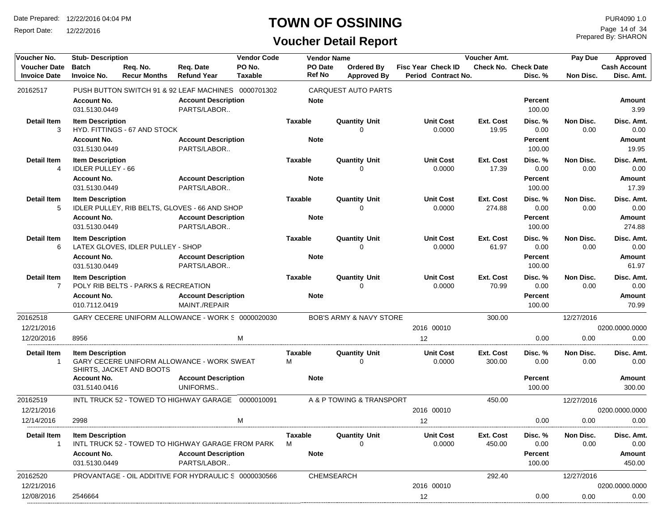Report Date: 12/22/2016

## **TOWN OF OSSINING**

Prepared By: SHARON Page 14 of 34

| Voucher No.                                | <b>Stub- Description</b>                            |                                     |                                                      | <b>Vendor Code</b>       | <b>Vendor Name</b>       |            |                                    |                                                  | <b>Voucher Amt.</b> |                                        | Pay Due           | Approved                          |
|--------------------------------------------|-----------------------------------------------------|-------------------------------------|------------------------------------------------------|--------------------------|--------------------------|------------|------------------------------------|--------------------------------------------------|---------------------|----------------------------------------|-------------------|-----------------------------------|
| <b>Voucher Date</b><br><b>Invoice Date</b> | <b>Batch</b><br><b>Invoice No.</b>                  | Req. No.<br><b>Recur Months</b>     | Req. Date<br><b>Refund Year</b>                      | PO No.<br><b>Taxable</b> | PO Date<br><b>Ref No</b> |            | Ordered By<br><b>Approved By</b>   | <b>Fisc Year Check ID</b><br>Period Contract No. |                     | <b>Check No. Check Date</b><br>Disc. % | Non Disc.         | <b>Cash Account</b><br>Disc. Amt. |
| 20162517                                   |                                                     |                                     | PUSH BUTTON SWITCH 91 & 92 LEAF MACHINES 0000701302  |                          |                          |            | <b>CARQUEST AUTO PARTS</b>         |                                                  |                     |                                        |                   |                                   |
|                                            | <b>Account No.</b><br>031.5130.0449                 |                                     | <b>Account Description</b><br>PARTS/LABOR            |                          | <b>Note</b>              |            |                                    |                                                  |                     | Percent<br>100.00                      |                   | Amount<br>3.99                    |
| <b>Detail Item</b><br>3                    | <b>Item Description</b>                             | HYD. FITTINGS - 67 AND STOCK        |                                                      |                          | <b>Taxable</b>           |            | <b>Quantity Unit</b><br>$\Omega$   | <b>Unit Cost</b><br>0.0000                       | Ext. Cost<br>19.95  | Disc. %<br>0.00                        | Non Disc.<br>0.00 | Disc. Amt.<br>0.00                |
|                                            | <b>Account No.</b><br>031.5130.0449                 |                                     | <b>Account Description</b><br>PARTS/LABOR            |                          | <b>Note</b>              |            |                                    |                                                  |                     | Percent<br>100.00                      |                   | Amount<br>19.95                   |
| <b>Detail Item</b><br>4                    | <b>Item Description</b><br><b>IDLER PULLEY - 66</b> |                                     |                                                      |                          | <b>Taxable</b>           |            | <b>Quantity Unit</b><br>$\Omega$   | <b>Unit Cost</b><br>0.0000                       | Ext. Cost<br>17.39  | Disc. %<br>0.00                        | Non Disc.<br>0.00 | Disc. Amt.<br>0.00                |
|                                            | <b>Account No.</b><br>031.5130.0449                 |                                     | <b>Account Description</b><br>PARTS/LABOR            |                          | <b>Note</b>              |            |                                    |                                                  |                     | Percent<br>100.00                      |                   | Amount<br>17.39                   |
| <b>Detail Item</b><br>5                    | <b>Item Description</b>                             |                                     | IDLER PULLEY, RIB BELTS, GLOVES - 66 AND SHOP        |                          | <b>Taxable</b>           |            | <b>Quantity Unit</b><br>$\Omega$   | <b>Unit Cost</b><br>0.0000                       | Ext. Cost<br>274.88 | Disc. %<br>0.00                        | Non Disc.<br>0.00 | Disc. Amt.<br>0.00                |
|                                            | <b>Account No.</b><br>031.5130.0449                 |                                     | <b>Account Description</b><br>PARTS/LABOR            |                          | <b>Note</b>              |            |                                    |                                                  |                     | Percent<br>100.00                      |                   | Amount<br>274.88                  |
| <b>Detail Item</b><br>6                    | <b>Item Description</b>                             | LATEX GLOVES, IDLER PULLEY - SHOP   |                                                      |                          | <b>Taxable</b>           |            | <b>Quantity Unit</b><br>0          | <b>Unit Cost</b><br>0.0000                       | Ext. Cost<br>61.97  | Disc. %<br>0.00                        | Non Disc.<br>0.00 | Disc. Amt.<br>0.00                |
|                                            | <b>Account No.</b><br>031.5130.0449                 |                                     | <b>Account Description</b><br>PARTS/LABOR            |                          | <b>Note</b>              |            |                                    |                                                  |                     | <b>Percent</b><br>100.00               |                   | Amount<br>61.97                   |
| <b>Detail Item</b><br>$\overline{7}$       | <b>Item Description</b>                             | POLY RIB BELTS - PARKS & RECREATION |                                                      |                          | <b>Taxable</b>           |            | <b>Quantity Unit</b><br>$\Omega$   | <b>Unit Cost</b><br>0.0000                       | Ext. Cost<br>70.99  | Disc. %<br>0.00                        | Non Disc.<br>0.00 | Disc. Amt.<br>0.00                |
|                                            | <b>Account No.</b><br>010.7112.0419                 |                                     | <b>Account Description</b><br>MAINT./REPAIR          |                          | <b>Note</b>              |            |                                    |                                                  |                     | Percent<br>100.00                      |                   | <b>Amount</b><br>70.99            |
| 20162518<br>12/21/2016                     |                                                     |                                     | GARY CECERE UNIFORM ALLOWANCE - WORK \$ 0000020030   |                          |                          |            | <b>BOB'S ARMY &amp; NAVY STORE</b> | 2016 00010                                       | 300.00              |                                        | 12/27/2016        | 0200.0000.0000                    |
| 12/20/2016                                 | 8956                                                |                                     |                                                      | M                        |                          |            |                                    | $12 \overline{ }$                                |                     | 0.00                                   | 0.00              | 0.00                              |
| <b>Detail Item</b><br>$\mathbf{1}$         | <b>Item Description</b>                             | SHIRTS, JACKET AND BOOTS            | GARY CECERE UNIFORM ALLOWANCE - WORK SWEAT           |                          | <b>Taxable</b><br>M      |            | <b>Quantity Unit</b><br>$\Omega$   | <b>Unit Cost</b><br>0.0000                       | Ext. Cost<br>300.00 | Disc. %<br>0.00                        | Non Disc.<br>0.00 | Disc. Amt.<br>0.00                |
|                                            | <b>Account No.</b><br>031.5140.0416                 |                                     | <b>Account Description</b><br>UNIFORMS               |                          | <b>Note</b>              |            |                                    |                                                  |                     | Percent<br>100.00                      |                   | Amount<br>300.00                  |
| 20162519                                   |                                                     |                                     | INTL TRUCK 52 - TOWED TO HIGHWAY GARAGE 0000010091   |                          |                          |            | A & P TOWING & TRANSPORT           |                                                  | 450.00              |                                        | 12/27/2016        |                                   |
| 12/21/2016                                 |                                                     |                                     |                                                      |                          |                          |            |                                    | 2016 00010                                       |                     |                                        |                   | 0200.0000.0000                    |
| 12/14/2016                                 | 2998                                                |                                     |                                                      | M                        |                          |            |                                    | 12                                               |                     | 0.00                                   | 0.00              | 0.00                              |
| <b>Detail Item</b><br>-1                   | <b>Item Description</b>                             |                                     | INTL TRUCK 52 - TOWED TO HIGHWAY GARAGE FROM PARK    |                          | Taxable<br>M             |            | <b>Quantity Unit</b>               | <b>Unit Cost</b><br>0.0000                       | Ext. Cost<br>450.00 | Disc. %<br>0.00                        | Non Disc.<br>0.00 | Disc. Amt.<br>0.00                |
|                                            | <b>Account No.</b><br>031.5130.0449                 |                                     | <b>Account Description</b><br>PARTS/LABOR            |                          | <b>Note</b>              |            |                                    |                                                  |                     | Percent<br>100.00                      |                   | Amount<br>450.00                  |
| 20162520                                   |                                                     |                                     | PROVANTAGE - OIL ADDITIVE FOR HYDRAULIC S 0000030566 |                          |                          | CHEMSEARCH |                                    |                                                  | 292.40              |                                        | 12/27/2016        |                                   |
| 12/21/2016                                 |                                                     |                                     |                                                      |                          |                          |            |                                    | 2016 00010                                       |                     |                                        |                   | 0200.0000.0000                    |
| 12/08/2016                                 | 2546664                                             |                                     |                                                      |                          |                          |            |                                    | 12                                               |                     | 0.00                                   | 0.00              | 0.00                              |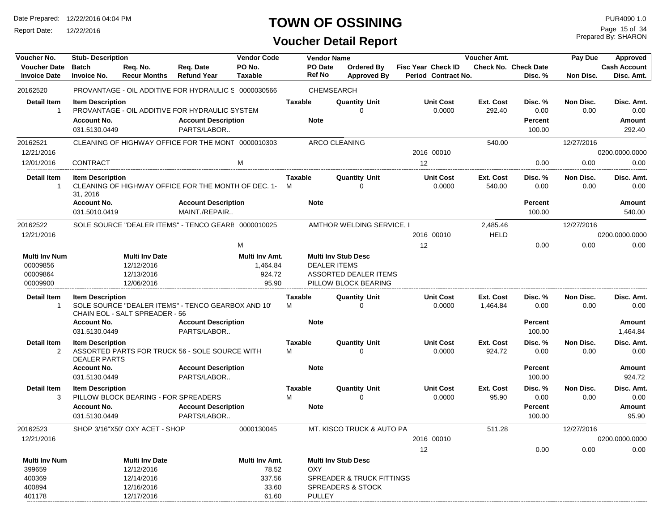Report Date: 12/22/2016

### **TOWN OF OSSINING**

## **Voucher Detail Report**

Prepared By: SHARON Page 15 of 34

| Voucher No.          | <b>Stub-Description</b> |                                      |                                                      | <b>Vendor Code</b> |                | <b>Vendor Name</b>   |                                      |                           | <b>Voucher Amt.</b> |                             | Pay Due    | <b>Approved</b>     |
|----------------------|-------------------------|--------------------------------------|------------------------------------------------------|--------------------|----------------|----------------------|--------------------------------------|---------------------------|---------------------|-----------------------------|------------|---------------------|
| <b>Voucher Date</b>  | <b>Batch</b>            | Req. No.                             | Req. Date                                            | PO No.             |                | PO Date              | Ordered By                           | <b>Fisc Year Check ID</b> |                     | <b>Check No. Check Date</b> |            | <b>Cash Account</b> |
| <b>Invoice Date</b>  | <b>Invoice No.</b>      | <b>Recur Months</b>                  | <b>Refund Year</b>                                   | <b>Taxable</b>     |                | <b>Ref No</b>        | Approved By                          | Period Contract No.       |                     | Disc. %                     | Non Disc.  | Disc. Amt.          |
| 20162520             |                         |                                      | PROVANTAGE - OIL ADDITIVE FOR HYDRAULIC S 0000030566 |                    |                | CHEMSEARCH           |                                      |                           |                     |                             |            |                     |
|                      |                         |                                      |                                                      |                    |                |                      |                                      |                           |                     |                             |            |                     |
| <b>Detail Item</b>   | <b>Item Description</b> |                                      |                                                      |                    | <b>Taxable</b> |                      | <b>Quantity Unit</b>                 | <b>Unit Cost</b>          | Ext. Cost           | Disc. %                     | Non Disc.  | Disc. Amt.          |
| 1                    |                         |                                      | PROVANTAGE - OIL ADDITIVE FOR HYDRAULIC SYSTEM       |                    |                |                      | ∩                                    | 0.0000                    | 292.40              | 0.00                        | 0.00       | 0.00                |
|                      | <b>Account No.</b>      |                                      | <b>Account Description</b>                           |                    |                | <b>Note</b>          |                                      |                           |                     | Percent                     |            | Amount              |
|                      | 031.5130.0449           |                                      | PARTS/LABOR                                          |                    |                |                      |                                      |                           |                     | 100.00                      |            | 292.40              |
| 20162521             |                         |                                      | CLEANING OF HIGHWAY OFFICE FOR THE MONT 0000010303   |                    |                | <b>ARCO CLEANING</b> |                                      |                           | 540.00              |                             | 12/27/2016 |                     |
| 12/21/2016           |                         |                                      |                                                      |                    |                |                      |                                      | 2016 00010                |                     |                             |            | 0200.0000.0000      |
| 12/01/2016           | <b>CONTRACT</b>         |                                      |                                                      | M                  |                |                      |                                      | 12                        |                     | 0.00                        | 0.00       | 0.00                |
|                      |                         |                                      |                                                      |                    |                |                      |                                      |                           |                     |                             |            |                     |
| <b>Detail Item</b>   | <b>Item Description</b> |                                      | CLEANING OF HIGHWAY OFFICE FOR THE MONTH OF DEC. 1-  |                    | <b>Taxable</b> |                      | <b>Quantity Unit</b>                 | <b>Unit Cost</b>          | Ext. Cost           | Disc. %                     | Non Disc.  | Disc. Amt.          |
| 1                    | 31, 2016                |                                      |                                                      |                    | м              |                      | 0                                    | 0.0000                    | 540.00              | 0.00                        | 0.00       | 0.00                |
|                      | <b>Account No.</b>      |                                      | <b>Account Description</b>                           |                    |                | <b>Note</b>          |                                      |                           |                     | Percent                     |            | Amount              |
|                      | 031.5010.0419           |                                      | MAINT./REPAIR                                        |                    |                |                      |                                      |                           |                     | 100.00                      |            | 540.00              |
|                      |                         |                                      | SOLE SOURCE "DEALER ITEMS" - TENCO GEARE 0000010025  |                    |                |                      |                                      |                           |                     |                             |            |                     |
| 20162522             |                         |                                      |                                                      |                    |                |                      | AMTHOR WELDING SERVICE, I            |                           | 2,485.46            |                             | 12/27/2016 |                     |
| 12/21/2016           |                         |                                      |                                                      |                    |                |                      |                                      | 2016 00010                | <b>HELD</b>         |                             |            | 0200.0000.0000      |
|                      |                         |                                      |                                                      | M                  |                |                      |                                      | 12                        |                     | 0.00                        | 0.00       | 0.00                |
| <b>Multi Inv Num</b> |                         | <b>Multi Inv Date</b>                |                                                      | Multi Inv Amt.     |                |                      | <b>Multi Inv Stub Desc</b>           |                           |                     |                             |            |                     |
| 00009856             |                         | 12/12/2016                           |                                                      | 1,464.84           |                | <b>DEALER ITEMS</b>  |                                      |                           |                     |                             |            |                     |
| 00009864             |                         | 12/13/2016                           |                                                      | 924.72             |                |                      | ASSORTED DEALER ITEMS                |                           |                     |                             |            |                     |
| 00009900             |                         | 12/06/2016                           |                                                      | 95.90              |                |                      | PILLOW BLOCK BEARING                 |                           |                     |                             |            |                     |
| Detail Item          | <b>Item Description</b> |                                      |                                                      |                    | Taxable        |                      | <b>Quantity Unit</b>                 | <b>Unit Cost</b>          | Ext. Cost           | Disc. %                     | Non Disc.  | Disc. Amt.          |
| 1                    |                         |                                      | SOLE SOURCE "DEALER ITEMS" - TENCO GEARBOX AND 10"   |                    | м              |                      | $\Omega$                             | 0.0000                    | 1,464.84            | 0.00                        | 0.00       | 0.00                |
|                      |                         | CHAIN EOL - SALT SPREADER - 56       |                                                      |                    |                |                      |                                      |                           |                     |                             |            |                     |
|                      | <b>Account No.</b>      |                                      | <b>Account Description</b>                           |                    |                | <b>Note</b>          |                                      |                           |                     | Percent                     |            | Amount              |
|                      | 031.5130.0449           |                                      | PARTS/LABOR                                          |                    |                |                      |                                      |                           |                     | 100.00                      |            | 1,464.84            |
| <b>Detail Item</b>   | <b>Item Description</b> |                                      |                                                      |                    | <b>Taxable</b> |                      | <b>Quantity Unit</b>                 | <b>Unit Cost</b>          | Ext. Cost           | Disc. %                     | Non Disc.  | Disc. Amt.          |
| $\overline{2}$       |                         |                                      | ASSORTED PARTS FOR TRUCK 56 - SOLE SOURCE WITH       |                    | м              |                      | O                                    | 0.0000                    | 924.72              | 0.00                        | 0.00       | 0.00                |
|                      | <b>DEALER PARTS</b>     |                                      |                                                      |                    |                |                      |                                      |                           |                     |                             |            |                     |
|                      | <b>Account No.</b>      |                                      | <b>Account Description</b>                           |                    |                | <b>Note</b>          |                                      |                           |                     | Percent                     |            | <b>Amount</b>       |
|                      | 031.5130.0449           |                                      | PARTS/LABOR                                          |                    |                |                      |                                      |                           |                     | 100.00                      |            | 924.72              |
| <b>Detail Item</b>   | <b>Item Description</b> |                                      |                                                      |                    | <b>Taxable</b> |                      | <b>Quantity Unit</b>                 | <b>Unit Cost</b>          | Ext. Cost           | Disc. %                     | Non Disc.  | Disc. Amt.          |
| 3                    |                         | PILLOW BLOCK BEARING - FOR SPREADERS |                                                      |                    | М              |                      | $\Omega$                             | 0.0000                    | 95.90               | 0.00                        | 0.00       | 0.00                |
|                      | <b>Account No.</b>      |                                      | <b>Account Description</b>                           |                    |                | <b>Note</b>          |                                      |                           |                     | Percent                     |            | Amount              |
|                      | 031.5130.0449           |                                      | PARTS/LABOR                                          |                    |                |                      |                                      |                           |                     | 100.00                      |            | 95.90               |
| 20162523             |                         | SHOP 3/16"X50' OXY ACET - SHOP       |                                                      | 0000130045         |                |                      | MT. KISCO TRUCK & AUTO PA            |                           | 511.28              |                             | 12/27/2016 |                     |
| 12/21/2016           |                         |                                      |                                                      |                    |                |                      |                                      | 2016 00010                |                     |                             |            | 0200.0000.0000      |
|                      |                         |                                      |                                                      |                    |                |                      |                                      | 12                        |                     | 0.00                        | 0.00       | 0.00                |
| <b>Multi Inv Num</b> |                         | <b>Multi Inv Date</b>                |                                                      | Multi Inv Amt.     |                |                      | <b>Multi Inv Stub Desc</b>           |                           |                     |                             |            |                     |
| 399659               |                         | 12/12/2016                           |                                                      | 78.52              |                | <b>OXY</b>           |                                      |                           |                     |                             |            |                     |
| 400369               |                         | 12/14/2016                           |                                                      | 337.56             |                |                      | <b>SPREADER &amp; TRUCK FITTINGS</b> |                           |                     |                             |            |                     |
| 400894               |                         | 12/16/2016                           |                                                      | 33.60              |                |                      | <b>SPREADERS &amp; STOCK</b>         |                           |                     |                             |            |                     |
| 401178               |                         | 12/17/2016                           |                                                      | 61.60              |                | PULLEY               |                                      |                           |                     |                             |            |                     |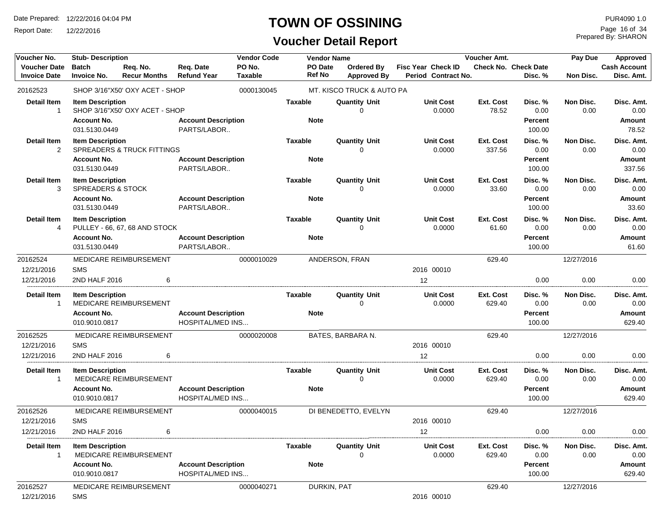Report Date: 12/22/2016

## **TOWN OF OSSINING**

## **Voucher Detail Report**

Prepared By: SHARON Page 16 of 34

| Voucher No.              | <b>Stub-Description</b>                                 |                                       |                                                       | <b>Vendor Code</b> | <b>Vendor Name</b><br>Voucher Amt. |                           |                            |                     | Pay Due                     | Approved          |                         |
|--------------------------|---------------------------------------------------------|---------------------------------------|-------------------------------------------------------|--------------------|------------------------------------|---------------------------|----------------------------|---------------------|-----------------------------|-------------------|-------------------------|
| <b>Voucher Date</b>      | <b>Batch</b>                                            | Req. No.<br><b>Recur Months</b>       | Req. Date<br><b>Refund Year</b>                       | PO No.             | PO Date<br>Ref No                  | Ordered By                | <b>Fisc Year Check ID</b>  |                     | <b>Check No. Check Date</b> |                   | <b>Cash Account</b>     |
| <b>Invoice Date</b>      | <b>Invoice No.</b>                                      |                                       |                                                       | Taxable            |                                    | <b>Approved By</b>        | Period Contract No.        |                     | Disc. %                     | Non Disc.         | Disc. Amt.              |
| 20162523                 |                                                         | SHOP 3/16"X50' OXY ACET - SHOP        |                                                       | 0000130045         |                                    | MT. KISCO TRUCK & AUTO PA |                            |                     |                             |                   |                         |
| <b>Detail Item</b><br>-1 | <b>Item Description</b>                                 | SHOP 3/16"X50' OXY ACET - SHOP        |                                                       |                    | <b>Taxable</b>                     | <b>Quantity Unit</b><br>∩ | <b>Unit Cost</b><br>0.0000 | Ext. Cost<br>78.52  | Disc. %<br>0.00             | Non Disc.<br>0.00 | Disc. Amt.<br>0.00      |
|                          | <b>Account No.</b><br>031.5130.0449                     |                                       | <b>Account Description</b><br>PARTS/LABOR             |                    | <b>Note</b>                        |                           |                            |                     | Percent<br>100.00           |                   | <b>Amount</b><br>78.52  |
| <b>Detail Item</b>       | <b>Item Description</b>                                 |                                       |                                                       |                    | <b>Taxable</b>                     | <b>Quantity Unit</b>      | <b>Unit Cost</b>           | Ext. Cost           | Disc. %                     | Non Disc.         | Disc. Amt.              |
| 2                        | <b>Account No.</b>                                      | <b>SPREADERS &amp; TRUCK FITTINGS</b> |                                                       |                    | <b>Note</b>                        | 0                         | 0.0000                     | 337.56              | 0.00<br><b>Percent</b>      | 0.00              | 0.00<br><b>Amount</b>   |
|                          | 031.5130.0449                                           |                                       | <b>Account Description</b><br>PARTS/LABOR             |                    |                                    |                           |                            |                     | 100.00                      |                   | 337.56                  |
| <b>Detail Item</b><br>3  | <b>Item Description</b><br><b>SPREADERS &amp; STOCK</b> |                                       |                                                       |                    | <b>Taxable</b>                     | <b>Quantity Unit</b><br>∩ | <b>Unit Cost</b><br>0.0000 | Ext. Cost<br>33.60  | Disc. %<br>0.00             | Non Disc.<br>0.00 | Disc. Amt.<br>0.00      |
|                          | <b>Account No.</b>                                      |                                       | <b>Account Description</b>                            |                    | <b>Note</b>                        |                           |                            |                     | <b>Percent</b>              |                   | <b>Amount</b>           |
|                          | 031.5130.0449                                           |                                       | PARTS/LABOR                                           |                    |                                    |                           |                            |                     | 100.00                      |                   | 33.60                   |
| <b>Detail Item</b><br>4  | <b>Item Description</b>                                 | PULLEY - 66, 67, 68 AND STOCK         |                                                       |                    | <b>Taxable</b>                     | <b>Quantity Unit</b><br>0 | <b>Unit Cost</b><br>0.0000 | Ext. Cost<br>61.60  | Disc. %<br>0.00             | Non Disc.<br>0.00 | Disc. Amt.<br>0.00      |
|                          | <b>Account No.</b>                                      |                                       | <b>Account Description</b>                            |                    | <b>Note</b>                        |                           |                            |                     | <b>Percent</b>              |                   | <b>Amount</b>           |
|                          | 031.5130.0449                                           |                                       | PARTS/LABOR                                           |                    |                                    |                           |                            |                     | 100.00                      |                   | 61.60                   |
| 20162524                 |                                                         | MEDICARE REIMBURSEMENT                |                                                       | 0000010029         |                                    | ANDERSON, FRAN            |                            | 629.40              |                             | 12/27/2016        |                         |
| 12/21/2016               | <b>SMS</b>                                              |                                       |                                                       |                    |                                    |                           | 2016 00010                 |                     |                             |                   |                         |
| 12/21/2016               | 2ND HALF 2016                                           | 6                                     |                                                       |                    |                                    |                           | 12                         |                     | 0.00                        | 0.00              | 0.00                    |
| <b>Detail Item</b>       | <b>Item Description</b>                                 |                                       |                                                       |                    | Taxable                            | <b>Quantity Unit</b>      | <b>Unit Cost</b>           | Ext. Cost           | Disc. %                     | Non Disc.         | Disc. Amt.              |
| -1                       |                                                         | MEDICARE REIMBURSEMENT                |                                                       |                    |                                    | 0                         | 0.0000                     | 629.40              | 0.00                        | 0.00              | 0.00                    |
|                          | <b>Account No.</b>                                      |                                       | <b>Account Description</b>                            |                    | <b>Note</b>                        |                           |                            |                     | Percent                     |                   | Amount                  |
|                          | 010.9010.0817                                           |                                       | <b>HOSPITAL/MED INS</b>                               |                    |                                    |                           |                            |                     | 100.00                      |                   | 629.40                  |
| 20162525                 |                                                         | MEDICARE REIMBURSEMENT                |                                                       | 0000020008         |                                    | BATES, BARBARA N.         |                            | 629.40              |                             | 12/27/2016        |                         |
| 12/21/2016               | <b>SMS</b>                                              |                                       |                                                       |                    |                                    |                           | 2016 00010                 |                     |                             |                   |                         |
| 12/21/2016               | 2ND HALF 2016                                           | 6                                     |                                                       |                    |                                    |                           | 12                         |                     | 0.00                        | 0.00              | 0.00                    |
| <b>Detail Item</b><br>-1 | <b>Item Description</b>                                 | MEDICARE REIMBURSEMENT                |                                                       |                    | Taxable                            | <b>Quantity Unit</b><br>0 | <b>Unit Cost</b><br>0.0000 | Ext. Cost<br>629.40 | Disc. %<br>0.00             | Non Disc.<br>0.00 | Disc. Amt.<br>0.00      |
|                          | <b>Account No.</b><br>010.9010.0817                     |                                       | <b>Account Description</b><br><b>HOSPITAL/MED INS</b> |                    | <b>Note</b>                        |                           |                            |                     | <b>Percent</b><br>100.00    |                   | <b>Amount</b><br>629.40 |
| 20162526                 |                                                         | <b>MEDICARE REIMBURSEMENT</b>         |                                                       | 0000040015         |                                    | DI BENEDETTO, EVELYN      |                            | 629.40              |                             | 12/27/2016        |                         |
| 12/21/2016               | <b>SMS</b>                                              |                                       |                                                       |                    |                                    |                           | 2016 00010                 |                     |                             |                   |                         |
| 12/21/2016               | 2ND HALF 2016                                           | 6                                     |                                                       |                    |                                    |                           | 12                         |                     | 0.00                        | 0.00              | 0.00                    |
| Detail Item              | <b>Item Description</b>                                 |                                       |                                                       |                    | Taxable                            | <b>Quantity Unit</b>      | Unit Cost                  | Ext. Cost           | Disc. %                     | Non Disc.         | Disc. Amt.              |
| -1                       |                                                         | MEDICARE REIMBURSEMENT                |                                                       |                    |                                    | $\Omega$                  | 0.0000                     | 629.40              | 0.00                        | 0.00              | 0.00                    |
|                          | <b>Account No.</b><br>010.9010.0817                     |                                       | <b>Account Description</b><br><b>HOSPITAL/MED INS</b> |                    | <b>Note</b>                        |                           |                            |                     | Percent<br>100.00           |                   | Amount<br>629.40        |
| 20162527                 |                                                         | MEDICARE REIMBURSEMENT                |                                                       | 0000040271         |                                    | DURKIN, PAT               |                            | 629.40              |                             | 12/27/2016        |                         |
| 12/21/2016               | <b>SMS</b>                                              |                                       |                                                       |                    |                                    |                           | 2016 00010                 |                     |                             |                   |                         |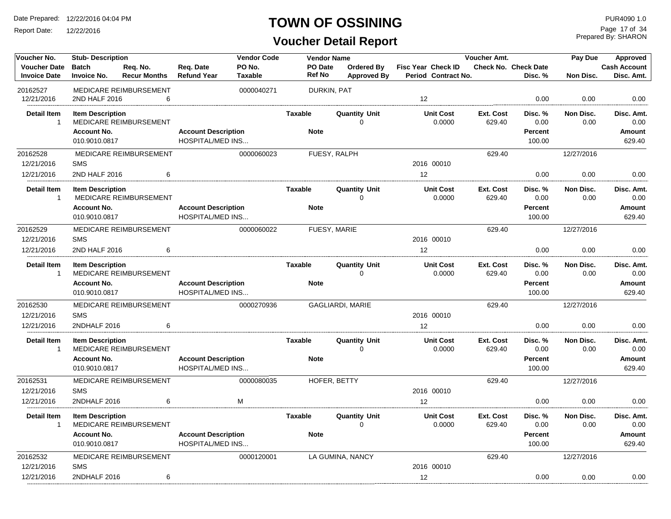Report Date: 12/22/2016

### **TOWN OF OSSINING**

**Voucher Detail Report**

Prepared By: SHARON Page 17 of 34

| Voucher No.                                | <b>Stub-Description</b>             |                                 |                                                       | <b>Vendor Code</b>       | <b>Vendor Name</b>       |                                         |                                           | Voucher Amt.        |                                 | Pay Due           | Approved                          |
|--------------------------------------------|-------------------------------------|---------------------------------|-------------------------------------------------------|--------------------------|--------------------------|-----------------------------------------|-------------------------------------------|---------------------|---------------------------------|-------------------|-----------------------------------|
| <b>Voucher Date</b><br><b>Invoice Date</b> | <b>Batch</b><br><b>Invoice No.</b>  | Req. No.<br><b>Recur Months</b> | Req. Date<br><b>Refund Year</b>                       | PO No.<br><b>Taxable</b> | PO Date<br><b>Ref No</b> | <b>Ordered By</b><br><b>Approved By</b> | Fisc Year Check ID<br>Period Contract No. |                     | Check No. Check Date<br>Disc. % | Non Disc.         | <b>Cash Account</b><br>Disc. Amt. |
| 20162527                                   |                                     | MEDICARE REIMBURSEMENT          |                                                       | 0000040271               | DURKIN, PAT              |                                         |                                           |                     |                                 |                   |                                   |
| 12/21/2016                                 | 2ND HALF 2016                       | 6                               |                                                       |                          |                          |                                         | 12                                        |                     | 0.00                            | 0.00              | 0.00                              |
| <b>Detail Item</b><br>$\overline{1}$       | <b>Item Description</b>             | MEDICARE REIMBURSEMENT          |                                                       |                          | Taxable                  | <b>Quantity Unit</b><br>$\Omega$        | <b>Unit Cost</b><br>0.0000                | Ext. Cost<br>629.40 | Disc. %<br>0.00                 | Non Disc.<br>0.00 | Disc. Amt.<br>0.00                |
|                                            | <b>Account No.</b><br>010.9010.0817 |                                 | <b>Account Description</b><br><b>HOSPITAL/MED INS</b> |                          | <b>Note</b>              |                                         |                                           |                     | <b>Percent</b><br>100.00        |                   | Amount<br>629.40                  |
| 20162528<br>12/21/2016                     | <b>SMS</b>                          | MEDICARE REIMBURSEMENT          |                                                       | 0000060023               |                          | FUESY, RALPH                            | 2016 00010                                | 629.40              |                                 | 12/27/2016        |                                   |
| 12/21/2016                                 | 2ND HALF 2016                       | 6                               |                                                       |                          |                          |                                         | 12                                        |                     | 0.00                            | 0.00              | 0.00                              |
| <b>Detail Item</b><br>$\overline{1}$       | <b>Item Description</b>             | MEDICARE REIMBURSEMENT          |                                                       |                          | <b>Taxable</b>           | <b>Quantity Unit</b><br>$\Omega$        | <b>Unit Cost</b><br>0.0000                | Ext. Cost<br>629.40 | Disc. %<br>0.00                 | Non Disc.<br>0.00 | Disc. Amt.<br>0.00                |
|                                            | <b>Account No.</b><br>010.9010.0817 |                                 | <b>Account Description</b><br><b>HOSPITAL/MED INS</b> |                          | <b>Note</b>              |                                         |                                           |                     | <b>Percent</b><br>100.00        |                   | Amount<br>629.40                  |
| 20162529                                   |                                     | MEDICARE REIMBURSEMENT          |                                                       | 0000060022               |                          | FUESY, MARIE                            |                                           | 629.40              |                                 | 12/27/2016        |                                   |
| 12/21/2016                                 | <b>SMS</b>                          |                                 |                                                       |                          |                          |                                         | 2016 00010                                |                     |                                 |                   |                                   |
| 12/21/2016                                 | 2ND HALF 2016                       | 6                               |                                                       |                          |                          |                                         | 12                                        |                     | 0.00                            | 0.00              | 0.00                              |
| <b>Detail Item</b><br>$\overline{1}$       | <b>Item Description</b>             | MEDICARE REIMBURSEMENT          |                                                       |                          | Taxable                  | <b>Quantity Unit</b><br>$\Omega$        | <b>Unit Cost</b><br>0.0000                | Ext. Cost<br>629.40 | Disc. %<br>0.00                 | Non Disc.<br>0.00 | Disc. Amt.<br>0.00                |
|                                            | <b>Account No.</b><br>010.9010.0817 |                                 | <b>Account Description</b><br><b>HOSPITAL/MED INS</b> |                          | <b>Note</b>              |                                         |                                           |                     | <b>Percent</b><br>100.00        |                   | Amount<br>629.40                  |
| 20162530                                   |                                     | MEDICARE REIMBURSEMENT          |                                                       | 0000270936               |                          | GAGLIARDI, MARIE                        |                                           | 629.40              |                                 | 12/27/2016        |                                   |
| 12/21/2016                                 | <b>SMS</b>                          |                                 |                                                       |                          |                          |                                         | 2016 00010                                |                     |                                 |                   |                                   |
| 12/21/2016                                 | 2NDHALF 2016                        | 6                               |                                                       |                          |                          |                                         | 12                                        |                     | 0.00                            | 0.00              | 0.00                              |
| <b>Detail Item</b><br>$\overline{1}$       | <b>Item Description</b>             | MEDICARE REIMBURSEMENT          |                                                       |                          | <b>Taxable</b>           | <b>Quantity Unit</b><br>$\Omega$        | <b>Unit Cost</b><br>0.0000                | Ext. Cost<br>629.40 | Disc. %<br>0.00                 | Non Disc.<br>0.00 | Disc. Amt.<br>0.00                |
|                                            | <b>Account No.</b><br>010.9010.0817 |                                 | <b>Account Description</b><br><b>HOSPITAL/MED INS</b> |                          | <b>Note</b>              |                                         |                                           |                     | <b>Percent</b><br>100.00        |                   | Amount<br>629.40                  |
| 20162531                                   |                                     | MEDICARE REIMBURSEMENT          |                                                       | 0000080035               |                          | HOFER, BETTY                            |                                           | 629.40              |                                 | 12/27/2016        |                                   |
| 12/21/2016                                 | <b>SMS</b>                          |                                 |                                                       |                          |                          |                                         | 2016 00010                                |                     |                                 |                   |                                   |
| 12/21/2016                                 | 2NDHALF 2016                        | 6                               |                                                       | M                        |                          |                                         | 12                                        |                     | 0.00                            | 0.00              | 0.00                              |
| <b>Detail Item</b><br>$\overline{1}$       | <b>Item Description</b>             | MEDICARE REIMBURSEMENT          |                                                       |                          | Taxable                  | <b>Quantity Unit</b><br>0               | <b>Unit Cost</b><br>0.0000                | Ext. Cost<br>629.40 | Disc. %<br>0.00                 | Non Disc.<br>0.00 | Disc. Amt.<br>0.00                |
|                                            | <b>Account No.</b><br>010.9010.0817 |                                 | <b>Account Description</b><br><b>HOSPITAL/MED INS</b> |                          | <b>Note</b>              |                                         |                                           |                     | <b>Percent</b><br>100.00        |                   | Amount<br>629.40                  |
| 20162532                                   |                                     | MEDICARE REIMBURSEMENT          |                                                       | 0000120001               |                          | LA GUMINA, NANCY                        |                                           | 629.40              |                                 | 12/27/2016        |                                   |
| 12/21/2016                                 | <b>SMS</b>                          |                                 |                                                       |                          |                          |                                         | 2016 00010                                |                     |                                 |                   |                                   |
| 12/21/2016                                 | 2NDHALF 2016                        | 6                               |                                                       |                          |                          |                                         | 12                                        |                     | 0.00                            | 0.00              | 0.00                              |
|                                            |                                     |                                 |                                                       |                          |                          |                                         |                                           |                     |                                 |                   |                                   |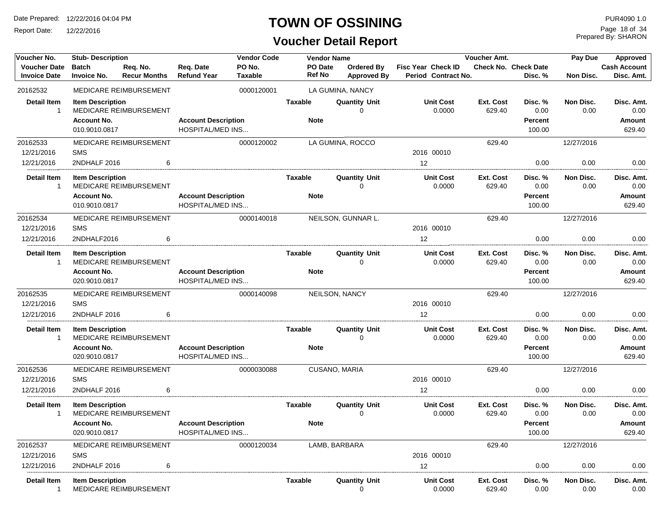Report Date: 12/22/2016

### **TOWN OF OSSINING**

## **Voucher Detail Report**

Prepared By: SHARON Page 18 of 34

| Voucher No.         | <b>Stub-Description</b> |                               |                            | <b>Vendor Code</b> |                | <b>Vendor Name</b>   |                           | Voucher Amt.     |                      | Pay Due    | Approved            |
|---------------------|-------------------------|-------------------------------|----------------------------|--------------------|----------------|----------------------|---------------------------|------------------|----------------------|------------|---------------------|
| <b>Voucher Date</b> | <b>Batch</b>            | Req. No.                      | Req. Date                  | PO No.             | PO Date        | <b>Ordered By</b>    | <b>Fisc Year Check ID</b> |                  | Check No. Check Date |            | <b>Cash Account</b> |
| <b>Invoice Date</b> | <b>Invoice No.</b>      | <b>Recur Months</b>           | <b>Refund Year</b>         | <b>Taxable</b>     | <b>Ref No</b>  | <b>Approved By</b>   | Period Contract No.       |                  | Disc. %              | Non Disc.  | Disc. Amt.          |
| 20162532            |                         | MEDICARE REIMBURSEMENT        |                            | 0000120001         |                | LA GUMINA, NANCY     |                           |                  |                      |            |                     |
| <b>Detail Item</b>  | <b>Item Description</b> |                               |                            |                    | <b>Taxable</b> | <b>Quantity Unit</b> | <b>Unit Cost</b>          | <b>Ext. Cost</b> | Disc. %              | Non Disc.  | Disc. Amt.          |
| $\mathbf{1}$        |                         | <b>MEDICARE REIMBURSEMENT</b> |                            |                    |                | 0                    | 0.0000                    | 629.40           | 0.00                 | 0.00       | 0.00                |
|                     | <b>Account No.</b>      |                               | <b>Account Description</b> |                    | <b>Note</b>    |                      |                           |                  | Percent              |            | <b>Amount</b>       |
|                     | 010.9010.0817           |                               | <b>HOSPITAL/MED INS</b>    |                    |                |                      |                           |                  | 100.00               |            | 629.40              |
| 20162533            |                         | MEDICARE REIMBURSEMENT        |                            | 0000120002         |                | LA GUMINA, ROCCO     |                           | 629.40           |                      | 12/27/2016 |                     |
| 12/21/2016          | <b>SMS</b>              |                               |                            |                    |                |                      | 2016 00010                |                  |                      |            |                     |
| 12/21/2016          | 2NDHALF 2016            | 6                             |                            |                    |                |                      | 12                        |                  | 0.00                 | 0.00       | 0.00                |
| <b>Detail Item</b>  | <b>Item Description</b> |                               |                            |                    | <b>Taxable</b> | <b>Quantity Unit</b> | <b>Unit Cost</b>          | Ext. Cost        | Disc. %              | Non Disc.  | Disc. Amt.          |
| $\mathbf{1}$        |                         | MEDICARE REIMBURSEMENT        |                            |                    |                | 0                    | 0.0000                    | 629.40           | 0.00                 | 0.00       | 0.00                |
|                     | <b>Account No.</b>      |                               | <b>Account Description</b> |                    | <b>Note</b>    |                      |                           |                  | <b>Percent</b>       |            | <b>Amount</b>       |
|                     | 010.9010.0817           |                               | HOSPITAL/MED INS           |                    |                |                      |                           |                  | 100.00               |            | 629.40              |
| 20162534            |                         | MEDICARE REIMBURSEMENT        |                            | 0000140018         |                | NEILSON, GUNNAR L.   |                           | 629.40           |                      | 12/27/2016 |                     |
| 12/21/2016          | <b>SMS</b>              |                               |                            |                    |                |                      | 2016 00010                |                  |                      |            |                     |
| 12/21/2016          | 2NDHALF2016             | 6                             |                            |                    |                |                      | 12                        |                  | 0.00                 | 0.00       | 0.00                |
| <b>Detail Item</b>  | <b>Item Description</b> |                               |                            |                    | Taxable        | Quantity Unit        | <b>Unit Cost</b>          | Ext. Cost        | Disc. %              | Non Disc.  | Disc. Amt.          |
| $\mathbf{1}$        |                         | MEDICARE REIMBURSEMENT        |                            |                    |                | U                    | 0.0000                    | 629.40           | 0.00                 | 0.00       | 0.00                |
|                     | <b>Account No.</b>      |                               | <b>Account Description</b> |                    | <b>Note</b>    |                      |                           |                  | <b>Percent</b>       |            | Amount              |
|                     | 020.9010.0817           |                               | <b>HOSPITAL/MED INS</b>    |                    |                |                      |                           |                  | 100.00               |            | 629.40              |
| 20162535            |                         | MEDICARE REIMBURSEMENT        |                            | 0000140098         |                | NEILSON, NANCY       |                           | 629.40           |                      | 12/27/2016 |                     |
| 12/21/2016          | <b>SMS</b>              |                               |                            |                    |                |                      | 2016 00010                |                  |                      |            |                     |
| 12/21/2016          | 2NDHALF 2016            | 6                             |                            |                    |                |                      | 12                        |                  | 0.00                 | 0.00       | 0.00                |
| <b>Detail Item</b>  | <b>Item Description</b> |                               |                            |                    | <b>Taxable</b> | <b>Quantity Unit</b> | <b>Unit Cost</b>          | Ext. Cost        | Disc. %              | Non Disc.  | Disc. Amt.          |
| -1                  |                         | MEDICARE REIMBURSEMENT        |                            |                    |                | 0                    | 0.0000                    | 629.40           | 0.00                 | 0.00       | 0.00                |
|                     | <b>Account No.</b>      |                               | <b>Account Description</b> |                    | <b>Note</b>    |                      |                           |                  | <b>Percent</b>       |            | Amount              |
|                     | 020.9010.0817           |                               | HOSPITAL/MED INS           |                    |                |                      |                           |                  | 100.00               |            | 629.40              |
| 20162536            |                         | <b>MEDICARE REIMBURSEMENT</b> |                            | 0000030088         |                | CUSANO, MARIA        |                           | 629.40           |                      | 12/27/2016 |                     |
| 12/21/2016          | <b>SMS</b>              |                               |                            |                    |                |                      | 2016 00010                |                  |                      |            |                     |
| 12/21/2016          | 2NDHALF 2016            | 6                             |                            |                    |                |                      | 12                        |                  | 0.00                 | 0.00       | 0.00                |
| <b>Detail Item</b>  | <b>Item Description</b> |                               |                            |                    | <b>Taxable</b> | <b>Quantity Unit</b> | <b>Unit Cost</b>          | <b>Ext. Cost</b> | Disc. %              | Non Disc.  | Disc. Amt.          |
| $\mathbf{1}$        |                         | MEDICARE REIMBURSEMENT        |                            |                    |                | 0                    | 0.0000                    | 629.40           | 0.00                 | 0.00       | 0.00                |
|                     | <b>Account No.</b>      |                               | <b>Account Description</b> |                    | <b>Note</b>    |                      |                           |                  | <b>Percent</b>       |            | Amount              |
|                     | 020.9010.0817           |                               | <b>HOSPITAL/MED INS</b>    |                    |                |                      |                           |                  | 100.00               |            | 629.40              |
| 20162537            |                         | <b>MEDICARE REIMBURSEMENT</b> |                            | 0000120034         |                | LAMB, BARBARA        |                           | 629.40           |                      | 12/27/2016 |                     |
| 12/21/2016          | <b>SMS</b>              |                               |                            |                    |                |                      | 2016 00010                |                  |                      |            |                     |
| 12/21/2016          | 2NDHALF 2016            | 6                             |                            |                    |                |                      | 12                        |                  | 0.00                 | 0.00       | 0.00                |
| Detail Item         | <b>Item Description</b> |                               |                            |                    | Taxable        | Quantity Unit        | <b>Unit Cost</b>          | Ext. Cost        | Disc. %              | Non Disc.  | Disc. Amt.          |
| $\mathbf{1}$        |                         | MEDICARE REIMBURSEMENT        |                            |                    |                | 0                    | 0.0000                    | 629.40           | 0.00                 | 0.00       | 0.00                |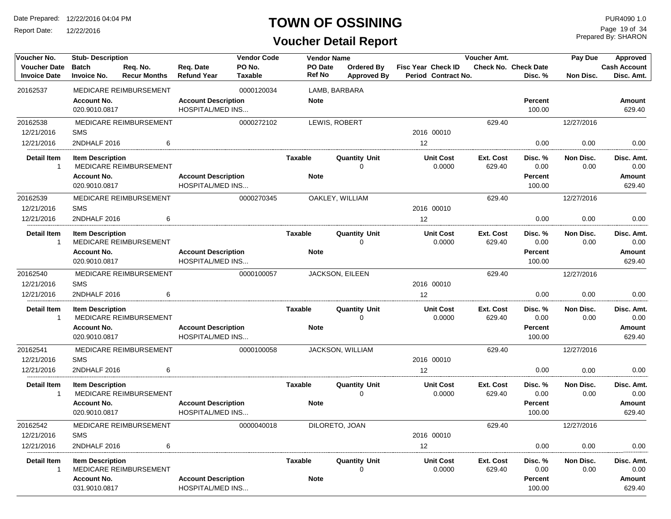Report Date: 12/22/2016

### **TOWN OF OSSINING**

| Voucher No.                                | <b>Stub- Description</b>            |                                 |                                                       | <b>Vendor Code</b>       |                          | <b>Vendor Name</b> |                                     |                                                  | Voucher Amt.               |                                 | Pay Due           | Approved                          |
|--------------------------------------------|-------------------------------------|---------------------------------|-------------------------------------------------------|--------------------------|--------------------------|--------------------|-------------------------------------|--------------------------------------------------|----------------------------|---------------------------------|-------------------|-----------------------------------|
| <b>Voucher Date</b><br><b>Invoice Date</b> | <b>Batch</b><br><b>Invoice No.</b>  | Req. No.<br><b>Recur Months</b> | Req. Date<br><b>Refund Year</b>                       | PO No.<br><b>Taxable</b> | PO Date<br><b>Ref No</b> |                    | Ordered By<br><b>Approved By</b>    | Fisc Year Check ID<br><b>Period Contract No.</b> |                            | Check No. Check Date<br>Disc. % | Non Disc.         | <b>Cash Account</b><br>Disc. Amt. |
| 20162537                                   |                                     | MEDICARE REIMBURSEMENT          |                                                       | 0000120034               |                          |                    | LAMB, BARBARA                       |                                                  |                            |                                 |                   |                                   |
|                                            | <b>Account No.</b><br>020.9010.0817 |                                 | <b>Account Description</b><br><b>HOSPITAL/MED INS</b> |                          | <b>Note</b>              |                    |                                     |                                                  |                            | Percent<br>100.00               |                   | Amount<br>629.40                  |
| 20162538                                   |                                     | MEDICARE REIMBURSEMENT          |                                                       | 0000272102               |                          |                    | LEWIS, ROBERT                       |                                                  | 629.40                     |                                 | 12/27/2016        |                                   |
| 12/21/2016                                 | <b>SMS</b>                          |                                 |                                                       |                          |                          |                    |                                     | 2016 00010                                       |                            |                                 |                   |                                   |
| 12/21/2016                                 | 2NDHALF 2016                        | 6                               |                                                       |                          |                          |                    |                                     | 12                                               |                            | 0.00                            | 0.00              | 0.00                              |
| Detail Item<br>-1                          | <b>Item Description</b>             | <b>MEDICARE REIMBURSEMENT</b>   |                                                       |                          | Taxable                  |                    | <b>Quantity Unit</b><br>$\Omega$    | <b>Unit Cost</b><br>0.0000                       | Ext. Cost<br>629.40        | Disc. %<br>0.00                 | Non Disc.<br>0.00 | Disc. Amt.<br>0.00                |
|                                            | <b>Account No.</b>                  |                                 | <b>Account Description</b>                            |                          | <b>Note</b>              |                    |                                     |                                                  |                            | Percent                         |                   | Amount                            |
|                                            | 020.9010.0817                       |                                 | <b>HOSPITAL/MED INS</b>                               |                          |                          |                    |                                     |                                                  |                            | 100.00                          |                   | 629.40                            |
| 20162539                                   |                                     | MEDICARE REIMBURSEMENT          |                                                       | 0000270345               |                          |                    | OAKLEY, WILLIAM                     |                                                  | 629.40                     |                                 | 12/27/2016        |                                   |
| 12/21/2016                                 | <b>SMS</b>                          |                                 |                                                       |                          |                          |                    |                                     | 2016 00010                                       |                            |                                 |                   |                                   |
| 12/21/2016                                 | 2NDHALF 2016                        | 6                               |                                                       |                          |                          |                    |                                     | $12 \overline{ }$                                |                            | 0.00                            | 0.00              | 0.00                              |
| <b>Detail Item</b><br>$\mathbf{1}$         | <b>Item Description</b>             | MEDICARE REIMBURSEMENT          |                                                       |                          | <b>Taxable</b>           |                    | <b>Quantity Unit</b><br>$\mathbf 0$ | <b>Unit Cost</b><br>0.0000                       | Ext. Cost<br>629.40        | Disc. %<br>0.00                 | Non Disc.<br>0.00 | Disc. Amt.<br>0.00                |
|                                            | <b>Account No.</b>                  |                                 | <b>Account Description</b>                            |                          | <b>Note</b>              |                    |                                     |                                                  |                            | <b>Percent</b>                  |                   | Amount                            |
|                                            | 020.9010.0817                       |                                 | <b>HOSPITAL/MED INS</b>                               |                          |                          |                    |                                     |                                                  |                            | 100.00                          |                   | 629.40                            |
| 20162540                                   |                                     | MEDICARE REIMBURSEMENT          |                                                       | 0000100057               |                          |                    | <b>JACKSON, EILEEN</b>              |                                                  | 629.40                     |                                 | 12/27/2016        |                                   |
| 12/21/2016                                 | <b>SMS</b>                          |                                 |                                                       |                          |                          |                    |                                     | 2016 00010                                       |                            |                                 |                   |                                   |
| 12/21/2016                                 | 2NDHALF 2016                        | 6                               |                                                       |                          |                          |                    |                                     | 12                                               |                            | 0.00                            | 0.00              | 0.00                              |
| <b>Detail Item</b><br>1                    | <b>Item Description</b>             | MEDICARE REIMBURSEMENT          |                                                       |                          | <b>Taxable</b>           |                    | <b>Quantity Unit</b><br>$\Omega$    | <b>Unit Cost</b><br>0.0000                       | <b>Ext. Cost</b><br>629.40 | Disc. %<br>0.00                 | Non Disc.<br>0.00 | Disc. Amt.<br>0.00                |
|                                            | <b>Account No.</b><br>020.9010.0817 |                                 | <b>Account Description</b><br><b>HOSPITAL/MED INS</b> |                          | <b>Note</b>              |                    |                                     |                                                  |                            | Percent<br>100.00               |                   | Amount<br>629.40                  |
| 20162541                                   |                                     | MEDICARE REIMBURSEMENT          |                                                       | 0000100058               |                          |                    | JACKSON, WILLIAM                    |                                                  | 629.40                     |                                 | 12/27/2016        |                                   |
| 12/21/2016                                 | <b>SMS</b>                          |                                 |                                                       |                          |                          |                    |                                     | 2016 00010                                       |                            |                                 |                   |                                   |
| 12/21/2016                                 | 2NDHALF 2016                        | 6                               |                                                       |                          |                          |                    |                                     | 12                                               |                            | 0.00                            | 0.00              | 0.00                              |
| <b>Detail Item</b><br>1                    | <b>Item Description</b>             | MEDICARE REIMBURSEMENT          |                                                       |                          | <b>Taxable</b>           |                    | <b>Quantity Unit</b><br>$\Omega$    | <b>Unit Cost</b><br>0.0000                       | Ext. Cost<br>629.40        | Disc. %<br>0.00                 | Non Disc.<br>0.00 | Disc. Amt.<br>0.00                |
|                                            | <b>Account No.</b><br>020.9010.0817 |                                 | <b>Account Description</b><br><b>HOSPITAL/MED INS</b> |                          | <b>Note</b>              |                    |                                     |                                                  |                            | Percent<br>100.00               |                   | Amount<br>629.40                  |
| 20162542                                   |                                     | MEDICARE REIMBURSEMENT          |                                                       | 0000040018               |                          |                    | DILORETO, JOAN                      |                                                  | 629.40                     |                                 | 12/27/2016        |                                   |
| 12/21/2016                                 | <b>SMS</b>                          |                                 |                                                       |                          |                          |                    |                                     | 2016 00010                                       |                            |                                 |                   |                                   |
| 12/21/2016                                 | 2NDHALF 2016                        | 6                               |                                                       |                          |                          |                    |                                     | 12                                               |                            | 0.00                            | 0.00              | 0.00                              |
| Detail Item<br>-1                          | <b>Item Description</b>             | MEDICARE REIMBURSEMENT          |                                                       |                          | Taxable                  |                    | <b>Quantity Unit</b><br>$\Omega$    | <b>Unit Cost</b><br>0.0000                       | Ext. Cost<br>629.40        | Disc. %<br>0.00                 | Non Disc.<br>0.00 | Disc. Amt.<br>0.00                |
|                                            | <b>Account No.</b><br>031.9010.0817 |                                 | <b>Account Description</b><br><b>HOSPITAL/MED INS</b> |                          | <b>Note</b>              |                    |                                     |                                                  |                            | <b>Percent</b><br>100.00        |                   | Amount<br>629.40                  |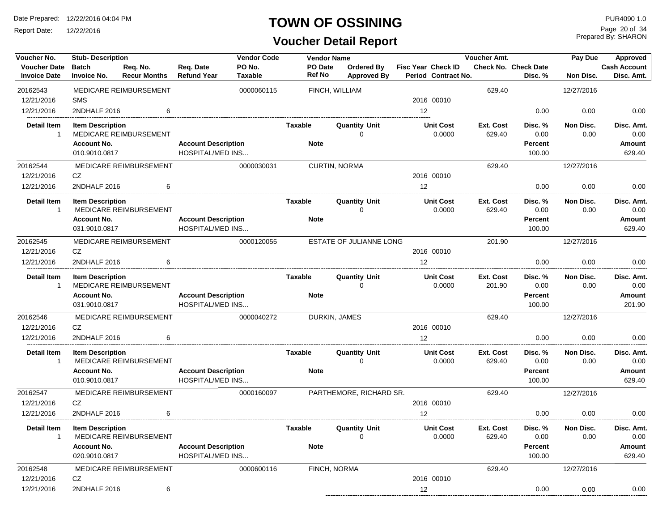Report Date: 12/22/2016

#### **TOWN OF OSSINING**

## **Voucher Detail Report**

Prepared By: SHARON Page 20 of 34

| Voucher No.                                | <b>Stub-Description</b>                       |                                 |                                                       | <b>Vendor Code</b>       |                | <b>Vendor Name</b>       |                                     |                                                  | Voucher Amt.        |                                   | Pay Due           | Approved                            |
|--------------------------------------------|-----------------------------------------------|---------------------------------|-------------------------------------------------------|--------------------------|----------------|--------------------------|-------------------------------------|--------------------------------------------------|---------------------|-----------------------------------|-------------------|-------------------------------------|
| <b>Voucher Date</b><br><b>Invoice Date</b> | <b>Batch</b><br><b>Invoice No.</b>            | Req. No.<br><b>Recur Months</b> | Req. Date<br><b>Refund Year</b>                       | PO No.<br><b>Taxable</b> |                | PO Date<br><b>Ref No</b> | Ordered By<br><b>Approved By</b>    | <b>Fisc Year Check ID</b><br>Period Contract No. |                     | Check No. Check Date<br>Disc. %   | Non Disc.         | <b>Cash Account</b><br>Disc. Amt.   |
| 20162543                                   |                                               | MEDICARE REIMBURSEMENT          |                                                       | 0000060115               |                | FINCH, WILLIAM           |                                     |                                                  | 629.40              |                                   | 12/27/2016        |                                     |
| 12/21/2016                                 | <b>SMS</b>                                    |                                 |                                                       |                          |                |                          |                                     | 2016 00010                                       |                     |                                   |                   |                                     |
| 12/21/2016                                 | 2NDHALF 2016                                  | 6                               |                                                       |                          |                |                          |                                     | 12                                               |                     | 0.00                              | 0.00              | 0.00                                |
| <b>Detail Item</b><br>$\overline{1}$       | <b>Item Description</b><br><b>Account No.</b> | MEDICARE REIMBURSEMENT          | <b>Account Description</b>                            |                          | Taxable        | <b>Note</b>              | <b>Quantity Unit</b><br>$\Omega$    | <b>Unit Cost</b><br>0.0000                       | Ext. Cost<br>629.40 | Disc. %<br>0.00<br><b>Percent</b> | Non Disc.<br>0.00 | Disc. Amt.<br>0.00<br><b>Amount</b> |
|                                            | 010.9010.0817                                 |                                 | HOSPITAL/MED INS                                      |                          |                |                          |                                     |                                                  |                     | 100.00                            |                   | 629.40                              |
| 20162544                                   |                                               | MEDICARE REIMBURSEMENT          |                                                       | 0000030031               |                | <b>CURTIN, NORMA</b>     |                                     |                                                  | 629.40              |                                   | 12/27/2016        |                                     |
| 12/21/2016                                 | CZ                                            |                                 |                                                       |                          |                |                          |                                     | 2016 00010                                       |                     |                                   |                   |                                     |
| 12/21/2016                                 | 2NDHALF 2016                                  | 6                               |                                                       |                          |                |                          |                                     | 12                                               |                     | 0.00                              | 0.00              | 0.00                                |
| <b>Detail Item</b><br>$\overline{1}$       | <b>Item Description</b>                       | MEDICARE REIMBURSEMENT          |                                                       |                          | Taxable        |                          | <b>Quantity Unit</b><br>$\Omega$    | <b>Unit Cost</b><br>0.0000                       | Ext. Cost<br>629.40 | Disc. %<br>0.00                   | Non Disc.<br>0.00 | Disc. Amt.<br>0.00                  |
|                                            | <b>Account No.</b><br>031.9010.0817           |                                 | <b>Account Description</b><br><b>HOSPITAL/MED INS</b> |                          |                | <b>Note</b>              |                                     |                                                  |                     | <b>Percent</b><br>100.00          |                   | Amount<br>629.40                    |
| 20162545                                   |                                               | <b>MEDICARE REIMBURSEMENT</b>   |                                                       | 0000120055               |                |                          | ESTATE OF JULIANNE LONG             |                                                  | 201.90              |                                   | 12/27/2016        |                                     |
| 12/21/2016                                 | <b>CZ</b>                                     |                                 |                                                       |                          |                |                          |                                     | 2016 00010                                       |                     |                                   |                   |                                     |
| 12/21/2016                                 | 2NDHALF 2016                                  | 6                               |                                                       |                          |                |                          |                                     | 12 <sup>2</sup>                                  |                     | 0.00                              | 0.00              | 0.00                                |
| <b>Detail Item</b><br>$\overline{1}$       | <b>Item Description</b>                       | MEDICARE REIMBURSEMENT          |                                                       |                          | <b>Taxable</b> |                          | <b>Quantity Unit</b><br>$\Omega$    | <b>Unit Cost</b><br>0.0000                       | Ext. Cost<br>201.90 | Disc. %<br>0.00                   | Non Disc.<br>0.00 | Disc. Amt.<br>0.00                  |
|                                            | <b>Account No.</b><br>031.9010.0817           |                                 | <b>Account Description</b><br><b>HOSPITAL/MED INS</b> |                          |                | <b>Note</b>              |                                     |                                                  |                     | Percent<br>100.00                 |                   | Amount<br>201.90                    |
| 20162546                                   |                                               | MEDICARE REIMBURSEMENT          |                                                       | 0000040272               |                | DURKIN, JAMES            |                                     |                                                  | 629.40              |                                   | 12/27/2016        |                                     |
| 12/21/2016                                 | CZ                                            |                                 |                                                       |                          |                |                          |                                     | 2016 00010                                       |                     |                                   |                   |                                     |
| 12/21/2016                                 | 2NDHALF 2016                                  | 6                               |                                                       |                          |                |                          |                                     | 12                                               |                     | 0.00                              | 0.00              | 0.00                                |
| <b>Detail Item</b><br>$\overline{1}$       | <b>Item Description</b>                       | MEDICARE REIMBURSEMENT          |                                                       |                          | Taxable        |                          | <b>Quantity Unit</b><br>$\mathbf 0$ | <b>Unit Cost</b><br>0.0000                       | Ext. Cost<br>629.40 | Disc. %<br>0.00                   | Non Disc.<br>0.00 | Disc. Amt.<br>0.00                  |
|                                            | <b>Account No.</b>                            |                                 | <b>Account Description</b>                            |                          |                | <b>Note</b>              |                                     |                                                  |                     | <b>Percent</b>                    |                   | Amount                              |
|                                            | 010.9010.0817                                 |                                 | <b>HOSPITAL/MED INS</b>                               |                          |                |                          |                                     |                                                  |                     | 100.00                            |                   | 629.40                              |
| 20162547                                   |                                               | MEDICARE REIMBURSEMENT          |                                                       | 0000160097               |                |                          | PARTHEMORE, RICHARD SR.             |                                                  | 629.40              |                                   | 12/27/2016        |                                     |
| 12/21/2016                                 | CZ                                            |                                 |                                                       |                          |                |                          |                                     | 2016 00010                                       |                     |                                   |                   |                                     |
| 12/21/2016                                 | 2NDHALF 2016                                  | 6                               |                                                       |                          |                |                          |                                     | 12                                               |                     | 0.00                              | 0.00              | 0.00                                |
| <b>Detail Item</b><br>-1                   | <b>Item Description</b>                       | MEDICARE REIMBURSEMENT          |                                                       |                          | <b>Taxable</b> |                          | <b>Quantity Unit</b><br>$\Omega$    | <b>Unit Cost</b><br>0.0000                       | Ext. Cost<br>629.40 | Disc. %<br>0.00                   | Non Disc.<br>0.00 | Disc. Amt.<br>0.00                  |
|                                            | <b>Account No.</b><br>020.9010.0817           |                                 | <b>Account Description</b><br><b>HOSPITAL/MED INS</b> |                          |                | <b>Note</b>              |                                     |                                                  |                     | <b>Percent</b><br>100.00          |                   | Amount<br>629.40                    |
| 20162548                                   |                                               | MEDICARE REIMBURSEMENT          |                                                       | 0000600116               |                | FINCH, NORMA             |                                     |                                                  | 629.40              |                                   | 12/27/2016        |                                     |
| 12/21/2016                                 | CZ                                            |                                 |                                                       |                          |                |                          |                                     | 2016 00010                                       |                     |                                   |                   |                                     |
| 12/21/2016                                 | 2NDHALF 2016                                  | 6                               |                                                       |                          |                |                          |                                     | 12                                               |                     | 0.00                              | 0.00              | 0.00                                |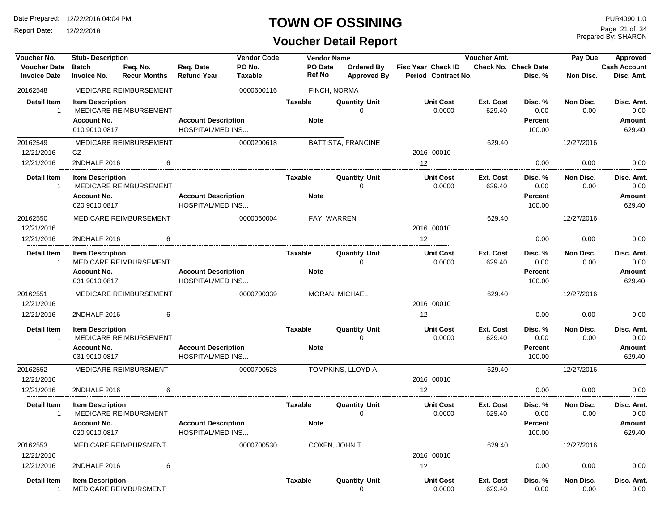Report Date: 12/22/2016

### **TOWN OF OSSINING**

## **Voucher Detail Report**

Prepared By: SHARON Page 21 of 34

| Voucher No.                                | <b>Vendor Code</b><br>Voucher Amt.<br><b>Stub-Description</b><br><b>Vendor Name</b> |                                 |                                                       |                          |                                 | Pay Due        | Approved                                |                                                  |                            |                                             |                   |                                        |
|--------------------------------------------|-------------------------------------------------------------------------------------|---------------------------------|-------------------------------------------------------|--------------------------|---------------------------------|----------------|-----------------------------------------|--------------------------------------------------|----------------------------|---------------------------------------------|-------------------|----------------------------------------|
| <b>Voucher Date</b><br><b>Invoice Date</b> | <b>Batch</b><br><b>Invoice No.</b>                                                  | Req. No.<br><b>Recur Months</b> | Req. Date<br><b>Refund Year</b>                       | PO No.<br><b>Taxable</b> | <b>PO Date</b><br><b>Ref No</b> |                | <b>Ordered By</b><br><b>Approved By</b> | <b>Fisc Year Check ID</b><br>Period Contract No. |                            | <b>Check No. Check Date</b><br>Disc. %      | Non Disc.         | <b>Cash Account</b><br>Disc. Amt.      |
| 20162548                                   |                                                                                     | MEDICARE REIMBURSEMENT          |                                                       | 0000600116               |                                 | FINCH, NORMA   |                                         |                                                  |                            |                                             |                   |                                        |
| <b>Detail Item</b><br>$\mathbf{1}$         | <b>Item Description</b><br><b>Account No.</b><br>010.9010.0817                      | MEDICARE REIMBURSEMENT          | <b>Account Description</b><br><b>HOSPITAL/MED INS</b> |                          | <b>Taxable</b><br><b>Note</b>   |                | <b>Quantity Unit</b><br>$\Omega$        | <b>Unit Cost</b><br>0.0000                       | <b>Ext. Cost</b><br>629.40 | Disc. %<br>0.00<br><b>Percent</b><br>100.00 | Non Disc.<br>0.00 | Disc. Amt.<br>0.00<br>Amount<br>629.40 |
| 20162549                                   |                                                                                     | MEDICARE REIMBURSEMENT          |                                                       | 0000200618               |                                 |                | BATTISTA, FRANCINE                      |                                                  | 629.40                     |                                             | 12/27/2016        |                                        |
| 12/21/2016                                 | CZ                                                                                  |                                 |                                                       |                          |                                 |                |                                         | 2016 00010                                       |                            |                                             |                   |                                        |
| 12/21/2016                                 | 2NDHALF 2016                                                                        | 6                               |                                                       |                          |                                 |                |                                         | 12                                               |                            | 0.00                                        | 0.00              | 0.00                                   |
| <b>Detail Item</b><br>-1                   | <b>Item Description</b>                                                             | MEDICARE REIMBURSEMENT          |                                                       |                          | <b>Taxable</b>                  |                | <b>Quantity Unit</b><br>$\Omega$        | <b>Unit Cost</b><br>0.0000                       | Ext. Cost<br>629.40        | Disc. %<br>0.00                             | Non Disc.<br>0.00 | Disc. Amt.<br>0.00                     |
|                                            | <b>Account No.</b><br>020.9010.0817                                                 |                                 | <b>Account Description</b><br><b>HOSPITAL/MED INS</b> |                          | <b>Note</b>                     |                |                                         |                                                  |                            | <b>Percent</b><br>100.00                    |                   | Amount<br>629.40                       |
| 20162550<br>12/21/2016                     |                                                                                     | MEDICARE REIMBURSEMENT          |                                                       | 0000060004               |                                 | FAY, WARREN    |                                         | 2016 00010                                       | 629.40                     |                                             | 12/27/2016        |                                        |
| 12/21/2016                                 | 2NDHALF 2016                                                                        | 6                               |                                                       |                          |                                 |                |                                         | 12                                               |                            | 0.00                                        | 0.00              | 0.00                                   |
| <b>Detail Item</b><br>$\mathbf{1}$         | <b>Item Description</b><br><b>Account No.</b><br>031.9010.0817                      | MEDICARE REIMBURSEMENT          | <b>Account Description</b><br><b>HOSPITAL/MED INS</b> |                          | <b>Taxable</b><br><b>Note</b>   |                | <b>Quantity Unit</b><br>$\Omega$        | <b>Unit Cost</b><br>0.0000                       | Ext. Cost<br>629.40        | Disc. %<br>0.00<br><b>Percent</b><br>100.00 | Non Disc.<br>0.00 | Disc. Amt.<br>0.00<br>Amount<br>629.40 |
| 20162551<br>12/21/2016                     |                                                                                     | MEDICARE REIMBURSEMENT          |                                                       | 0000700339               |                                 | MORAN, MICHAEL |                                         | 2016 00010                                       | 629.40                     |                                             | 12/27/2016        |                                        |
| 12/21/2016                                 | 2NDHALF 2016                                                                        | 6                               |                                                       |                          |                                 |                |                                         | 12                                               |                            | 0.00                                        | 0.00              | 0.00                                   |
| <b>Detail Item</b><br>-1                   | <b>Item Description</b>                                                             | MEDICARE REIMBURSEMENT          |                                                       |                          | <b>Taxable</b>                  |                | <b>Quantity Unit</b><br>$\Omega$        | <b>Unit Cost</b><br>0.0000                       | Ext. Cost<br>629.40        | Disc. %<br>0.00                             | Non Disc.<br>0.00 | Disc. Amt.<br>0.00                     |
|                                            | <b>Account No.</b><br>031.9010.0817                                                 |                                 | <b>Account Description</b><br><b>HOSPITAL/MED INS</b> |                          | <b>Note</b>                     |                |                                         |                                                  |                            | <b>Percent</b><br>100.00                    |                   | Amount<br>629.40                       |
| 20162552<br>12/21/2016                     |                                                                                     | MEDICARE REIMBURSMENT           |                                                       | 0000700528               |                                 |                | TOMPKINS, LLOYD A.                      | 2016 00010                                       | 629.40                     |                                             | 12/27/2016        |                                        |
| 12/21/2016                                 | 2NDHALF 2016                                                                        | 6                               |                                                       |                          |                                 |                |                                         | 12 <sup>2</sup>                                  |                            | 0.00                                        | 0.00              | 0.00                                   |
| <b>Detail Item</b><br>-1                   | <b>Item Description</b><br><b>Account No.</b><br>020.9010.0817                      | <b>MEDICARE REIMBURSMENT</b>    | <b>Account Description</b><br><b>HOSPITAL/MED INS</b> |                          | <b>Taxable</b><br><b>Note</b>   |                | <b>Quantity Unit</b><br>$\Omega$        | <b>Unit Cost</b><br>0.0000                       | Ext. Cost<br>629.40        | Disc. %<br>0.00<br><b>Percent</b><br>100.00 | Non Disc.<br>0.00 | Disc. Amt.<br>0.00<br>Amount<br>629.40 |
| 20162553<br>12/21/2016                     |                                                                                     | MEDICARE REIMBURSMENT           |                                                       | 0000700530               |                                 | COXEN, JOHN T. |                                         | 2016 00010                                       | 629.40                     |                                             | 12/27/2016        |                                        |
| 12/21/2016                                 | 2NDHALF 2016                                                                        | 6                               |                                                       |                          |                                 |                |                                         | 12                                               |                            | 0.00                                        | 0.00              | 0.00                                   |
| <b>Detail Item</b><br>-1                   | <b>Item Description</b>                                                             | MEDICARE REIMBURSMENT           |                                                       |                          | <b>Taxable</b>                  |                | <b>Quantity Unit</b><br>0               | <b>Unit Cost</b><br>0.0000                       | Ext. Cost<br>629.40        | Disc. %<br>0.00                             | Non Disc.<br>0.00 | Disc. Amt.<br>0.00                     |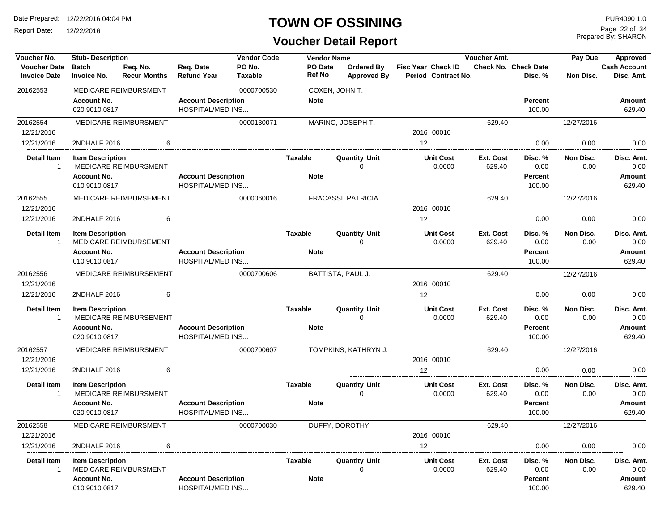Report Date: 12/22/2016

#### **TOWN OF OSSINING**

**Voucher Detail Report**

Prepared By: SHARON Page 22 of 34

| Voucher No.                                | <b>Stub-Description</b>             |                                 |                                                       | <b>Vendor Code</b>       | <b>Vendor Name</b>       |                                         |                                                  | Voucher Amt.               |                                 | Pay Due           | Approved                          |
|--------------------------------------------|-------------------------------------|---------------------------------|-------------------------------------------------------|--------------------------|--------------------------|-----------------------------------------|--------------------------------------------------|----------------------------|---------------------------------|-------------------|-----------------------------------|
| <b>Voucher Date</b><br><b>Invoice Date</b> | <b>Batch</b><br><b>Invoice No.</b>  | Req. No.<br><b>Recur Months</b> | Req. Date<br><b>Refund Year</b>                       | PO No.<br><b>Taxable</b> | PO Date<br><b>Ref No</b> | <b>Ordered By</b><br><b>Approved By</b> | <b>Fisc Year Check ID</b><br>Period Contract No. |                            | Check No. Check Date<br>Disc. % | <b>Non Disc.</b>  | <b>Cash Account</b><br>Disc. Amt. |
| 20162553                                   |                                     | MEDICARE REIMBURSMENT           |                                                       | 0000700530               |                          | COXEN, JOHN T.                          |                                                  |                            |                                 |                   |                                   |
|                                            | <b>Account No.</b><br>020.9010.0817 |                                 | <b>Account Description</b><br><b>HOSPITAL/MED INS</b> |                          | <b>Note</b>              |                                         |                                                  |                            | <b>Percent</b><br>100.00        |                   | <b>Amount</b><br>629.40           |
| 20162554                                   |                                     | MEDICARE REIMBURSMENT           |                                                       | 0000130071               |                          | MARINO, JOSEPH T.                       |                                                  | 629.40                     |                                 | 12/27/2016        |                                   |
| 12/21/2016                                 |                                     |                                 |                                                       |                          |                          |                                         | 2016 00010                                       |                            |                                 |                   |                                   |
| 12/21/2016                                 | 2NDHALF 2016                        | 6                               |                                                       |                          |                          |                                         | 12                                               |                            | 0.00                            | 0.00              | 0.00                              |
| <b>Detail Item</b><br>$\mathbf{1}$         | <b>Item Description</b>             | MEDICARE REIMBURSMENT           |                                                       |                          | <b>Taxable</b>           | <b>Quantity Unit</b><br>$\Omega$        | <b>Unit Cost</b><br>0.0000                       | <b>Ext. Cost</b><br>629.40 | Disc. %<br>0.00                 | Non Disc.<br>0.00 | Disc. Amt.<br>0.00                |
|                                            | <b>Account No.</b>                  |                                 | <b>Account Description</b>                            |                          | <b>Note</b>              |                                         |                                                  |                            | <b>Percent</b>                  |                   | Amount                            |
|                                            | 010.9010.0817                       |                                 | <b>HOSPITAL/MED INS</b>                               |                          |                          |                                         |                                                  |                            | 100.00                          |                   | 629.40                            |
| 20162555                                   |                                     | MEDICARE REIMBURSEMENT          |                                                       | 0000060016               |                          | FRACASSI, PATRICIA                      |                                                  | 629.40                     |                                 | 12/27/2016        |                                   |
| 12/21/2016                                 |                                     |                                 |                                                       |                          |                          |                                         | 2016 00010                                       |                            |                                 |                   |                                   |
| 12/21/2016                                 | 2NDHALF 2016                        | 6                               |                                                       |                          |                          |                                         | 12                                               |                            | 0.00                            | 0.00              | 0.00                              |
| <b>Detail Item</b><br>$\mathbf{1}$         | <b>Item Description</b>             | MEDICARE REIMBURSEMENT          |                                                       |                          | <b>Taxable</b>           | <b>Quantity Unit</b><br>0               | <b>Unit Cost</b><br>0.0000                       | <b>Ext. Cost</b><br>629.40 | Disc. %<br>0.00                 | Non Disc.<br>0.00 | Disc. Amt.<br>0.00                |
|                                            | <b>Account No.</b>                  |                                 | <b>Account Description</b>                            |                          | <b>Note</b>              |                                         |                                                  |                            | <b>Percent</b>                  |                   | Amount                            |
|                                            | 010.9010.0817                       |                                 | <b>HOSPITAL/MED INS</b>                               |                          |                          |                                         |                                                  |                            | 100.00                          |                   | 629.40                            |
| 20162556                                   |                                     | MEDICARE REIMBURSEMENT          |                                                       | 0000700606               |                          | BATTISTA, PAUL J.                       |                                                  | 629.40                     |                                 | 12/27/2016        |                                   |
| 12/21/2016                                 |                                     | 6                               |                                                       |                          |                          |                                         | 2016 00010                                       |                            |                                 |                   |                                   |
| 12/21/2016                                 | 2NDHALF 2016                        |                                 |                                                       |                          |                          |                                         | 12                                               |                            | 0.00                            | 0.00              | 0.00                              |
| <b>Detail Item</b><br>$\mathbf{1}$         | <b>Item Description</b>             | MEDICARE REIMBURSEMENT          |                                                       |                          | <b>Taxable</b>           | <b>Quantity Unit</b><br>$\Omega$        | <b>Unit Cost</b><br>0.0000                       | Ext. Cost<br>629.40        | Disc. %<br>0.00                 | Non Disc.<br>0.00 | Disc. Amt.<br>0.00                |
|                                            | <b>Account No.</b><br>020.9010.0817 |                                 | <b>Account Description</b><br><b>HOSPITAL/MED INS</b> |                          | <b>Note</b>              |                                         |                                                  |                            | <b>Percent</b><br>100.00        |                   | <b>Amount</b><br>629.40           |
| 20162557<br>12/21/2016                     |                                     | MEDICARE REIMBURSMENT           |                                                       | 0000700607               |                          | TOMPKINS, KATHRYN J.                    | 2016 00010                                       | 629.40                     |                                 | 12/27/2016        |                                   |
| 12/21/2016                                 | 2NDHALF 2016                        | 6                               |                                                       |                          |                          |                                         | 12                                               |                            | 0.00                            | 0.00              | 0.00                              |
|                                            |                                     |                                 |                                                       |                          |                          |                                         |                                                  |                            |                                 |                   |                                   |
| <b>Detail Item</b><br>1                    | <b>Item Description</b>             | <b>MEDICARE REIMBURSMENT</b>    |                                                       |                          | <b>Taxable</b>           | <b>Quantity Unit</b><br>$\Omega$        | <b>Unit Cost</b><br>0.0000                       | Ext. Cost<br>629.40        | Disc. %<br>0.00                 | Non Disc.<br>0.00 | Disc. Amt.<br>0.00                |
|                                            | <b>Account No.</b><br>020.9010.0817 |                                 | <b>Account Description</b><br><b>HOSPITAL/MED INS</b> |                          | <b>Note</b>              |                                         |                                                  |                            | <b>Percent</b><br>100.00        |                   | Amount<br>629.40                  |
| 20162558<br>12/21/2016                     |                                     | MEDICARE REIMBURSMENT           |                                                       | 0000700030               |                          | DUFFY, DOROTHY                          | 2016 00010                                       | 629.40                     |                                 | 12/27/2016        |                                   |
| 12/21/2016                                 | 2NDHALF 2016                        | 6                               |                                                       |                          |                          |                                         | 12                                               |                            | 0.00                            | 0.00              | 0.00                              |
| <b>Detail Item</b><br>1                    | <b>Item Description</b>             | MEDICARE REIMBURSMENT           |                                                       |                          | Taxable                  | <b>Quantity Unit</b><br>$\mathbf 0$     | <b>Unit Cost</b><br>0.0000                       | Ext. Cost<br>629.40        | Disc. %<br>0.00                 | Non Disc.<br>0.00 | Disc. Amt.<br>0.00                |
|                                            | <b>Account No.</b><br>010.9010.0817 |                                 | <b>Account Description</b><br><b>HOSPITAL/MED INS</b> |                          | <b>Note</b>              |                                         |                                                  |                            | <b>Percent</b><br>100.00        |                   | <b>Amount</b><br>629.40           |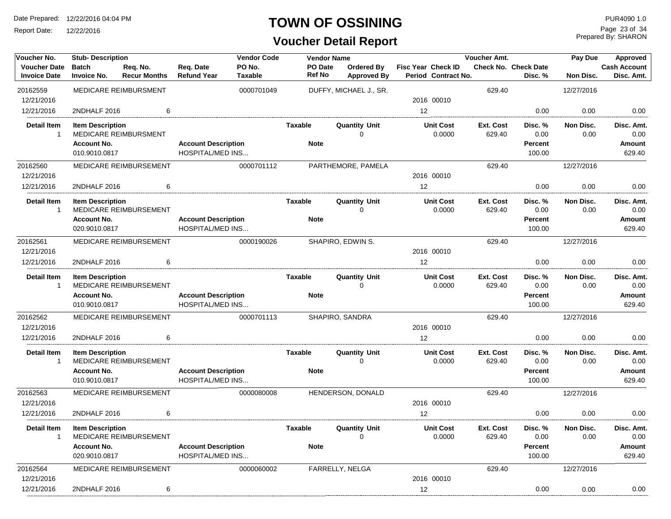Report Date: 12/22/2016

#### **TOWN OF OSSINING**

## **Voucher Detail Report**

Prepared By: SHARON Page 23 of 34

| Voucher No.                                | <b>Stub-Description</b>             |                                 |                                                       | <b>Vendor Code</b>       |                          | <b>Vendor Name</b> |                                  |                                                  | Voucher Amt.        |                                 | Pay Due           | Approved                          |
|--------------------------------------------|-------------------------------------|---------------------------------|-------------------------------------------------------|--------------------------|--------------------------|--------------------|----------------------------------|--------------------------------------------------|---------------------|---------------------------------|-------------------|-----------------------------------|
| <b>Voucher Date</b><br><b>Invoice Date</b> | <b>Batch</b><br><b>Invoice No.</b>  | Req. No.<br><b>Recur Months</b> | Req. Date<br><b>Refund Year</b>                       | PO No.<br><b>Taxable</b> | PO Date<br><b>Ref No</b> |                    | Ordered By<br><b>Approved By</b> | <b>Fisc Year Check ID</b><br>Period Contract No. |                     | Check No. Check Date<br>Disc. % | Non Disc.         | <b>Cash Account</b><br>Disc. Amt. |
| 20162559                                   |                                     | MEDICARE REIMBURSMENT           |                                                       | 0000701049               |                          |                    | DUFFY, MICHAEL J., SR.           |                                                  | 629.40              |                                 | 12/27/2016        |                                   |
| 12/21/2016                                 |                                     |                                 |                                                       |                          |                          |                    |                                  | 2016 00010                                       |                     |                                 |                   |                                   |
| 12/21/2016                                 | 2NDHALF 2016                        | 6                               |                                                       |                          |                          |                    |                                  | 12                                               |                     | 0.00                            | 0.00              | 0.00                              |
| <b>Detail Item</b><br>$\overline{1}$       | <b>Item Description</b>             | MEDICARE REIMBURSMENT           |                                                       |                          | Taxable                  |                    | <b>Quantity Unit</b><br>$\Omega$ | <b>Unit Cost</b><br>0.0000                       | Ext. Cost<br>629.40 | Disc. %<br>0.00                 | Non Disc.<br>0.00 | Disc. Amt.<br>0.00                |
|                                            | <b>Account No.</b><br>010.9010.0817 |                                 | <b>Account Description</b><br><b>HOSPITAL/MED INS</b> |                          | <b>Note</b>              |                    |                                  |                                                  |                     | <b>Percent</b><br>100.00        |                   | <b>Amount</b><br>629.40           |
| 20162560<br>12/21/2016                     |                                     | MEDICARE REIMBURSEMENT          |                                                       | 0000701112               |                          |                    | PARTHEMORE, PAMELA               | 2016 00010                                       | 629.40              |                                 | 12/27/2016        |                                   |
| 12/21/2016                                 | 2NDHALF 2016                        | 6                               |                                                       |                          |                          |                    |                                  | 12                                               |                     | 0.00                            | 0.00              |                                   |
|                                            |                                     |                                 |                                                       |                          |                          |                    |                                  |                                                  |                     |                                 |                   | 0.00                              |
| <b>Detail Item</b><br>$\overline{1}$       | <b>Item Description</b>             | MEDICARE REIMBURSEMENT          |                                                       |                          | Taxable                  |                    | <b>Quantity Unit</b><br>$\Omega$ | <b>Unit Cost</b><br>0.0000                       | Ext. Cost<br>629.40 | Disc. %<br>0.00                 | Non Disc.<br>0.00 | Disc. Amt.<br>0.00                |
|                                            | <b>Account No.</b><br>020.9010.0817 |                                 | <b>Account Description</b><br><b>HOSPITAL/MED INS</b> |                          | <b>Note</b>              |                    |                                  |                                                  |                     | <b>Percent</b><br>100.00        |                   | Amount<br>629.40                  |
| 20162561                                   |                                     | <b>MEDICARE REIMBURSEMENT</b>   |                                                       | 0000190026               |                          |                    | SHAPIRO, EDWIN S.                |                                                  | 629.40              |                                 | 12/27/2016        |                                   |
| 12/21/2016                                 |                                     |                                 |                                                       |                          |                          |                    |                                  | 2016 00010                                       |                     |                                 |                   |                                   |
| 12/21/2016                                 | 2NDHALF 2016                        | 6                               |                                                       |                          |                          |                    |                                  | 12 <sup>2</sup>                                  |                     | 0.00                            | 0.00              | 0.00                              |
| <b>Detail Item</b><br>$\overline{1}$       | <b>Item Description</b>             | MEDICARE REIMBURSEMENT          |                                                       |                          | <b>Taxable</b>           |                    | <b>Quantity Unit</b><br>$\Omega$ | <b>Unit Cost</b><br>0.0000                       | Ext. Cost<br>629.40 | Disc. %<br>0.00                 | Non Disc.<br>0.00 | Disc. Amt.<br>0.00                |
|                                            | <b>Account No.</b><br>010.9010.0817 |                                 | <b>Account Description</b><br><b>HOSPITAL/MED INS</b> |                          | <b>Note</b>              |                    |                                  |                                                  |                     | Percent<br>100.00               |                   | Amount<br>629.40                  |
|                                            |                                     |                                 |                                                       |                          |                          |                    |                                  |                                                  |                     |                                 |                   |                                   |
| 20162562<br>12/21/2016                     |                                     | MEDICARE REIMBURSEMENT          |                                                       | 0000701113               |                          |                    | SHAPIRO, SANDRA                  | 2016 00010                                       | 629.40              |                                 | 12/27/2016        |                                   |
| 12/21/2016                                 | 2NDHALF 2016                        | 6                               |                                                       |                          |                          |                    |                                  | 12                                               |                     | 0.00                            | 0.00              | 0.00                              |
| <b>Detail Item</b>                         | <b>Item Description</b>             |                                 |                                                       |                          | Taxable                  |                    | <b>Quantity Unit</b>             | <b>Unit Cost</b>                                 | Ext. Cost           | Disc. %                         | Non Disc.         | Disc. Amt.                        |
| $\mathbf{1}$                               |                                     | MEDICARE REIMBURSEMENT          |                                                       |                          |                          |                    | $\mathbf 0$                      | 0.0000                                           | 629.40              | 0.00                            | 0.00              | 0.00                              |
|                                            | <b>Account No.</b>                  |                                 | <b>Account Description</b>                            |                          | <b>Note</b>              |                    |                                  |                                                  |                     | <b>Percent</b>                  |                   | Amount                            |
|                                            | 010.9010.0817                       |                                 | <b>HOSPITAL/MED INS</b>                               |                          |                          |                    |                                  |                                                  |                     | 100.00                          |                   | 629.40                            |
| 20162563                                   |                                     | MEDICARE REIMBURSEMENT          |                                                       | 0000080008               |                          |                    | HENDERSON, DONALD                |                                                  | 629.40              |                                 | 12/27/2016        |                                   |
| 12/21/2016                                 |                                     |                                 |                                                       |                          |                          |                    |                                  | 2016 00010                                       |                     |                                 |                   |                                   |
| 12/21/2016                                 | 2NDHALF 2016                        | 6                               |                                                       |                          |                          |                    |                                  | 12                                               |                     | 0.00                            | 0.00              | 0.00                              |
| <b>Detail Item</b><br>-1                   | <b>Item Description</b>             | MEDICARE REIMBURSEMENT          |                                                       |                          | Taxable                  |                    | <b>Quantity Unit</b><br>$\Omega$ | <b>Unit Cost</b><br>0.0000                       | Ext. Cost<br>629.40 | Disc. %<br>0.00                 | Non Disc.<br>0.00 | Disc. Amt.<br>0.00                |
|                                            | <b>Account No.</b>                  |                                 | <b>Account Description</b>                            |                          | <b>Note</b>              |                    |                                  |                                                  |                     | <b>Percent</b>                  |                   | Amount                            |
|                                            | 020.9010.0817                       |                                 | <b>HOSPITAL/MED INS</b>                               |                          |                          |                    |                                  |                                                  |                     | 100.00                          |                   | 629.40                            |
| 20162564                                   |                                     | MEDICARE REIMBURSEMENT          |                                                       | 0000060002               |                          |                    | FARRELLY, NELGA                  |                                                  | 629.40              |                                 | 12/27/2016        |                                   |
| 12/21/2016                                 |                                     |                                 |                                                       |                          |                          |                    |                                  | 2016 00010                                       |                     |                                 |                   |                                   |
| 12/21/2016                                 | 2NDHALF 2016                        | 6                               |                                                       |                          |                          |                    |                                  | 12                                               |                     | 0.00                            | 0.00              | 0.00                              |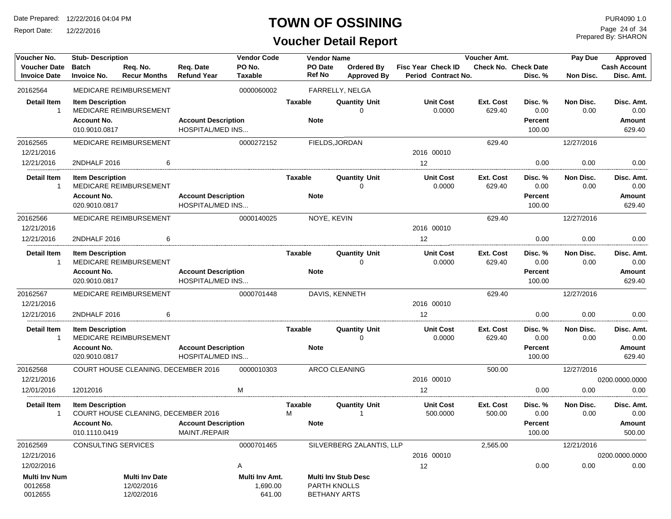Report Date: 12/22/2016

## **TOWN OF OSSINING**

## **Voucher Detail Report**

Prepared By: SHARON Page 24 of 34

| Voucher No.          | <b>Stub-Description</b> |                                     |                            | <b>Vendor Code</b> |                | <b>Vendor Name</b> |                            |                           | Voucher Amt. |                             | <b>Pay Due</b> | Approved            |
|----------------------|-------------------------|-------------------------------------|----------------------------|--------------------|----------------|--------------------|----------------------------|---------------------------|--------------|-----------------------------|----------------|---------------------|
| <b>Voucher Date</b>  | <b>Batch</b>            | Req. No.                            | Req. Date                  | PO No.             |                | PO Date            | <b>Ordered By</b>          | <b>Fisc Year Check ID</b> |              | <b>Check No. Check Date</b> |                | <b>Cash Account</b> |
| <b>Invoice Date</b>  | <b>Invoice No.</b>      | <b>Recur Months</b>                 | <b>Refund Year</b>         | Taxable            |                | Ref No             | <b>Approved By</b>         | Period Contract No.       |              | Disc. %                     | Non Disc.      | Disc. Amt.          |
| 20162564             |                         | MEDICARE REIMBURSEMENT              |                            | 0000060002         |                |                    | FARRELLY, NELGA            |                           |              |                             |                |                     |
| <b>Detail Item</b>   | <b>Item Description</b> |                                     |                            |                    | <b>Taxable</b> |                    | <b>Quantity Unit</b>       | <b>Unit Cost</b>          | Ext. Cost    | Disc. %                     | Non Disc.      | Disc. Amt.          |
| -1                   |                         | MEDICARE REIMBURSEMENT              |                            |                    |                |                    | O                          | 0.0000                    | 629.40       | 0.00                        | 0.00           | 0.00                |
|                      | <b>Account No.</b>      |                                     | <b>Account Description</b> |                    | <b>Note</b>    |                    |                            |                           |              | Percent                     |                | Amount              |
|                      | 010.9010.0817           |                                     | <b>HOSPITAL/MED INS</b>    |                    |                |                    |                            |                           |              | 100.00                      |                | 629.40              |
| 20162565             |                         | MEDICARE REIMBURSEMENT              |                            | 0000272152         |                |                    | FIELDS, JORDAN             |                           | 629.40       |                             | 12/27/2016     |                     |
| 12/21/2016           |                         |                                     |                            |                    |                |                    |                            | 2016 00010                |              |                             |                |                     |
| 12/21/2016           | 2NDHALF 2016            | 6                                   |                            |                    |                |                    |                            | 12                        |              | 0.00                        | 0.00           | 0.00                |
| <b>Detail Item</b>   | <b>Item Description</b> |                                     |                            |                    | <b>Taxable</b> |                    | <b>Quantity Unit</b>       | <b>Unit Cost</b>          | Ext. Cost    | Disc. %                     | Non Disc.      | Disc. Amt.          |
| -1                   |                         | MEDICARE REIMBURSEMENT              |                            |                    |                |                    | 0                          | 0.0000                    | 629.40       | 0.00                        | 0.00           | 0.00                |
|                      | <b>Account No.</b>      |                                     | <b>Account Description</b> |                    | <b>Note</b>    |                    |                            |                           |              | Percent                     |                | <b>Amount</b>       |
|                      | 020.9010.0817           |                                     | <b>HOSPITAL/MED INS</b>    |                    |                |                    |                            |                           |              | 100.00                      |                | 629.40              |
| 20162566             |                         | MEDICARE REIMBURSEMENT              |                            | 0000140025         |                | NOYE, KEVIN        |                            |                           | 629.40       |                             | 12/27/2016     |                     |
| 12/21/2016           |                         |                                     |                            |                    |                |                    |                            | 2016 00010                |              |                             |                |                     |
| 12/21/2016           | 2NDHALF 2016            | 6                                   |                            |                    |                |                    |                            | $12 \overline{ }$         |              | 0.00                        | 0.00           | 0.00                |
| <b>Detail Item</b>   | <b>Item Description</b> |                                     |                            |                    | <b>Taxable</b> |                    | <b>Quantity Unit</b>       | <b>Unit Cost</b>          | Ext. Cost    | Disc. %                     | Non Disc.      | Disc. Amt.          |
| $\mathbf 1$          |                         | MEDICARE REIMBURSEMENT              |                            |                    |                |                    | $\Omega$                   | 0.0000                    | 629.40       | 0.00                        | 0.00           | 0.00                |
|                      | <b>Account No.</b>      |                                     | <b>Account Description</b> |                    | <b>Note</b>    |                    |                            |                           |              | Percent                     |                | <b>Amount</b>       |
|                      | 020.9010.0817           |                                     | <b>HOSPITAL/MED INS</b>    |                    |                |                    |                            |                           |              | 100.00                      |                | 629.40              |
| 20162567             |                         | MEDICARE REIMBURSEMENT              |                            | 0000701448         |                |                    | DAVIS, KENNETH             |                           | 629.40       |                             | 12/27/2016     |                     |
| 12/21/2016           |                         |                                     |                            |                    |                |                    |                            | 2016 00010                |              |                             |                |                     |
| 12/21/2016           | 2NDHALF 2016            | 6                                   |                            |                    |                |                    |                            | 12 <sup>2</sup>           |              | 0.00                        | 0.00           | 0.00                |
| <b>Detail Item</b>   | <b>Item Description</b> |                                     |                            |                    | Taxable        |                    | <b>Quantity Unit</b>       | <b>Unit Cost</b>          | Ext. Cost    | Disc. %                     | Non Disc.      | Disc. Amt.          |
| -1                   |                         | MEDICARE REIMBURSEMENT              |                            |                    |                |                    | 0                          | 0.0000                    | 629.40       | 0.00                        | 0.00           | 0.00                |
|                      | <b>Account No.</b>      |                                     | <b>Account Description</b> |                    | <b>Note</b>    |                    |                            |                           |              | <b>Percent</b>              |                | <b>Amount</b>       |
|                      | 020.9010.0817           |                                     | <b>HOSPITAL/MED INS</b>    |                    |                |                    |                            |                           |              | 100.00                      |                | 629.40              |
| 20162568             |                         | COURT HOUSE CLEANING, DECEMBER 2016 |                            | 0000010303         |                |                    | ARCO CLEANING              |                           | 500.00       |                             | 12/27/2016     |                     |
| 12/21/2016           |                         |                                     |                            |                    |                |                    |                            | 2016 00010                |              |                             |                | 0200.0000.0000      |
| 12/01/2016           | 12012016                |                                     |                            | M                  |                |                    |                            | 12                        |              | 0.00                        | 0.00           | 0.00                |
| <b>Detail Item</b>   | <b>Item Description</b> |                                     |                            |                    | <b>Taxable</b> |                    | <b>Quantity Unit</b>       | <b>Unit Cost</b>          | Ext. Cost    | Disc. %                     | Non Disc.      | Disc. Amt.          |
| -1                   |                         | COURT HOUSE CLEANING, DECEMBER 2016 |                            |                    | м              |                    |                            | 500.0000                  | 500.00       | 0.00                        | 0.00           | 0.00                |
|                      | <b>Account No.</b>      |                                     | <b>Account Description</b> |                    | <b>Note</b>    |                    |                            |                           |              | Percent                     |                | Amount              |
|                      | 010.1110.0419           |                                     | MAINT./REPAIR              |                    |                |                    |                            |                           |              | 100.00                      |                | 500.00              |
| 20162569             | CONSULTING SERVICES     |                                     |                            | 0000701465         |                |                    | SILVERBERG ZALANTIS, LLP   |                           | 2,565.00     |                             | 12/21/2016     |                     |
| 12/21/2016           |                         |                                     |                            |                    |                |                    |                            | 2016 00010                |              |                             |                | 0200.0000.0000      |
| 12/02/2016           |                         |                                     |                            | Α                  |                |                    |                            | 12                        |              | 0.00                        | 0.00           | 0.00                |
| <b>Multi Inv Num</b> |                         | Multi Inv Date                      |                            | Multi Inv Amt.     |                |                    | <b>Multi Inv Stub Desc</b> |                           |              |                             |                |                     |
| 0012658              |                         | 12/02/2016                          |                            | 1,690.00           |                | PARTH KNOLLS       |                            |                           |              |                             |                |                     |
| 0012655              |                         | 12/02/2016                          |                            | 641.00             |                |                    | <b>BETHANY ARTS</b>        |                           |              |                             |                |                     |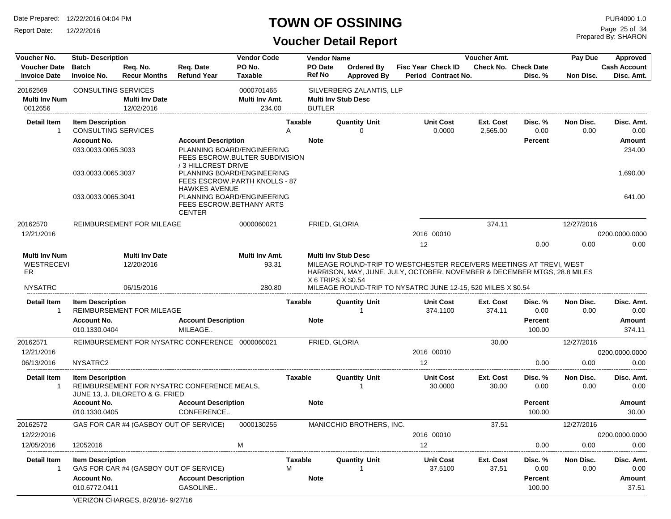Report Date: 12/22/2016

#### **TOWN OF OSSINING**

Prepared By: SHARON Page 25 of 34

| Voucher No.                                                       | <b>Stub-Description</b>             |                                                   |                                                                                    | <b>Vendor Code</b>                |                | <b>Vendor Name</b>       |                                                                                                                                                                                                                                                                     |    |                                           | Voucher Amt.       |                                 | Pay Due           | Approved                          |
|-------------------------------------------------------------------|-------------------------------------|---------------------------------------------------|------------------------------------------------------------------------------------|-----------------------------------|----------------|--------------------------|---------------------------------------------------------------------------------------------------------------------------------------------------------------------------------------------------------------------------------------------------------------------|----|-------------------------------------------|--------------------|---------------------------------|-------------------|-----------------------------------|
| <b>Voucher Date</b><br><b>Invoice Date</b>                        | <b>Batch</b><br><b>Invoice No.</b>  | Req. No.<br><b>Recur Months</b>                   | Req. Date<br><b>Refund Year</b>                                                    | PO No.<br><b>Taxable</b>          |                | PO Date<br><b>Ref No</b> | <b>Ordered By</b><br><b>Approved By</b>                                                                                                                                                                                                                             |    | Fisc Year Check ID<br>Period Contract No. |                    | Check No. Check Date<br>Disc. % | Non Disc.         | <b>Cash Account</b><br>Disc. Amt. |
| 20162569                                                          | CONSULTING SERVICES                 |                                                   |                                                                                    | 0000701465                        |                |                          | SILVERBERG ZALANTIS, LLP                                                                                                                                                                                                                                            |    |                                           |                    |                                 |                   |                                   |
| <b>Multi Inv Num</b>                                              |                                     | <b>Multi Inv Date</b>                             |                                                                                    | Multi Inv Amt.                    |                |                          | <b>Multi Inv Stub Desc</b>                                                                                                                                                                                                                                          |    |                                           |                    |                                 |                   |                                   |
| 0012656                                                           |                                     | 12/02/2016                                        |                                                                                    | 234.00                            |                | <b>BUTLER</b>            |                                                                                                                                                                                                                                                                     |    |                                           |                    |                                 |                   |                                   |
| <b>Detail Item</b>                                                | <b>Item Description</b>             |                                                   |                                                                                    |                                   | <b>Taxable</b> |                          | <b>Quantity Unit</b>                                                                                                                                                                                                                                                |    | <b>Unit Cost</b>                          | Ext. Cost          | Disc. %                         | Non Disc.         | Disc. Amt.                        |
| 1                                                                 | <b>CONSULTING SERVICES</b>          |                                                   |                                                                                    |                                   | A              |                          | $\Omega$                                                                                                                                                                                                                                                            |    | 0.0000                                    | 2,565.00           | 0.00                            | 0.00              | 0.00                              |
|                                                                   | <b>Account No.</b>                  |                                                   | <b>Account Description</b>                                                         |                                   |                | <b>Note</b>              |                                                                                                                                                                                                                                                                     |    |                                           |                    | <b>Percent</b>                  |                   | Amount                            |
|                                                                   | 033.0033.0065.3033                  |                                                   | PLANNING BOARD/ENGINEERING<br>FEES ESCROW.BULTER SUBDIVISION<br>/3 HILLCREST DRIVE |                                   |                |                          |                                                                                                                                                                                                                                                                     |    |                                           |                    |                                 |                   | 234.00                            |
|                                                                   | 033.0033.0065.3037                  |                                                   | PLANNING BOARD/ENGINEERING<br>FEES ESCROW.PARTH KNOLLS - 87                        |                                   |                |                          |                                                                                                                                                                                                                                                                     |    |                                           |                    |                                 |                   | 1,690.00                          |
|                                                                   | 033.0033.0065.3041                  |                                                   | <b>HAWKES AVENUE</b><br>PLANNING BOARD/ENGINEERING                                 |                                   |                |                          |                                                                                                                                                                                                                                                                     |    |                                           |                    |                                 |                   | 641.00                            |
|                                                                   |                                     |                                                   | FEES ESCROW.BETHANY ARTS<br><b>CENTER</b>                                          |                                   |                |                          |                                                                                                                                                                                                                                                                     |    |                                           |                    |                                 |                   |                                   |
| 20162570                                                          |                                     | REIMBURSEMENT FOR MILEAGE                         |                                                                                    | 0000060021                        |                | FRIED, GLORIA            |                                                                                                                                                                                                                                                                     |    |                                           | 374.11             |                                 | 12/27/2016        |                                   |
| 12/21/2016                                                        |                                     |                                                   |                                                                                    |                                   |                |                          |                                                                                                                                                                                                                                                                     |    | 2016 00010                                |                    |                                 |                   | 0200.0000.0000                    |
|                                                                   |                                     |                                                   |                                                                                    |                                   |                |                          |                                                                                                                                                                                                                                                                     | 12 |                                           |                    | 0.00                            | 0.00              | 0.00                              |
| <b>Multi Inv Num</b><br><b>WESTRECEVI</b><br>ER<br><b>NYSATRC</b> |                                     | <b>Multi Inv Date</b><br>12/20/2016<br>06/15/2016 |                                                                                    | Multi Inv Amt.<br>93.31<br>280.80 |                |                          | <b>Multi Inv Stub Desc</b><br>MILEAGE ROUND-TRIP TO WESTCHESTER RECEIVERS MEETINGS AT TREVI, WEST<br>HARRISON, MAY, JUNE, JULY, OCTOBER, NOVEMBER & DECEMBER MTGS, 28.8 MILES<br>X 6 TRIPS X \$0.54<br>MILEAGE ROUND-TRIP TO NYSATRC JUNE 12-15, 520 MILES X \$0.54 |    |                                           |                    |                                 |                   |                                   |
| <b>Detail Item</b>                                                | <b>Item Description</b>             |                                                   |                                                                                    |                                   | <b>Taxable</b> |                          | <b>Quantity Unit</b>                                                                                                                                                                                                                                                |    | <b>Unit Cost</b>                          | Ext. Cost          | Disc. %                         | Non Disc.         | Disc. Amt.                        |
| 1                                                                 |                                     | <b>REIMBURSEMENT FOR MILEAGE</b>                  |                                                                                    |                                   |                |                          | -1                                                                                                                                                                                                                                                                  |    | 374.1100                                  | 374.11             | 0.00                            | 0.00              | 0.00                              |
|                                                                   | <b>Account No.</b>                  |                                                   | <b>Account Description</b>                                                         |                                   |                | <b>Note</b>              |                                                                                                                                                                                                                                                                     |    |                                           |                    | <b>Percent</b>                  |                   | <b>Amount</b>                     |
|                                                                   | 010.1330.0404                       |                                                   | MILEAGE                                                                            |                                   |                |                          |                                                                                                                                                                                                                                                                     |    |                                           |                    | 100.00                          |                   | 374.11                            |
| 20162571                                                          |                                     |                                                   | REIMBURSEMENT FOR NYSATRC CONFERENCE 0000060021                                    |                                   |                | <b>FRIED, GLORIA</b>     |                                                                                                                                                                                                                                                                     |    |                                           | 30.00              |                                 | 12/27/2016        |                                   |
| 12/21/2016                                                        |                                     |                                                   |                                                                                    |                                   |                |                          |                                                                                                                                                                                                                                                                     |    | 2016 00010                                |                    |                                 |                   | 0200.0000.0000                    |
| 06/13/2016                                                        | NYSATRC2                            |                                                   |                                                                                    |                                   |                |                          |                                                                                                                                                                                                                                                                     | 12 |                                           |                    | 0.00                            | 0.00              | 0.00                              |
| <b>Detail Item</b><br>1                                           | <b>Item Description</b>             | JUNE 13, J. DILORETO & G. FRIED                   | REIMBURSEMENT FOR NYSATRC CONFERENCE MEALS.                                        |                                   | <b>Taxable</b> |                          | <b>Quantity Unit</b>                                                                                                                                                                                                                                                |    | <b>Unit Cost</b><br>30.0000               | Ext. Cost<br>30.00 | Disc. %<br>0.00                 | Non Disc.<br>0.00 | Disc. Amt.<br>0.00                |
|                                                                   | <b>Account No.</b>                  |                                                   | <b>Account Description</b>                                                         |                                   |                | <b>Note</b>              |                                                                                                                                                                                                                                                                     |    |                                           |                    | <b>Percent</b>                  |                   | <b>Amount</b>                     |
|                                                                   | 010.1330.0405                       |                                                   | CONFERENCE                                                                         |                                   |                |                          |                                                                                                                                                                                                                                                                     |    |                                           |                    | 100.00                          |                   | 30.00                             |
| 20162572<br>12/22/2016                                            |                                     | GAS FOR CAR #4 (GASBOY OUT OF SERVICE)            |                                                                                    | 0000130255                        |                |                          | MANICCHIO BROTHERS, INC.                                                                                                                                                                                                                                            |    | 2016 00010                                | 37.51              |                                 | 12/27/2016        | 0200.0000.0000                    |
| 12/05/2016                                                        | 12052016                            |                                                   |                                                                                    | M                                 |                |                          |                                                                                                                                                                                                                                                                     | 12 |                                           |                    | 0.00                            | 0.00              | 0.00                              |
| Detail Item<br>1                                                  | <b>Item Description</b>             | GAS FOR CAR #4 (GASBOY OUT OF SERVICE)            |                                                                                    |                                   | Taxable<br>M   |                          | <b>Quantity Unit</b><br>$\mathbf{1}$                                                                                                                                                                                                                                |    | <b>Unit Cost</b><br>37.5100               | Ext. Cost<br>37.51 | Disc. %<br>0.00                 | Non Disc.<br>0.00 | Disc. Amt.<br>0.00                |
|                                                                   | <b>Account No.</b><br>010.6772.0411 |                                                   | <b>Account Description</b><br>GASOLINE                                             |                                   |                | <b>Note</b>              |                                                                                                                                                                                                                                                                     |    |                                           |                    | Percent<br>100.00               |                   | Amount<br>37.51                   |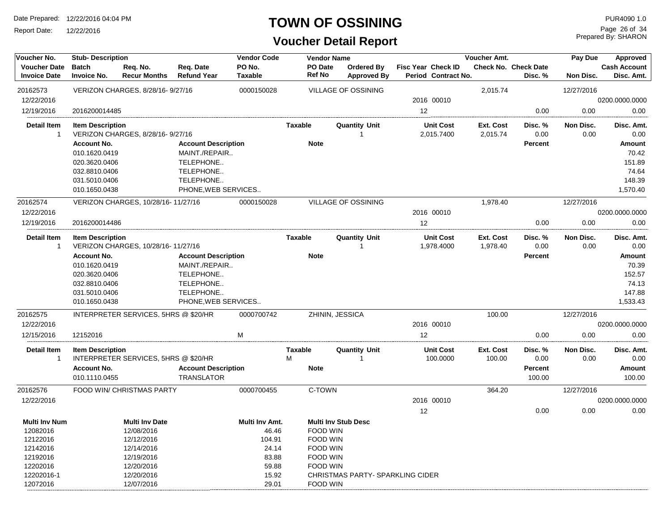Report Date: 12/22/2016

#### **TOWN OF OSSINING**

## **Voucher Detail Report**

Prepared By: SHARON Page 26 of 34

| Voucher No.                                | <b>Stub-Description</b>            |                                      |                                 | <b>Vendor Code</b>       |                | <b>Vendor Name</b>       |                                         |                                           | Voucher Amt.          |                                 | Pay Due           | <b>Approved</b>                   |
|--------------------------------------------|------------------------------------|--------------------------------------|---------------------------------|--------------------------|----------------|--------------------------|-----------------------------------------|-------------------------------------------|-----------------------|---------------------------------|-------------------|-----------------------------------|
| <b>Voucher Date</b><br><b>Invoice Date</b> | <b>Batch</b><br><b>Invoice No.</b> | Req. No.<br><b>Recur Months</b>      | Req. Date<br><b>Refund Year</b> | PO No.<br><b>Taxable</b> |                | PO Date<br><b>Ref No</b> | <b>Ordered By</b><br><b>Approved By</b> | Fisc Year Check ID<br>Period Contract No. |                       | Check No. Check Date<br>Disc. % | Non Disc.         | <b>Cash Account</b><br>Disc. Amt. |
| 20162573                                   |                                    | VERIZON CHARGES, 8/28/16-9/27/16     |                                 | 0000150028               |                |                          | <b>VILLAGE OF OSSINING</b>              |                                           | 2,015.74              |                                 | 12/27/2016        |                                   |
| 12/22/2016                                 |                                    |                                      |                                 |                          |                |                          |                                         | 2016 00010                                |                       |                                 |                   | 0200.0000.0000                    |
| 12/19/2016                                 | 2016200014485                      |                                      |                                 |                          |                |                          |                                         | 12                                        |                       | 0.00                            | 0.00              | 0.00                              |
| <b>Detail Item</b><br>$\mathbf{1}$         | <b>Item Description</b>            | VERIZON CHARGES, 8/28/16-9/27/16     |                                 |                          | Taxable        |                          | <b>Quantity Unit</b><br>$\mathbf 1$     | <b>Unit Cost</b><br>2,015.7400            | Ext. Cost<br>2,015.74 | Disc. %<br>0.00                 | Non Disc.<br>0.00 | Disc. Amt.<br>0.00                |
|                                            | <b>Account No.</b>                 |                                      | <b>Account Description</b>      |                          |                | <b>Note</b>              |                                         |                                           |                       | <b>Percent</b>                  |                   | Amount                            |
|                                            | 010.1620.0419                      |                                      | MAINT./REPAIR                   |                          |                |                          |                                         |                                           |                       |                                 |                   | 70.42                             |
|                                            | 020.3620.0406                      |                                      | TELEPHONE                       |                          |                |                          |                                         |                                           |                       |                                 |                   | 151.89                            |
|                                            | 032.8810.0406                      |                                      | TELEPHONE                       |                          |                |                          |                                         |                                           |                       |                                 |                   | 74.64                             |
|                                            | 031.5010.0406                      |                                      | TELEPHONE                       |                          |                |                          |                                         |                                           |                       |                                 |                   | 148.39                            |
|                                            | 010.1650.0438                      |                                      | PHONE, WEB SERVICES             |                          |                |                          |                                         |                                           |                       |                                 |                   | 1,570.40                          |
| 20162574                                   |                                    | VERIZON CHARGES, 10/28/16-11/27/16   |                                 | 0000150028               |                |                          | <b>VILLAGE OF OSSINING</b>              |                                           | 1,978.40              |                                 | 12/27/2016        |                                   |
| 12/22/2016                                 |                                    |                                      |                                 |                          |                |                          |                                         | 2016 00010                                |                       |                                 |                   | 0200.0000.0000                    |
| 12/19/2016                                 | 2016200014486                      |                                      |                                 |                          |                |                          |                                         | 12                                        |                       | 0.00                            | 0.00              | 0.00                              |
| <b>Detail Item</b><br>$\mathbf{1}$         | <b>Item Description</b>            | VERIZON CHARGES, 10/28/16-11/27/16   |                                 |                          | <b>Taxable</b> |                          | <b>Quantity Unit</b><br>$\mathbf 1$     | <b>Unit Cost</b><br>1,978.4000            | Ext. Cost<br>1,978.40 | Disc. %<br>0.00                 | Non Disc.<br>0.00 | Disc. Amt.<br>0.00                |
|                                            | <b>Account No.</b>                 |                                      | <b>Account Description</b>      |                          |                | <b>Note</b>              |                                         |                                           |                       | <b>Percent</b>                  |                   | Amount                            |
|                                            | 010.1620.0419                      |                                      | MAINT./REPAIR                   |                          |                |                          |                                         |                                           |                       |                                 |                   | 70.39                             |
|                                            | 020.3620.0406                      |                                      | TELEPHONE                       |                          |                |                          |                                         |                                           |                       |                                 |                   | 152.57                            |
|                                            | 032.8810.0406                      |                                      | TELEPHONE                       |                          |                |                          |                                         |                                           |                       |                                 |                   | 74.13                             |
|                                            | 031.5010.0406                      |                                      | TELEPHONE                       |                          |                |                          |                                         |                                           |                       |                                 |                   | 147.88                            |
|                                            | 010.1650.0438                      |                                      | PHONE, WEB SERVICES             |                          |                |                          |                                         |                                           |                       |                                 |                   | 1,533.43                          |
| 20162575                                   |                                    | INTERPRETER SERVICES, 5HRS @ \$20/HR |                                 | 0000700742               |                | ZHININ, JESSICA          |                                         |                                           | 100.00                |                                 | 12/27/2016        |                                   |
| 12/22/2016                                 |                                    |                                      |                                 |                          |                |                          |                                         | 2016 00010                                |                       |                                 |                   | 0200.0000.0000                    |
| 12/15/2016                                 | 12152016                           |                                      |                                 | M                        |                |                          |                                         | 12                                        |                       | 0.00                            | 0.00              | 0.00                              |
| <b>Detail Item</b>                         | <b>Item Description</b>            |                                      |                                 |                          | <b>Taxable</b> |                          | <b>Quantity Unit</b>                    | <b>Unit Cost</b>                          | Ext. Cost             | Disc. %                         | Non Disc.         | Disc. Amt.                        |
| $\mathbf{1}$                               |                                    | INTERPRETER SERVICES, 5HRS @ \$20/HR |                                 |                          | M              |                          | $\overline{1}$                          | 100.0000                                  | 100.00                | 0.00                            | 0.00              | 0.00                              |
|                                            | <b>Account No.</b>                 |                                      | <b>Account Description</b>      |                          |                | <b>Note</b>              |                                         |                                           |                       | <b>Percent</b>                  |                   | Amount                            |
|                                            | 010.1110.0455                      |                                      | <b>TRANSLATOR</b>               |                          |                |                          |                                         |                                           |                       | 100.00                          |                   | 100.00                            |
| 20162576                                   |                                    | FOOD WIN/ CHRISTMAS PARTY            |                                 | 0000700455               |                | C-TOWN                   |                                         |                                           | 364.20                |                                 | 12/27/2016        |                                   |
| 12/22/2016                                 |                                    |                                      |                                 |                          |                |                          |                                         | 2016 00010                                |                       |                                 |                   | 0200.0000.0000                    |
|                                            |                                    |                                      |                                 |                          |                |                          |                                         | 12                                        |                       | 0.00                            | 0.00              | 0.00                              |
| <b>Multi Inv Num</b>                       |                                    | <b>Multi Inv Date</b>                |                                 | Multi Inv Amt.           |                |                          | <b>Multi Inv Stub Desc</b>              |                                           |                       |                                 |                   |                                   |
| 12082016                                   |                                    | 12/08/2016                           |                                 | 46.46                    |                | FOOD WIN                 |                                         |                                           |                       |                                 |                   |                                   |
| 12122016                                   |                                    | 12/12/2016                           |                                 | 104.91                   |                | <b>FOOD WIN</b>          |                                         |                                           |                       |                                 |                   |                                   |
| 12142016                                   |                                    | 12/14/2016                           |                                 | 24.14                    |                | <b>FOOD WIN</b>          |                                         |                                           |                       |                                 |                   |                                   |
| 12192016                                   |                                    | 12/19/2016                           |                                 | 83.88                    |                | FOOD WIN                 |                                         |                                           |                       |                                 |                   |                                   |
| 12202016                                   |                                    | 12/20/2016                           |                                 | 59.88                    |                | FOOD WIN                 |                                         |                                           |                       |                                 |                   |                                   |
| 12202016-1                                 |                                    | 12/20/2016                           |                                 | 15.92                    |                |                          | CHRISTMAS PARTY- SPARKLING CIDER        |                                           |                       |                                 |                   |                                   |
| 12072016                                   |                                    | 12/07/2016                           |                                 | 29.01                    |                | <b>FOOD WIN</b>          |                                         |                                           |                       |                                 |                   |                                   |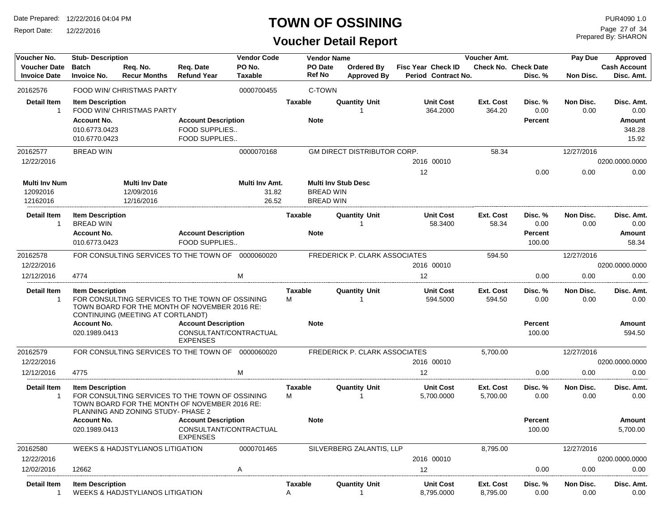Report Date: 12/22/2016

### **TOWN OF OSSINING**

## **Voucher Detail Report**

Prepared By: SHARON Page 27 of 34

| Voucher No.                                  | <b>Stub-Description</b>                                 |                                                   |                                                                                                  | <b>Vendor Code</b>               | <b>Voucher Amt.</b><br><b>Vendor Name</b><br>Pay Due |                                      |                                         | Approved                                         |                            |                                        |                   |                                               |
|----------------------------------------------|---------------------------------------------------------|---------------------------------------------------|--------------------------------------------------------------------------------------------------|----------------------------------|------------------------------------------------------|--------------------------------------|-----------------------------------------|--------------------------------------------------|----------------------------|----------------------------------------|-------------------|-----------------------------------------------|
| <b>Voucher Date</b><br><b>Invoice Date</b>   | <b>Batch</b><br><b>Invoice No.</b>                      | Req. No.<br><b>Recur Months</b>                   | Req. Date<br><b>Refund Year</b>                                                                  | PO No.<br><b>Taxable</b>         |                                                      | PO Date<br><b>Ref No</b>             | <b>Ordered By</b><br><b>Approved By</b> | <b>Fisc Year Check ID</b><br>Period Contract No. |                            | <b>Check No. Check Date</b><br>Disc. % | Non Disc.         | <b>Cash Account</b><br>Disc. Amt.             |
| 20162576                                     |                                                         | FOOD WIN/ CHRISTMAS PARTY                         |                                                                                                  | 0000700455                       |                                                      | C-TOWN                               |                                         |                                                  |                            |                                        |                   |                                               |
| <b>Detail Item</b><br>$\mathbf{1}$           | <b>Item Description</b><br>Account No.<br>010.6773.0423 | FOOD WIN/ CHRISTMAS PARTY                         | <b>Account Description</b><br>FOOD SUPPLIES                                                      |                                  | <b>Taxable</b>                                       | <b>Note</b>                          | <b>Quantity Unit</b><br>$\overline{1}$  | <b>Unit Cost</b><br>364.2000                     | <b>Ext. Cost</b><br>364.20 | Disc. %<br>0.00<br><b>Percent</b>      | Non Disc.<br>0.00 | Disc. Amt.<br>0.00<br><b>Amount</b><br>348.28 |
|                                              | 010.6770.0423                                           |                                                   | FOOD SUPPLIES                                                                                    |                                  |                                                      |                                      |                                         |                                                  |                            |                                        |                   | 15.92                                         |
| 20162577                                     | <b>BREAD WIN</b>                                        |                                                   |                                                                                                  | 0000070168                       |                                                      |                                      | GM DIRECT DISTRIBUTOR CORP.             |                                                  | 58.34                      |                                        | 12/27/2016        |                                               |
| 12/22/2016                                   |                                                         |                                                   |                                                                                                  |                                  |                                                      |                                      |                                         | 2016 00010                                       |                            |                                        |                   | 0200.0000.0000                                |
| <b>Multi Inv Num</b><br>12092016<br>12162016 |                                                         | <b>Multi Inv Date</b><br>12/09/2016<br>12/16/2016 |                                                                                                  | Multi Inv Amt.<br>31.82<br>26.52 |                                                      | <b>BREAD WIN</b><br><b>BREAD WIN</b> | <b>Multi Inv Stub Desc</b>              | 12                                               |                            | 0.00                                   | 0.00              | 0.00                                          |
| <b>Detail Item</b><br>$\mathbf{1}$           | <b>Item Description</b><br><b>BREAD WIN</b>             |                                                   |                                                                                                  |                                  | Taxable                                              |                                      | <b>Quantity Unit</b><br>$\overline{1}$  | <b>Unit Cost</b><br>58.3400                      | Ext. Cost<br>58.34         | Disc.%<br>0.00                         | Non Disc.<br>0.00 | Disc. Amt.<br>0.00                            |
|                                              | <b>Account No.</b><br>010.6773.0423                     |                                                   | <b>Account Description</b><br>FOOD SUPPLIES                                                      |                                  |                                                      | <b>Note</b>                          |                                         |                                                  |                            | <b>Percent</b><br>100.00               |                   | <b>Amount</b><br>58.34                        |
| 20162578                                     |                                                         |                                                   | FOR CONSULTING SERVICES TO THE TOWN OF 0000060020                                                |                                  |                                                      |                                      | FREDERICK P. CLARK ASSOCIATES           |                                                  | 594.50                     |                                        | 12/27/2016        |                                               |
| 12/22/2016                                   |                                                         |                                                   |                                                                                                  |                                  |                                                      |                                      |                                         | 2016 00010                                       |                            |                                        |                   | 0200.0000.0000                                |
| 12/12/2016                                   | 4774                                                    |                                                   |                                                                                                  | M                                |                                                      |                                      |                                         | 12                                               |                            | 0.00                                   | 0.00              | 0.00                                          |
| <b>Detail Item</b><br>$\mathbf{1}$           | <b>Item Description</b>                                 | CONTINUING (MEETING AT CORTLANDT)                 | FOR CONSULTING SERVICES TO THE TOWN OF OSSINING<br>TOWN BOARD FOR THE MONTH OF NOVEMBER 2016 RE: |                                  | <b>Taxable</b><br>M                                  |                                      | <b>Quantity Unit</b><br>-1              | <b>Unit Cost</b><br>594.5000                     | Ext. Cost<br>594.50        | Disc. %<br>0.00                        | Non Disc.<br>0.00 | Disc. Amt.<br>0.00                            |
|                                              | <b>Account No.</b>                                      |                                                   | <b>Account Description</b>                                                                       |                                  |                                                      | <b>Note</b>                          |                                         |                                                  |                            | <b>Percent</b>                         |                   | <b>Amount</b>                                 |
|                                              | 020.1989.0413                                           |                                                   | CONSULTANT/CONTRACTUAL<br><b>EXPENSES</b>                                                        |                                  |                                                      |                                      |                                         |                                                  |                            | 100.00                                 |                   | 594.50                                        |
| 20162579<br>12/22/2016                       |                                                         |                                                   | FOR CONSULTING SERVICES TO THE TOWN OF                                                           | 0000060020                       |                                                      |                                      | FREDERICK P. CLARK ASSOCIATES           | 2016 00010                                       | 5,700.00                   |                                        | 12/27/2016        | 0200.0000.0000                                |
| 12/12/2016                                   | 4775                                                    |                                                   |                                                                                                  | M                                |                                                      |                                      |                                         | 12                                               |                            | 0.00                                   | 0.00              | 0.00                                          |
| <b>Detail Item</b><br>1                      | <b>Item Description</b>                                 | PLANNING AND ZONING STUDY- PHASE 2                | FOR CONSULTING SERVICES TO THE TOWN OF OSSINING<br>TOWN BOARD FOR THE MONTH OF NOVEMBER 2016 RE: |                                  | <b>Taxable</b><br>М                                  |                                      | <b>Quantity Unit</b><br>$\overline{1}$  | <b>Unit Cost</b><br>5,700.0000                   | Ext. Cost<br>5,700.00      | Disc.%<br>0.00                         | Non Disc.<br>0.00 | Disc. Amt.<br>0.00                            |
|                                              | <b>Account No.</b><br>020.1989.0413                     |                                                   | <b>Account Description</b><br>CONSULTANT/CONTRACTUAL<br><b>EXPENSES</b>                          |                                  |                                                      | <b>Note</b>                          |                                         |                                                  |                            | <b>Percent</b><br>100.00               |                   | <b>Amount</b><br>5,700.00                     |
| 20162580                                     |                                                         | <b>WEEKS &amp; HADJSTYLIANOS LITIGATION</b>       |                                                                                                  | 0000701465                       |                                                      |                                      | SILVERBERG ZALANTIS, LLP                |                                                  | 8,795.00                   |                                        | 12/27/2016        |                                               |
| 12/22/2016                                   |                                                         |                                                   |                                                                                                  |                                  |                                                      |                                      |                                         | 2016 00010                                       |                            |                                        |                   | 0200.0000.0000                                |
| 12/02/2016                                   | 12662                                                   |                                                   |                                                                                                  | A                                |                                                      |                                      |                                         | 12                                               |                            | 0.00                                   | 0.00              | 0.00                                          |
| Detail Item<br>1                             | <b>Item Description</b>                                 | <b>WEEKS &amp; HADJSTYLIANOS LITIGATION</b>       |                                                                                                  |                                  | <b>Taxable</b><br>Α                                  |                                      | <b>Quantity Unit</b><br>$\mathbf 1$     | <b>Unit Cost</b><br>8,795.0000                   | Ext. Cost<br>8,795.00      | Disc. %<br>0.00                        | Non Disc.<br>0.00 | Disc. Amt.<br>0.00                            |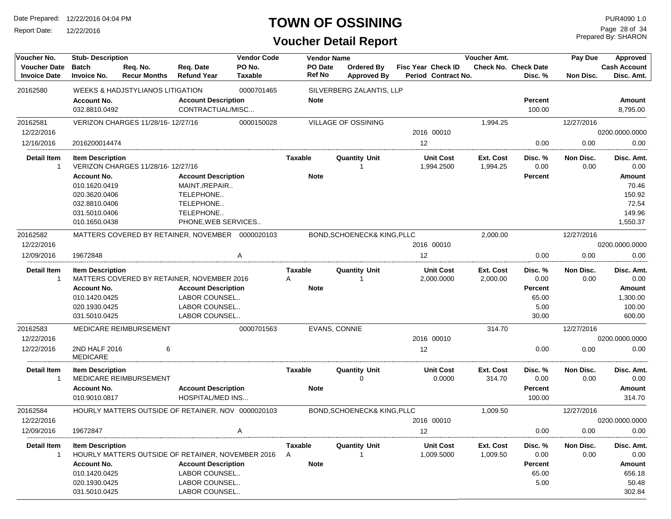Report Date: 12/22/2016

## **TOWN OF OSSINING**

Prepared By: SHARON Page 28 of 34

| Voucher No.                                |                                     | <b>Stub-Description</b><br><b>Vendor Code</b> |                                                       |                   | <b>Vendor Name</b> |                   |                                  | Voucher Amt.    |                                                  |                       |                                 | Pay Due<br>Approved |                                   |  |
|--------------------------------------------|-------------------------------------|-----------------------------------------------|-------------------------------------------------------|-------------------|--------------------|-------------------|----------------------------------|-----------------|--------------------------------------------------|-----------------------|---------------------------------|---------------------|-----------------------------------|--|
| <b>Voucher Date</b><br><b>Invoice Date</b> | <b>Batch</b><br><b>Invoice No.</b>  | Reg. No.<br><b>Recur Months</b>               | Req. Date<br><b>Refund Year</b>                       | PO No.<br>Taxable |                    | PO Date<br>Ref No | Ordered Bv<br><b>Approved By</b> |                 | <b>Fisc Year Check ID</b><br>Period Contract No. |                       | Check No. Check Date<br>Disc. % | Non Disc.           | <b>Cash Account</b><br>Disc. Amt. |  |
| 20162580                                   |                                     | WEEKS & HADJSTYLIANOS LITIGATION              |                                                       | 0000701465        |                    |                   | SILVERBERG ZALANTIS, LLP         |                 |                                                  |                       |                                 |                     |                                   |  |
|                                            | <b>Account No.</b><br>032.8810.0492 |                                               | <b>Account Description</b><br>CONTRACTUAL/MISC        |                   |                    | <b>Note</b>       |                                  |                 |                                                  |                       | <b>Percent</b><br>100.00        |                     | Amount<br>8,795.00                |  |
| 20162581                                   |                                     | VERIZON CHARGES 11/28/16-12/27/16             |                                                       | 0000150028        |                    |                   | VILLAGE OF OSSINING              |                 |                                                  | 1,994.25              |                                 | 12/27/2016          |                                   |  |
| 12/22/2016                                 |                                     |                                               |                                                       |                   |                    |                   |                                  |                 | 2016 00010                                       |                       |                                 |                     | 0200.0000.0000                    |  |
| 12/16/2016                                 | 2016200014474                       |                                               |                                                       |                   |                    |                   |                                  | 12              |                                                  |                       | 0.00                            | 0.00                | 0.00                              |  |
| <b>Detail Item</b><br>$\mathbf{1}$         | <b>Item Description</b>             | VERIZON CHARGES 11/28/16-12/27/16             |                                                       |                   | Taxable            |                   | <b>Quantity Unit</b>             |                 | <b>Unit Cost</b><br>1,994.2500                   | Ext. Cost<br>1,994.25 | Disc. %<br>0.00                 | Non Disc.<br>0.00   | Disc. Amt.<br>0.00                |  |
|                                            | <b>Account No.</b>                  |                                               | <b>Account Description</b>                            |                   |                    | <b>Note</b>       |                                  |                 |                                                  |                       | <b>Percent</b>                  |                     | <b>Amount</b>                     |  |
|                                            | 010.1620.0419                       |                                               | MAINT./REPAIR                                         |                   |                    |                   |                                  |                 |                                                  |                       |                                 |                     | 70.46                             |  |
|                                            | 020.3620.0406<br>032.8810.0406      |                                               | TELEPHONE<br>TELEPHONE                                |                   |                    |                   |                                  |                 |                                                  |                       |                                 |                     | 150.92<br>72.54                   |  |
|                                            | 031.5010.0406                       |                                               | TELEPHONE                                             |                   |                    |                   |                                  |                 |                                                  |                       |                                 |                     | 149.96                            |  |
|                                            | 010.1650.0438                       |                                               | PHONE, WEB SERVICES                                   |                   |                    |                   |                                  |                 |                                                  |                       |                                 |                     | 1,550.37                          |  |
| 20162582                                   |                                     |                                               | MATTERS COVERED BY RETAINER. NOVEMBER 0000020103      |                   |                    |                   | BOND, SCHOENECK& KING, PLLC      |                 |                                                  | 2,000.00              |                                 | 12/27/2016          |                                   |  |
| 12/22/2016                                 |                                     |                                               |                                                       |                   |                    |                   |                                  |                 | 2016 00010                                       |                       |                                 |                     | 0200.0000.0000                    |  |
| 12/09/2016                                 | 19672848                            |                                               |                                                       | Α                 |                    |                   |                                  | 12 <sup>2</sup> |                                                  |                       | 0.00                            | 0.00                | 0.00                              |  |
| <b>Detail Item</b><br>-1                   | <b>Item Description</b>             |                                               | MATTERS COVERED BY RETAINER, NOVEMBER 2016            |                   | Taxable<br>Α       |                   | <b>Quantity Unit</b><br>1        |                 | <b>Unit Cost</b><br>2,000.0000                   | Ext. Cost<br>2,000.00 | Disc. %<br>0.00                 | Non Disc.<br>0.00   | Disc. Amt.<br>0.00                |  |
|                                            | <b>Account No.</b>                  |                                               | <b>Account Description</b>                            |                   |                    | <b>Note</b>       |                                  |                 |                                                  |                       | Percent                         |                     | Amount                            |  |
|                                            | 010.1420.0425                       |                                               | LABOR COUNSEL                                         |                   |                    |                   |                                  |                 |                                                  |                       | 65.00                           |                     | 1,300.00                          |  |
|                                            | 020.1930.0425                       |                                               | LABOR COUNSEL                                         |                   |                    |                   |                                  |                 |                                                  |                       | 5.00                            |                     | 100.00                            |  |
|                                            | 031.5010.0425                       |                                               | LABOR COUNSEL                                         |                   |                    |                   |                                  |                 |                                                  |                       | 30.00                           |                     | 600.00                            |  |
| 20162583                                   |                                     | MEDICARE REIMBURSEMENT                        |                                                       | 0000701563        |                    | EVANS, CONNIE     |                                  |                 |                                                  | 314.70                |                                 | 12/27/2016          |                                   |  |
| 12/22/2016                                 |                                     |                                               |                                                       |                   |                    |                   |                                  |                 | 2016 00010                                       |                       |                                 |                     | 0200.0000.0000                    |  |
| 12/22/2016                                 | 2ND HALF 2016<br><b>MEDICARE</b>    | 6                                             |                                                       |                   |                    |                   |                                  | 12              |                                                  |                       | 0.00                            | 0.00                | 0.00                              |  |
| <b>Detail Item</b><br>-1                   | <b>Item Description</b>             | MEDICARE REIMBURSEMENT                        |                                                       |                   | Taxable            |                   | <b>Quantity Unit</b><br>0        |                 | <b>Unit Cost</b><br>0.0000                       | Ext. Cost<br>314.70   | Disc. %<br>0.00                 | Non Disc.<br>0.00   | Disc. Amt.<br>0.00                |  |
|                                            | <b>Account No.</b><br>010.9010.0817 |                                               | <b>Account Description</b><br><b>HOSPITAL/MED INS</b> |                   |                    | <b>Note</b>       |                                  |                 |                                                  |                       | Percent<br>100.00               |                     | Amount<br>314.70                  |  |
| 20162584                                   |                                     |                                               | HOURLY MATTERS OUTSIDE OF RETAINER. NOV 0000020103    |                   |                    |                   | BOND, SCHOENECK& KING, PLLC      |                 |                                                  | 1.009.50              |                                 | 12/27/2016          |                                   |  |
| 12/22/2016<br>12/09/2016                   | 19672847                            |                                               |                                                       | A                 |                    |                   |                                  | 12              | 2016 00010                                       |                       | 0.00                            | 0.00                | 0200.0000.0000<br>0.00            |  |
|                                            |                                     |                                               |                                                       |                   |                    |                   |                                  |                 |                                                  |                       |                                 |                     |                                   |  |
| Detail Item<br>1                           | <b>Item Description</b>             |                                               | HOURLY MATTERS OUTSIDE OF RETAINER, NOVEMBER 2016     |                   | Taxable<br>A       |                   | <b>Quantity Unit</b>             |                 | <b>Unit Cost</b><br>1,009.5000                   | Ext. Cost<br>1,009.50 | Disc. %<br>0.00                 | Non Disc.<br>0.00   | Disc. Amt.<br>0.00                |  |
|                                            | <b>Account No.</b>                  |                                               | <b>Account Description</b>                            |                   |                    | <b>Note</b>       |                                  |                 |                                                  |                       | Percent                         |                     | Amount                            |  |
|                                            | 010.1420.0425                       |                                               | LABOR COUNSEL                                         |                   |                    |                   |                                  |                 |                                                  |                       | 65.00                           |                     | 656.18                            |  |
|                                            | 020.1930.0425                       |                                               | LABOR COUNSEL                                         |                   |                    |                   |                                  |                 |                                                  |                       | 5.00                            |                     | 50.48                             |  |
|                                            | 031.5010.0425                       |                                               | LABOR COUNSEL                                         |                   |                    |                   |                                  |                 |                                                  |                       |                                 |                     | 302.84                            |  |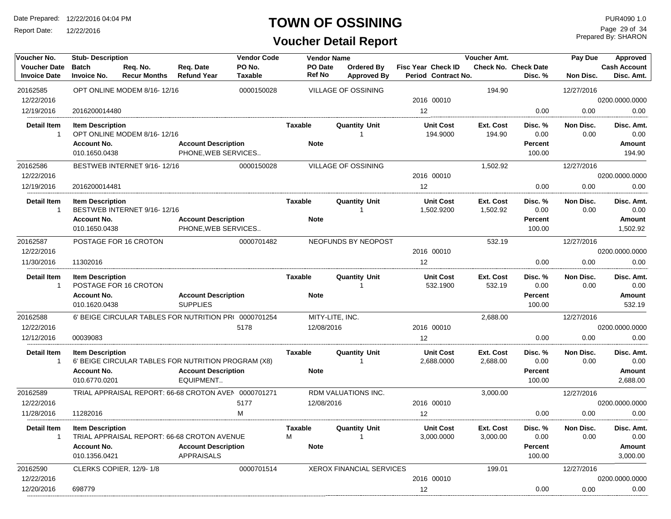Report Date: 12/22/2016

#### **TOWN OF OSSINING**

## **Voucher Detail Report**

Prepared By: SHARON Page 29 of 34

| Voucher No.                          | <b>Stub-Description</b>             |                                                       |                                               | <b>Vendor Code</b> |                          | <b>Vendor Name</b>         |                                | Voucher Amt.          |                             | Pay Due           | Approved                |
|--------------------------------------|-------------------------------------|-------------------------------------------------------|-----------------------------------------------|--------------------|--------------------------|----------------------------|--------------------------------|-----------------------|-----------------------------|-------------------|-------------------------|
| <b>Voucher Date</b>                  | <b>Batch</b>                        | Req. No.                                              | Req. Date                                     | PO No.             | PO Date<br><b>Ref No</b> | <b>Ordered By</b>          | <b>Fisc Year Check ID</b>      |                       | <b>Check No. Check Date</b> |                   | <b>Cash Account</b>     |
| <b>Invoice Date</b>                  | <b>Invoice No.</b>                  | <b>Recur Months</b>                                   | <b>Refund Year</b>                            | <b>Taxable</b>     |                          | <b>Approved By</b>         | Period Contract No.            |                       | Disc. %                     | Non Disc.         | Disc. Amt.              |
| 20162585                             |                                     | OPT ONLINE MODEM 8/16-12/16                           |                                               | 0000150028         |                          | <b>VILLAGE OF OSSINING</b> |                                | 194.90                |                             | 12/27/2016        |                         |
| 12/22/2016                           |                                     |                                                       |                                               |                    |                          |                            | 2016 00010                     |                       |                             |                   | 0200.0000.0000          |
| 12/19/2016                           | 2016200014480                       |                                                       |                                               |                    |                          |                            | 12                             |                       | 0.00                        | 0.00              | 0.00                    |
| <b>Detail Item</b><br>$\overline{1}$ | <b>Item Description</b>             | OPT ONLINE MODEM 8/16-12/16                           |                                               |                    | <b>Taxable</b>           | <b>Quantity Unit</b><br>1  | <b>Unit Cost</b><br>194.9000   | Ext. Cost<br>194.90   | Disc. %<br>0.00             | Non Disc.<br>0.00 | Disc. Amt.<br>0.00      |
|                                      | <b>Account No.</b>                  |                                                       | <b>Account Description</b>                    |                    | <b>Note</b>              |                            |                                |                       | <b>Percent</b>              |                   | <b>Amount</b>           |
|                                      | 010.1650.0438                       |                                                       | PHONE, WEB SERVICES                           |                    |                          |                            |                                |                       | 100.00                      |                   | 194.90                  |
| 20162586                             |                                     | BESTWEB INTERNET 9/16-12/16                           |                                               | 0000150028         |                          | <b>VILLAGE OF OSSINING</b> |                                | 1,502.92              |                             | 12/27/2016        |                         |
| 12/22/2016                           |                                     |                                                       |                                               |                    |                          |                            | 2016 00010                     |                       |                             |                   | 0200.0000.0000          |
| 12/19/2016                           | 2016200014481                       |                                                       |                                               |                    |                          |                            | 12                             |                       | 0.00                        | 0.00              | 0.00                    |
| <b>Detail Item</b><br>$\mathbf{1}$   | <b>Item Description</b>             | BESTWEB INTERNET 9/16-12/16                           |                                               |                    | <b>Taxable</b>           | <b>Quantity Unit</b><br>-1 | <b>Unit Cost</b><br>1,502.9200 | Ext. Cost<br>1,502.92 | Disc. %<br>0.00             | Non Disc.<br>0.00 | Disc. Amt.<br>0.00      |
|                                      | <b>Account No.</b>                  |                                                       | <b>Account Description</b>                    |                    | <b>Note</b>              |                            |                                |                       | <b>Percent</b>              |                   | Amount                  |
|                                      | 010.1650.0438                       |                                                       | PHONE, WEB SERVICES                           |                    |                          |                            |                                |                       | 100.00                      |                   | 1,502.92                |
| 20162587                             |                                     | POSTAGE FOR 16 CROTON                                 |                                               | 0000701482         |                          | NEOFUNDS BY NEOPOST        |                                | 532.19                |                             | 12/27/2016        |                         |
| 12/22/2016                           |                                     |                                                       |                                               |                    |                          |                            | 2016 00010                     |                       |                             |                   | 0200.0000.0000          |
| 11/30/2016                           | 11302016                            |                                                       |                                               |                    |                          |                            | 12                             |                       | 0.00                        | 0.00              | 0.00                    |
| <b>Detail Item</b><br>$\overline{1}$ | <b>Item Description</b>             | POSTAGE FOR 16 CROTON                                 |                                               |                    | <b>Taxable</b>           | <b>Quantity Unit</b>       | <b>Unit Cost</b><br>532.1900   | Ext. Cost<br>532.19   | Disc. %<br>0.00             | Non Disc.<br>0.00 | Disc. Amt.<br>0.00      |
|                                      | <b>Account No.</b><br>010.1620.0438 |                                                       | <b>Account Description</b><br><b>SUPPLIES</b> |                    | <b>Note</b>              |                            |                                |                       | <b>Percent</b><br>100.00    |                   | <b>Amount</b><br>532.19 |
| 20162588                             |                                     | 6' BEIGE CIRCULAR TABLES FOR NUTRITION PR( 0000701254 |                                               |                    |                          | MITY-LITE, INC.            |                                | 2,688.00              |                             | 12/27/2016        |                         |
| 12/22/2016                           |                                     |                                                       |                                               | 5178               |                          | 12/08/2016                 | 2016 00010                     |                       |                             |                   | 0200.0000.0000          |
| 12/12/2016                           | 00039083                            |                                                       |                                               |                    |                          |                            | 12                             |                       | 0.00                        | 0.00              | 0.00                    |
| <b>Detail Item</b>                   | <b>Item Description</b>             |                                                       |                                               |                    | <b>Taxable</b>           | <b>Quantity Unit</b>       | <b>Unit Cost</b>               | Ext. Cost             | Disc. %                     | Non Disc.         | Disc. Amt.              |
| $\mathbf{1}$                         |                                     | 6' BEIGE CIRCULAR TABLES FOR NUTRITION PROGRAM (X8)   |                                               |                    |                          | $\overline{1}$             | 2,688.0000                     | 2,688.00              | 0.00                        | 0.00              | 0.00                    |
|                                      | <b>Account No.</b>                  |                                                       | <b>Account Description</b>                    |                    | <b>Note</b>              |                            |                                |                       | Percent                     |                   | Amount                  |
|                                      | 010.6770.0201                       |                                                       | EQUIPMENT                                     |                    |                          |                            |                                |                       | 100.00                      |                   | 2,688.00                |
| 20162589                             |                                     | TRIAL APPRAISAL REPORT: 66-68 CROTON AVEN 0000701271  |                                               |                    |                          | RDM VALUATIONS INC.        |                                | 3,000.00              |                             | 12/27/2016        |                         |
| 12/22/2016                           |                                     |                                                       |                                               | 5177               | 12/08/2016               |                            | 2016 00010                     |                       |                             |                   | 0200.0000.0000          |
| 11/28/2016                           | 11282016                            |                                                       |                                               | M                  |                          |                            | 12                             |                       | 0.00                        | 0.00              | 0.00                    |
| <b>Detail Item</b>                   | <b>Item Description</b>             |                                                       |                                               |                    | <b>Taxable</b>           | <b>Quantity Unit</b>       | <b>Unit Cost</b>               | Ext. Cost             | Disc. %                     | Non Disc.         | Disc. Amt.              |
| $\overline{1}$                       |                                     | TRIAL APPRAISAL REPORT: 66-68 CROTON AVENUE           |                                               |                    | M                        | -1                         | 3.000.0000                     | 3,000.00              | 0.00                        | 0.00              | 0.00                    |
|                                      | <b>Account No.</b>                  |                                                       | <b>Account Description</b>                    |                    | <b>Note</b>              |                            |                                |                       | Percent                     |                   | Amount                  |
|                                      | 010.1356.0421                       |                                                       | <b>APPRAISALS</b>                             |                    |                          |                            |                                |                       | 100.00                      |                   | 3,000.00                |
| 20162590                             |                                     | CLERKS COPIER, 12/9-1/8                               |                                               | 0000701514         |                          | XEROX FINANCIAL SERVICES   |                                | 199.01                |                             | 12/27/2016        |                         |
| 12/22/2016                           |                                     |                                                       |                                               |                    |                          |                            | 2016 00010                     |                       |                             |                   | 0200.0000.0000          |
| 12/20/2016                           | 698779                              |                                                       |                                               |                    |                          |                            | $12 \overline{ }$              |                       | 0.00                        | 0.00              | 0.00                    |
|                                      |                                     |                                                       |                                               |                    |                          |                            |                                |                       |                             |                   |                         |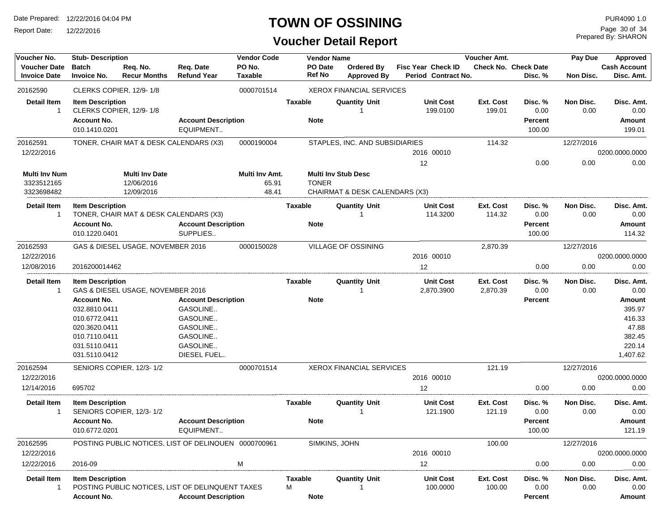Report Date: 12/22/2016

### **TOWN OF OSSINING**

## **Voucher Detail Report**

Prepared By: SHARON Page 30 of 34

| Voucher No.          | <b>Stub-Description</b>        |                                        |                                                      | <b>Vendor Code</b> |                | <b>Vendor Name</b> |                                           |                           | Voucher Amt. |                             | Pay Due    | Approved            |
|----------------------|--------------------------------|----------------------------------------|------------------------------------------------------|--------------------|----------------|--------------------|-------------------------------------------|---------------------------|--------------|-----------------------------|------------|---------------------|
| <b>Voucher Date</b>  | <b>Batch</b>                   | Req. No.                               | Req. Date                                            | PO No.             |                | PO Date            | <b>Ordered By</b>                         | <b>Fisc Year Check ID</b> |              | <b>Check No. Check Date</b> |            | <b>Cash Account</b> |
| <b>Invoice Date</b>  | <b>Invoice No.</b>             | <b>Recur Months</b>                    | <b>Refund Year</b>                                   | <b>Taxable</b>     |                | Ref No             | <b>Approved By</b>                        | Period Contract No.       |              | Disc. %                     | Non Disc.  | Disc. Amt.          |
| 20162590             |                                | CLERKS COPIER, 12/9-1/8                |                                                      | 0000701514         |                |                    | <b>XEROX FINANCIAL SERVICES</b>           |                           |              |                             |            |                     |
| <b>Detail Item</b>   | <b>Item Description</b>        |                                        |                                                      |                    | <b>Taxable</b> |                    | <b>Quantity Unit</b>                      | <b>Unit Cost</b>          | Ext. Cost    | Disc. %                     | Non Disc.  | Disc. Amt.          |
| $\overline{1}$       |                                | CLERKS COPIER, 12/9-1/8                |                                                      |                    |                |                    |                                           | 199.0100                  | 199.01       | 0.00                        | 0.00       | 0.00                |
|                      | <b>Account No.</b>             |                                        | <b>Account Description</b>                           |                    |                | <b>Note</b>        |                                           |                           |              | <b>Percent</b>              |            | Amount              |
|                      | 010.1410.0201                  |                                        | EQUIPMENT                                            |                    |                |                    |                                           |                           |              | 100.00                      |            | 199.01              |
| 20162591             |                                | TONER, CHAIR MAT & DESK CALENDARS (X3) |                                                      | 0000190004         |                |                    | STAPLES, INC. AND SUBSIDIARIES            |                           | 114.32       |                             | 12/27/2016 |                     |
| 12/22/2016           |                                |                                        |                                                      |                    |                |                    |                                           | 2016 00010                |              |                             |            | 0200.0000.0000      |
|                      |                                |                                        |                                                      |                    |                |                    |                                           | 12                        |              | 0.00                        | 0.00       | 0.00                |
| <b>Multi Inv Num</b> |                                | <b>Multi Inv Date</b>                  |                                                      | Multi Inv Amt.     |                |                    | <b>Multi Inv Stub Desc</b>                |                           |              |                             |            |                     |
| 3323512165           |                                | 12/06/2016                             |                                                      | 65.91              |                | <b>TONER</b>       |                                           |                           |              |                             |            |                     |
| 3323698482           |                                | 12/09/2016                             |                                                      | 48.41              |                |                    | <b>CHAIRMAT &amp; DESK CALENDARS (X3)</b> |                           |              |                             |            |                     |
| Detail Item          | <b>Item Description</b>        |                                        |                                                      |                    | <b>Taxable</b> |                    | <b>Quantity Unit</b>                      | <b>Unit Cost</b>          | Ext. Cost    | Disc. %                     | Non Disc.  | Disc. Amt.          |
| -1                   |                                | TONER, CHAIR MAT & DESK CALENDARS (X3) |                                                      |                    |                |                    |                                           | 114.3200                  | 114.32       | 0.00                        | 0.00       | 0.00                |
|                      | <b>Account No.</b>             |                                        | <b>Account Description</b>                           |                    |                | <b>Note</b>        |                                           |                           |              | <b>Percent</b>              |            | Amount              |
|                      | 010.1220.0401                  |                                        | SUPPLIES                                             |                    |                |                    |                                           |                           |              | 100.00                      |            | 114.32              |
| 20162593             |                                | GAS & DIESEL USAGE, NOVEMBER 2016      |                                                      | 0000150028         |                |                    | VILLAGE OF OSSINING                       |                           | 2,870.39     |                             | 12/27/2016 |                     |
| 12/22/2016           |                                |                                        |                                                      |                    |                |                    |                                           | 2016 00010                |              |                             |            | 0200.0000.0000      |
| 12/08/2016           | 2016200014462                  |                                        |                                                      |                    |                |                    |                                           | 12                        |              | 0.00                        | 0.00       | 0.00                |
| <b>Detail Item</b>   | <b>Item Description</b>        |                                        |                                                      |                    | Taxable        |                    | Quantity Unit                             | <b>Unit Cost</b>          | Ext. Cost    | Disc. %                     | Non Disc.  | Disc. Amt.          |
| -1                   |                                | GAS & DIESEL USAGE, NOVEMBER 2016      |                                                      |                    |                |                    |                                           | 2,870.3900                | 2,870.39     | 0.00                        | 0.00       | 0.00                |
|                      | <b>Account No.</b>             |                                        | <b>Account Description</b>                           |                    |                | <b>Note</b>        |                                           |                           |              | <b>Percent</b>              |            | Amount              |
|                      | 032.8810.0411                  |                                        | GASOLINE                                             |                    |                |                    |                                           |                           |              |                             |            | 395.97              |
|                      | 010.6772.0411                  |                                        | GASOLINE                                             |                    |                |                    |                                           |                           |              |                             |            | 416.33              |
|                      | 020.3620.0411                  |                                        | GASOLINE                                             |                    |                |                    |                                           |                           |              |                             |            | 47.88               |
|                      | 010.7110.0411<br>031.5110.0411 |                                        | GASOLINE<br>GASOLINE                                 |                    |                |                    |                                           |                           |              |                             |            | 382.45<br>220.14    |
|                      | 031.5110.0412                  |                                        | DIESEL FUEL                                          |                    |                |                    |                                           |                           |              |                             |            | 1,407.62            |
|                      |                                |                                        |                                                      |                    |                |                    |                                           |                           |              |                             |            |                     |
| 20162594             |                                | SENIORS COPIER, 12/3-1/2               |                                                      | 0000701514         |                |                    | <b>XEROX FINANCIAL SERVICES</b>           |                           | 121.19       |                             | 12/27/2016 |                     |
| 12/22/2016           |                                |                                        |                                                      |                    |                |                    |                                           | 2016 00010                |              |                             |            | 0200.0000.0000      |
| 12/14/2016           | 695702                         |                                        |                                                      |                    |                |                    |                                           | 12                        |              | 0.00                        | 0.00       | 0.00                |
| <b>Detail Item</b>   | <b>Item Description</b>        |                                        |                                                      |                    | <b>Taxable</b> |                    | <b>Quantity Unit</b>                      | <b>Unit Cost</b>          | Ext. Cost    | Disc. %                     | Non Disc.  | Disc. Amt.          |
| -1                   |                                | SENIORS COPIER, 12/3-1/2               |                                                      |                    |                |                    |                                           | 121.1900                  | 121.19       | 0.00                        | 0.00       | 0.00                |
|                      | <b>Account No.</b>             |                                        | <b>Account Description</b>                           |                    |                | <b>Note</b>        |                                           |                           |              | <b>Percent</b>              |            | Amount              |
|                      | 010.6772.0201                  |                                        | EQUIPMENT                                            |                    |                |                    |                                           |                           |              | 100.00                      |            | 121.19              |
| 20162595             |                                |                                        | POSTING PUBLIC NOTICES, LIST OF DELINQUEN 0000700961 |                    |                | SIMKINS, JOHN      |                                           |                           | 100.00       |                             | 12/27/2016 |                     |
| 12/22/2016           |                                |                                        |                                                      |                    |                |                    |                                           | 2016 00010                |              |                             |            | 0200.0000.0000      |
| 12/22/2016           | 2016-09                        |                                        |                                                      | M                  |                |                    |                                           | 12                        |              | 0.00                        | 0.00       | 0.00                |
| <b>Detail Item</b>   | <b>Item Description</b>        |                                        |                                                      |                    | <b>Taxable</b> |                    | <b>Quantity Unit</b>                      | <b>Unit Cost</b>          | Ext. Cost    | Disc. %                     | Non Disc.  | Disc. Amt.          |
| 1                    |                                |                                        | POSTING PUBLIC NOTICES, LIST OF DELINQUENT TAXES     |                    | М              |                    |                                           | 100.0000                  | 100.00       | 0.00                        | 0.00       | 0.00                |
|                      | Account No.                    |                                        | <b>Account Description</b>                           |                    |                | <b>Note</b>        |                                           |                           |              | <b>Percent</b>              |            | Amount              |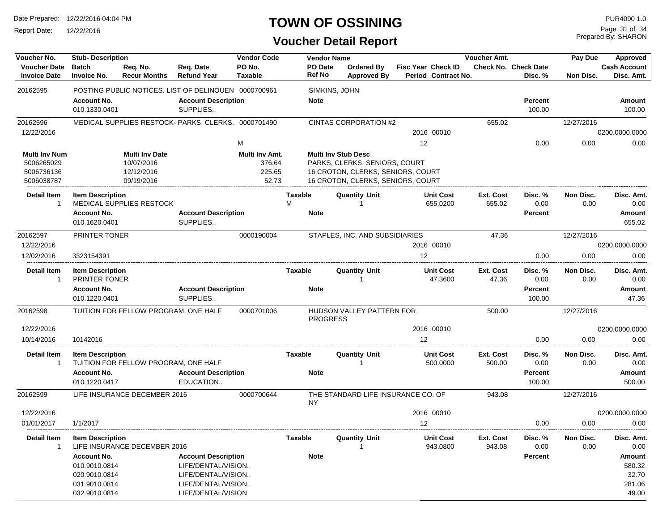Report Date: 12/22/2016

## **TOWN OF OSSINING**

Prepared By: SHARON Page 31 of 34

| Voucher No.                                |                                                                       | <b>Stub-Description</b>              |                                                                                              |                          | <b>Vendor Code</b><br><b>Vendor Name</b> |                                                                        |                           |                              | <b>Voucher Amt.</b> |                                        |                   | Approved                            |
|--------------------------------------------|-----------------------------------------------------------------------|--------------------------------------|----------------------------------------------------------------------------------------------|--------------------------|------------------------------------------|------------------------------------------------------------------------|---------------------------|------------------------------|---------------------|----------------------------------------|-------------------|-------------------------------------|
| <b>Voucher Date</b><br><b>Invoice Date</b> | <b>Batch</b><br><b>Invoice No.</b>                                    | Req. No.<br><b>Recur Months</b>      | Req. Date<br><b>Refund Year</b>                                                              | PO No.<br><b>Taxable</b> | <b>PO</b> Date<br><b>Ref No</b>          | Ordered By<br><b>Approved By</b>                                       | <b>Fisc Year Check ID</b> | Period Contract No.          |                     | <b>Check No. Check Date</b><br>Disc. % | Non Disc.         | <b>Cash Account</b><br>Disc. Amt.   |
| 20162595                                   |                                                                       |                                      | POSTING PUBLIC NOTICES, LIST OF DELINQUEN 0000700961                                         |                          |                                          | SIMKINS, JOHN                                                          |                           |                              |                     |                                        |                   |                                     |
|                                            | <b>Account No.</b><br>010.1330.0401                                   |                                      | <b>Account Description</b><br>SUPPLIES                                                       |                          | <b>Note</b>                              |                                                                        |                           |                              |                     | <b>Percent</b><br>100.00               |                   | Amount<br>100.00                    |
| 20162596                                   |                                                                       |                                      | MEDICAL SUPPLIES RESTOCK- PARKS, CLERKS, 0000701490                                          |                          |                                          | CINTAS CORPORATION #2                                                  |                           |                              | 655.02              |                                        | 12/27/2016        |                                     |
| 12/22/2016                                 |                                                                       |                                      |                                                                                              |                          |                                          |                                                                        |                           | 2016 00010                   |                     |                                        |                   | 0200.0000.0000                      |
|                                            |                                                                       |                                      |                                                                                              | М                        |                                          |                                                                        | 12                        |                              |                     | 0.00                                   | 0.00              | 0.00                                |
| Multi Inv Num                              |                                                                       | <b>Multi Inv Date</b>                |                                                                                              | Multi Inv Amt.           |                                          | <b>Multi Inv Stub Desc</b>                                             |                           |                              |                     |                                        |                   |                                     |
| 5006265029                                 |                                                                       | 10/07/2016                           |                                                                                              | 376.64                   |                                          | PARKS, CLERKS, SENIORS, COURT                                          |                           |                              |                     |                                        |                   |                                     |
| 5006736136<br>5006038787                   |                                                                       | 12/12/2016<br>09/19/2016             |                                                                                              | 225.65<br>52.73          |                                          | 16 CROTON, CLERKS, SENIORS, COURT<br>16 CROTON, CLERKS, SENIORS, COURT |                           |                              |                     |                                        |                   |                                     |
| <b>Detail Item</b><br>-1                   | <b>Item Description</b>                                               | MEDICAL SUPPLIES RESTOCK             |                                                                                              |                          | Taxable<br>м                             | <b>Quantity Unit</b>                                                   |                           | <b>Unit Cost</b><br>655.0200 | Ext. Cost<br>655.02 | Disc. %<br>0.00                        | Non Disc.<br>0.00 | Disc. Amt.<br>0.00                  |
|                                            | <b>Account No.</b>                                                    |                                      | <b>Account Description</b>                                                                   |                          | <b>Note</b>                              |                                                                        |                           |                              |                     | <b>Percent</b>                         |                   | Amount                              |
|                                            | 010.1620.0401                                                         |                                      | SUPPLIES                                                                                     |                          |                                          |                                                                        |                           |                              |                     |                                        |                   | 655.02                              |
| 20162597                                   | PRINTER TONER                                                         |                                      |                                                                                              | 0000190004               |                                          | STAPLES, INC. AND SUBSIDIARIES                                         |                           |                              | 47.36               |                                        | 12/27/2016        |                                     |
| 12/22/2016                                 |                                                                       |                                      |                                                                                              |                          |                                          |                                                                        |                           | 2016 00010                   |                     |                                        |                   | 0200.0000.0000                      |
| 12/02/2016                                 | 3323154391                                                            |                                      |                                                                                              |                          |                                          |                                                                        | 12                        |                              |                     | 0.00                                   | 0.00              | 0.00                                |
| <b>Detail Item</b><br>-1                   | <b>Item Description</b><br>PRINTER TONER                              |                                      |                                                                                              |                          | Taxable                                  | <b>Quantity Unit</b>                                                   |                           | <b>Unit Cost</b><br>47.3600  | Ext. Cost<br>47.36  | Disc. %<br>0.00                        | Non Disc.<br>0.00 | Disc. Amt.<br>0.00                  |
|                                            | <b>Account No.</b><br>010.1220.0401                                   |                                      | <b>Account Description</b><br>SUPPLIES                                                       |                          | <b>Note</b>                              |                                                                        |                           |                              |                     | <b>Percent</b><br>100.00               |                   | <b>Amount</b><br>47.36              |
| 20162598                                   |                                                                       | TUITION FOR FELLOW PROGRAM. ONE HALF |                                                                                              | 0000701006               |                                          | HUDSON VALLEY PATTERN FOR<br><b>PROGRESS</b>                           |                           |                              | 500.00              |                                        | 12/27/2016        |                                     |
| 12/22/2016                                 |                                                                       |                                      |                                                                                              |                          |                                          |                                                                        |                           | 2016 00010                   |                     |                                        |                   | 0200.0000.0000                      |
| 10/14/2016                                 | 10142016                                                              |                                      |                                                                                              |                          |                                          |                                                                        | 12                        |                              |                     | 0.00                                   | 0.00              | 0.00                                |
| Detail Item<br>-1                          | <b>Item Description</b>                                               | TUITION FOR FELLOW PROGRAM, ONE HALF |                                                                                              |                          | Taxable                                  | <b>Quantity Unit</b>                                                   |                           | <b>Unit Cost</b><br>500.0000 | Ext. Cost<br>500.00 | Disc. %<br>0.00                        | Non Disc.<br>0.00 | Disc. Amt.<br>0.00                  |
|                                            | <b>Account No.</b><br>010.1220.0417                                   |                                      | <b>Account Description</b><br>EDUCATION                                                      |                          | <b>Note</b>                              |                                                                        |                           |                              |                     | <b>Percent</b><br>100.00               |                   | Amount<br>500.00                    |
| 20162599                                   |                                                                       | LIFE INSURANCE DECEMBER 2016         |                                                                                              | 0000700644               | NY.                                      | THE STANDARD LIFE INSURANCE CO. OF                                     |                           |                              | 943.08              |                                        | 12/27/2016        |                                     |
| 12/22/2016                                 |                                                                       |                                      |                                                                                              |                          |                                          |                                                                        |                           | 2016 00010                   |                     |                                        |                   | 0200.0000.0000                      |
| 01/01/2017                                 | 1/1/2017                                                              |                                      |                                                                                              |                          |                                          |                                                                        | $12 \overline{ }$         |                              |                     | 0.00                                   | 0.00              | 0.00                                |
| <b>Detail Item</b><br>-1                   | <b>Item Description</b>                                               | LIFE INSURANCE DECEMBER 2016         |                                                                                              |                          | <b>Taxable</b>                           | <b>Quantity Unit</b>                                                   |                           | <b>Unit Cost</b><br>943.0800 | Ext. Cost<br>943.08 | Disc. %<br>0.00                        | Non Disc.<br>0.00 | Disc. Amt.<br>0.00                  |
|                                            | <b>Account No.</b><br>010.9010.0814<br>020.9010.0814<br>031.9010.0814 |                                      | <b>Account Description</b><br>LIFE/DENTAL/VISION<br>LIFE/DENTAL/VISION<br>LIFE/DENTAL/VISION |                          | <b>Note</b>                              |                                                                        |                           |                              |                     | Percent                                |                   | Amount<br>580.32<br>32.70<br>281.06 |
|                                            | 032.9010.0814                                                         |                                      | LIFE/DENTAL/VISION                                                                           |                          |                                          |                                                                        |                           |                              |                     |                                        |                   | 49.00                               |
|                                            |                                                                       |                                      |                                                                                              |                          |                                          |                                                                        |                           |                              |                     |                                        |                   |                                     |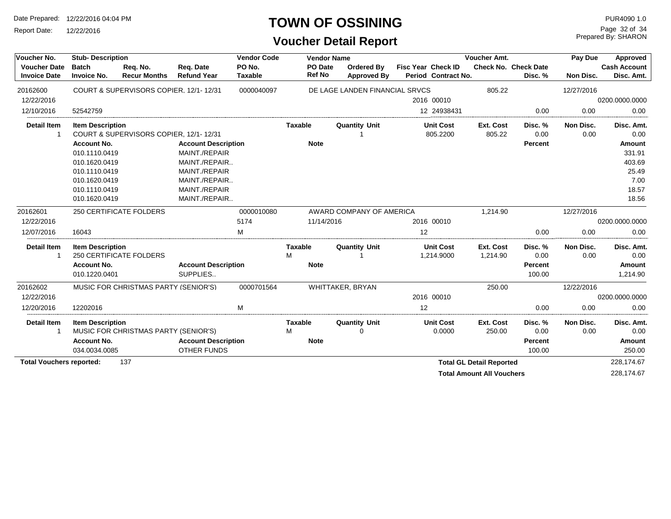Report Date: 12/22/2016

### **TOWN OF OSSINING**

# **Voucher Detail Report**

Prepared By: SHARON Page 32 of 34

| Voucher No.                                |                                    | <b>Stub-Description</b>                |                                 |                          |                          | <b>Vendor Name</b>               | Voucher Amt. |                                                  |                                  | Pay Due                                | <b>Approved</b>   |                                   |
|--------------------------------------------|------------------------------------|----------------------------------------|---------------------------------|--------------------------|--------------------------|----------------------------------|--------------|--------------------------------------------------|----------------------------------|----------------------------------------|-------------------|-----------------------------------|
| <b>Voucher Date</b><br><b>Invoice Date</b> | <b>Batch</b><br><b>Invoice No.</b> | Req. No.<br><b>Recur Months</b>        | Reg. Date<br><b>Refund Year</b> | PO No.<br><b>Taxable</b> | PO Date<br><b>Ref No</b> | Ordered By<br><b>Approved By</b> |              | <b>Fisc Year Check ID</b><br>Period Contract No. |                                  | <b>Check No. Check Date</b><br>Disc. % | Non Disc.         | <b>Cash Account</b><br>Disc. Amt. |
| 20162600                                   |                                    | COURT & SUPERVISORS COPIER, 12/1-12/31 |                                 | 0000040097               |                          | DE LAGE LANDEN FINANCIAL SRVCS   |              |                                                  | 805.22                           |                                        | 12/27/2016        |                                   |
| 12/22/2016                                 |                                    |                                        |                                 |                          |                          |                                  |              | 2016 00010                                       |                                  |                                        |                   | 0200.0000.0000                    |
| 12/10/2016                                 | 52542759                           |                                        |                                 |                          |                          |                                  |              | 12 24938431                                      |                                  | 0.00                                   | 0.00              | 0.00                              |
| <b>Detail Item</b>                         | <b>Item Description</b>            | COURT & SUPERVISORS COPIER, 12/1-12/31 |                                 |                          | <b>Taxable</b>           | <b>Quantity Unit</b>             |              | <b>Unit Cost</b><br>805.2200                     | Ext. Cost<br>805.22              | Disc. %<br>0.00                        | Non Disc.<br>0.00 | Disc. Amt.<br>0.00                |
|                                            | <b>Account No.</b>                 |                                        | <b>Account Description</b>      |                          | <b>Note</b>              |                                  |              |                                                  |                                  | <b>Percent</b>                         |                   | Amount                            |
|                                            | 010.1110.0419                      |                                        | MAINT./REPAIR                   |                          |                          |                                  |              |                                                  |                                  |                                        |                   | 331.91                            |
|                                            | 010.1620.0419                      |                                        | MAINT./REPAIR                   |                          |                          |                                  |              |                                                  |                                  |                                        |                   | 403.69                            |
|                                            | 010.1110.0419                      |                                        | MAINT./REPAIR                   |                          |                          |                                  |              |                                                  |                                  |                                        |                   | 25.49                             |
|                                            | 010.1620.0419                      |                                        | MAINT./REPAIR                   |                          |                          |                                  |              |                                                  |                                  |                                        |                   | 7.00                              |
|                                            | 010.1110.0419                      |                                        | MAINT./REPAIR                   |                          |                          |                                  |              |                                                  |                                  |                                        |                   | 18.57                             |
|                                            | 010.1620.0419                      |                                        | MAINT./REPAIR                   |                          |                          |                                  |              |                                                  |                                  |                                        |                   | 18.56                             |
| 20162601                                   |                                    | <b>250 CERTIFICATE FOLDERS</b>         |                                 | 0000010080               |                          | AWARD COMPANY OF AMERICA         |              |                                                  | 1,214.90                         |                                        | 12/27/2016        |                                   |
| 12/22/2016                                 |                                    |                                        |                                 | 5174                     | 11/14/2016               |                                  |              | 2016 00010                                       |                                  |                                        |                   | 0200.0000.0000                    |
| 12/07/2016                                 | 16043                              |                                        |                                 | м                        |                          |                                  | 12           |                                                  |                                  | 0.00                                   | 0.00              | 0.00                              |
| <b>Detail Item</b><br>1                    | <b>Item Description</b>            | <b>250 CERTIFICATE FOLDERS</b>         |                                 |                          | Taxable<br>M             | <b>Quantity Unit</b>             |              | <b>Unit Cost</b><br>1,214.9000                   | Ext. Cost<br>1,214.90            | Disc. %<br>0.00                        | Non Disc.<br>0.00 | Disc. Amt.<br>0.00                |
|                                            | <b>Account No.</b>                 |                                        | <b>Account Description</b>      |                          | <b>Note</b>              |                                  |              |                                                  |                                  | <b>Percent</b>                         |                   | Amount                            |
|                                            | 010.1220.0401                      |                                        | SUPPLIES                        |                          |                          |                                  |              |                                                  |                                  | 100.00                                 |                   | 1,214.90                          |
| 20162602                                   |                                    | MUSIC FOR CHRISTMAS PARTY (SENIOR'S)   |                                 | 0000701564               |                          | WHITTAKER, BRYAN                 |              |                                                  | 250.00                           |                                        | 12/22/2016        |                                   |
| 12/22/2016                                 |                                    |                                        |                                 |                          |                          |                                  |              | 2016 00010                                       |                                  |                                        |                   | 0200.0000.0000                    |
| 12/20/2016                                 | 12202016                           |                                        |                                 | M                        |                          |                                  | 12           |                                                  |                                  | 0.00                                   | 0.00              | 0.00                              |
| <b>Detail Item</b>                         | <b>Item Description</b>            | MUSIC FOR CHRISTMAS PARTY (SENIOR'S)   |                                 |                          | Taxable<br>M             | <b>Quantity Unit</b><br>$\Omega$ |              | <b>Unit Cost</b><br>0.0000                       | Ext. Cost<br>250.00              | Disc. %<br>0.00                        | Non Disc.<br>0.00 | Disc. Amt.<br>0.00                |
|                                            | <b>Account No.</b>                 |                                        | <b>Account Description</b>      |                          | <b>Note</b>              |                                  |              |                                                  |                                  | <b>Percent</b>                         |                   | <b>Amount</b>                     |
|                                            | 034.0034.0085                      |                                        | OTHER FUNDS                     |                          |                          |                                  |              |                                                  |                                  | 100.00                                 |                   | 250.00                            |
|                                            |                                    | 137                                    |                                 |                          |                          |                                  |              |                                                  | <b>Total GL Detail Reported</b>  |                                        |                   | 228,174.67                        |
|                                            | <b>Total Vouchers reported:</b>    |                                        |                                 |                          |                          |                                  |              |                                                  | <b>Total Amount All Vouchers</b> |                                        |                   | 228.174.67                        |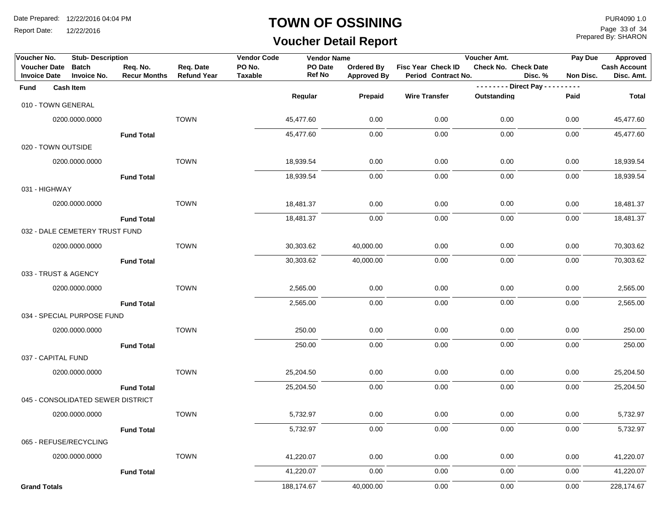Report Date: 12/22/2016

#### **TOWN OF OSSINING**

# **Voucher Detail Report**

Prepared By: SHARON Page 33 of 34

| Voucher No.                                | <b>Stub-Description</b>            |                                 |                                 | <b>Vendor Code</b>       | <b>Vendor Name</b>       |                                         |                                           | Voucher Amt.                     | Pay Due                     | Approved                          |
|--------------------------------------------|------------------------------------|---------------------------------|---------------------------------|--------------------------|--------------------------|-----------------------------------------|-------------------------------------------|----------------------------------|-----------------------------|-----------------------------------|
| <b>Voucher Date</b><br><b>Invoice Date</b> | <b>Batch</b><br><b>Invoice No.</b> | Req. No.<br><b>Recur Months</b> | Req. Date<br><b>Refund Year</b> | PO No.<br><b>Taxable</b> | PO Date<br><b>Ref No</b> | <b>Ordered By</b><br><b>Approved By</b> | Fisc Year Check ID<br>Period Contract No. | Check No. Check Date             | Disc. %<br><b>Non Disc.</b> | <b>Cash Account</b><br>Disc. Amt. |
| Fund                                       | <b>Cash Item</b>                   |                                 |                                 |                          |                          |                                         |                                           | - - - - - - - - Direct Pay - - - | $- - - -$                   |                                   |
| 010 - TOWN GENERAL                         |                                    |                                 |                                 |                          | Regular                  | Prepaid                                 | <b>Wire Transfer</b>                      | Outstanding                      | Paid                        | <b>Total</b>                      |
|                                            | 0200.0000.0000                     |                                 | <b>TOWN</b>                     |                          | 45,477.60                | 0.00                                    | 0.00                                      | 0.00                             | 0.00                        | 45,477.60                         |
|                                            |                                    | <b>Fund Total</b>               |                                 |                          | 45,477.60                | 0.00                                    | 0.00                                      | 0.00                             | 0.00                        | 45,477.60                         |
| 020 - TOWN OUTSIDE                         |                                    |                                 |                                 |                          |                          |                                         |                                           |                                  |                             |                                   |
|                                            | 0200.0000.0000                     |                                 | <b>TOWN</b>                     |                          | 18,939.54                | 0.00                                    | 0.00                                      | 0.00                             | 0.00                        | 18,939.54                         |
|                                            |                                    | <b>Fund Total</b>               |                                 |                          | 18,939.54                | 0.00                                    | 0.00                                      | 0.00                             | 0.00                        | 18,939.54                         |
| 031 - HIGHWAY                              |                                    |                                 |                                 |                          |                          |                                         |                                           |                                  |                             |                                   |
|                                            | 0200.0000.0000                     |                                 | <b>TOWN</b>                     |                          | 18,481.37                | 0.00                                    | 0.00                                      | 0.00                             | 0.00                        | 18,481.37                         |
|                                            |                                    | <b>Fund Total</b>               |                                 |                          | 18,481.37                | 0.00                                    | 0.00                                      | 0.00                             | 0.00                        | 18,481.37                         |
|                                            | 032 - DALE CEMETERY TRUST FUND     |                                 |                                 |                          |                          |                                         |                                           |                                  |                             |                                   |
|                                            | 0200.0000.0000                     |                                 | <b>TOWN</b>                     |                          | 30,303.62                | 40,000.00                               | 0.00                                      | 0.00                             | 0.00                        | 70,303.62                         |
|                                            |                                    | <b>Fund Total</b>               |                                 |                          | 30,303.62                | 40,000.00                               | 0.00                                      | 0.00                             | 0.00                        | 70,303.62                         |
| 033 - TRUST & AGENCY                       |                                    |                                 |                                 |                          |                          |                                         |                                           |                                  |                             |                                   |
|                                            | 0200.0000.0000                     |                                 | <b>TOWN</b>                     |                          | 2,565.00                 | 0.00                                    | 0.00                                      | 0.00                             | 0.00                        | 2,565.00                          |
|                                            |                                    | <b>Fund Total</b>               |                                 |                          | 2,565.00                 | 0.00                                    | 0.00                                      | 0.00                             | 0.00                        | 2,565.00                          |
|                                            | 034 - SPECIAL PURPOSE FUND         |                                 |                                 |                          |                          |                                         |                                           |                                  |                             |                                   |
|                                            | 0200.0000.0000                     |                                 | <b>TOWN</b>                     |                          | 250.00                   | 0.00                                    | 0.00                                      | 0.00                             | 0.00                        | 250.00                            |
|                                            |                                    | <b>Fund Total</b>               |                                 |                          | 250.00                   | 0.00                                    | 0.00                                      | 0.00                             | 0.00                        | 250.00                            |
| 037 - CAPITAL FUND                         |                                    |                                 |                                 |                          |                          |                                         |                                           |                                  |                             |                                   |
|                                            | 0200.0000.0000                     |                                 | <b>TOWN</b>                     |                          | 25,204.50                | 0.00                                    | 0.00                                      | 0.00                             | 0.00                        | 25,204.50                         |
|                                            |                                    | <b>Fund Total</b>               |                                 |                          | 25,204.50                | 0.00                                    | 0.00                                      | 0.00                             | 0.00                        | 25,204.50                         |
|                                            | 045 - CONSOLIDATED SEWER DISTRICT  |                                 |                                 |                          |                          |                                         |                                           |                                  |                             |                                   |
|                                            | 0200.0000.0000                     |                                 | <b>TOWN</b>                     |                          | 5,732.97                 | 0.00                                    | 0.00                                      | 0.00                             | 0.00                        | 5,732.97                          |
|                                            |                                    | <b>Fund Total</b>               |                                 |                          | 5,732.97                 | 0.00                                    | 0.00                                      | 0.00                             | 0.00                        | 5,732.97                          |
| 065 - REFUSE/RECYCLING                     |                                    |                                 |                                 |                          |                          |                                         |                                           |                                  |                             |                                   |
|                                            | 0200.0000.0000                     |                                 | <b>TOWN</b>                     |                          | 41,220.07                | 0.00                                    | 0.00                                      | 0.00                             | 0.00                        | 41,220.07                         |
|                                            |                                    | <b>Fund Total</b>               |                                 |                          | 41,220.07                | 0.00                                    | 0.00                                      | 0.00                             | 0.00                        | 41,220.07                         |
| <b>Grand Totals</b>                        |                                    |                                 |                                 |                          | 188,174.67               | 40,000.00                               | 0.00                                      | 0.00                             | 0.00                        | 228,174.67                        |